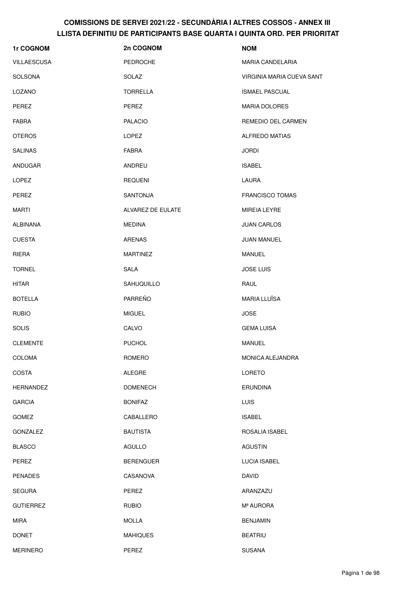| 1r COGNOM          | 2n COGNOM         | <b>NOM</b>                |
|--------------------|-------------------|---------------------------|
| <b>VILLAESCUSA</b> | <b>PEDROCHE</b>   | <b>MARIA CANDELARIA</b>   |
| <b>SOLSONA</b>     | SOLAZ             | VIRGINIA MARIA CUEVA SANT |
| LOZANO             | <b>TORRELLA</b>   | <b>ISMAEL PASCUAL</b>     |
| PEREZ              | PEREZ             | <b>MARIA DOLORES</b>      |
| <b>FABRA</b>       | <b>PALACIO</b>    | REMEDIO DEL CARMEN        |
| <b>OTEROS</b>      | <b>LOPEZ</b>      | <b>ALFREDO MATIAS</b>     |
| <b>SALINAS</b>     | <b>FABRA</b>      | <b>JORDI</b>              |
| ANDUGAR            | ANDREU            | <b>ISABEL</b>             |
| <b>LOPEZ</b>       | <b>REQUENI</b>    | LAURA                     |
| PEREZ              | <b>SANTONJA</b>   | <b>FRANCISCO TOMAS</b>    |
| MARTI              | ALVAREZ DE EULATE | <b>MIREIA LEYRE</b>       |
| ALBIÑANA           | <b>MEDINA</b>     | <b>JUAN CARLOS</b>        |
| <b>CUESTA</b>      | <b>ARENAS</b>     | <b>JUAN MANUEL</b>        |
| RIERA              | <b>MARTINEZ</b>   | <b>MANUEL</b>             |
| <b>TORNEL</b>      | <b>SALA</b>       | <b>JOSE LUIS</b>          |
| <b>HITAR</b>       | SAHUQUILLO        | RAUL                      |
| <b>BOTELLA</b>     | PARREÑO           | <b>MARIA LLUÏSA</b>       |
| <b>RUBIO</b>       | <b>MIGUEL</b>     | <b>JOSE</b>               |
| <b>SOLIS</b>       | CALVO             | <b>GEMA LUISA</b>         |
| <b>CLEMENTE</b>    | <b>PUCHOL</b>     | MANUEL                    |
| COLOMA             | ROMERO            | MONICA ALEJANDRA          |
| <b>COSTA</b>       | <b>ALEGRE</b>     | <b>LORETO</b>             |
| <b>HERNANDEZ</b>   | <b>DOMENECH</b>   | <b>ERUNDINA</b>           |
| <b>GARCIA</b>      | <b>BONIFAZ</b>    | <b>LUIS</b>               |
| <b>GOMEZ</b>       | CABALLERO         | <b>ISABEL</b>             |
| <b>GONZALEZ</b>    | <b>BAUTISTA</b>   | ROSALIA ISABEL            |
| <b>BLASCO</b>      | AGULLO            | <b>AGUSTIN</b>            |
| PEREZ              | <b>BERENGUER</b>  | <b>LUCIA ISABEL</b>       |
| <b>PENADES</b>     | CASANOVA          | DAVID                     |
| <b>SEGURA</b>      | PEREZ             | ARANZAZU                  |
| <b>GUTIERREZ</b>   | <b>RUBIO</b>      | Mª AURORA                 |
| <b>MIRA</b>        | <b>MOLLA</b>      | <b>BENJAMIN</b>           |
| <b>DONET</b>       | <b>MAHIQUES</b>   | <b>BEATRIU</b>            |
| <b>MERINERO</b>    | PEREZ             | <b>SUSANA</b>             |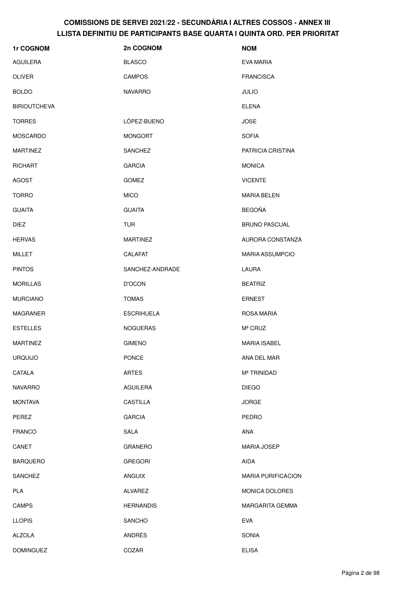| 1r COGNOM           | 2n COGNOM         | <b>NOM</b>                |
|---------------------|-------------------|---------------------------|
| AGUILERA            | <b>BLASCO</b>     | EVA MARIA                 |
| <b>OLIVER</b>       | <b>CAMPOS</b>     | <b>FRANCISCA</b>          |
| <b>BOLDO</b>        | <b>NAVARRO</b>    | <b>JULIO</b>              |
| <b>BIRIOUTCHEVA</b> |                   | <b>ELENA</b>              |
| <b>TORRES</b>       | LÓPEZ-BUENO       | <b>JOSE</b>               |
| <b>MOSCARDO</b>     | <b>MONGORT</b>    | <b>SOFIA</b>              |
| <b>MARTINEZ</b>     | <b>SANCHEZ</b>    | PATRICIA CRISTINA         |
| <b>RICHART</b>      | <b>GARCIA</b>     | <b>MONICA</b>             |
| AGOST               | <b>GOMEZ</b>      | <b>VICENTE</b>            |
| <b>TORRO</b>        | <b>MICO</b>       | <b>MARIA BELEN</b>        |
| <b>GUAITA</b>       | <b>GUAITA</b>     | <b>BEGOÑA</b>             |
| <b>DIEZ</b>         | <b>TUR</b>        | <b>BRUNO PASCUAL</b>      |
| <b>HERVAS</b>       | <b>MARTINEZ</b>   | AURORA CONSTANZA          |
| <b>MILLET</b>       | <b>CALAFAT</b>    | <b>MARIA ASSUMPCIO</b>    |
| <b>PINTOS</b>       | SANCHEZ-ANDRADE   | LAURA                     |
| <b>MORILLAS</b>     | <b>D'OCON</b>     | <b>BEATRIZ</b>            |
| <b>MURCIANO</b>     | <b>TOMAS</b>      | <b>ERNEST</b>             |
| MAGRANER            | <b>ESCRIHUELA</b> | ROSA MARIA                |
| <b>ESTELLES</b>     | <b>NOGUERAS</b>   | M <sup>ª</sup> CRUZ       |
| <b>MARTINEZ</b>     | <b>GIMENO</b>     | <b>MARIA ISABEL</b>       |
| <b>URQUIJO</b>      | PONCE             | ANA DEL MAR               |
| CATALA              | <b>ARTES</b>      | M <sup>ª</sup> TRINIDAD   |
| <b>NAVARRO</b>      | <b>AGUILERA</b>   | <b>DIEGO</b>              |
| <b>MONTAVA</b>      | CASTILLA          | <b>JORGE</b>              |
| PEREZ               | <b>GARCIA</b>     | <b>PEDRO</b>              |
| <b>FRANCO</b>       | <b>SALA</b>       | ANA                       |
| CANET               | <b>GRANERO</b>    | <b>MARIA JOSEP</b>        |
| <b>BARQUERO</b>     | <b>GREGORI</b>    | AIDA                      |
| <b>SANCHEZ</b>      | <b>ANGUIX</b>     | <b>MARIA PURIFICACION</b> |
| PLA                 | <b>ALVAREZ</b>    | MONICA DOLORES            |
| <b>CAMPS</b>        | <b>HERNANDIS</b>  | <b>MARGARITA GEMMA</b>    |
| <b>LLOPIS</b>       | SANCHO            | <b>EVA</b>                |
| <b>ALZOLA</b>       | ANDRÉS            | SONIA                     |
| <b>DOMINGUEZ</b>    | COZAR             | <b>ELISA</b>              |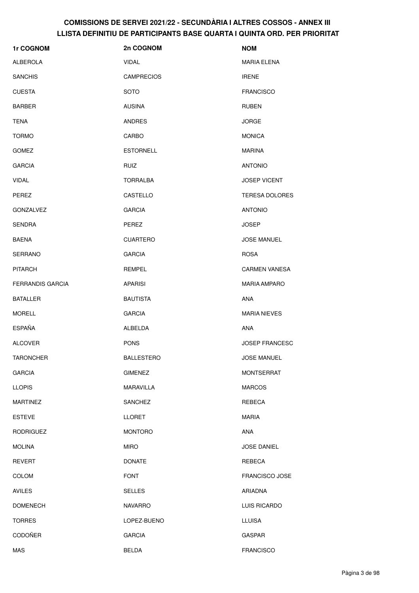| 1r COGNOM               | 2n COGNOM         | <b>NOM</b>            |
|-------------------------|-------------------|-----------------------|
| <b>ALBEROLA</b>         | VIDAL             | MARIA ELENA           |
| <b>SANCHIS</b>          | <b>CAMPRECIOS</b> | <b>IRENE</b>          |
| <b>CUESTA</b>           | <b>SOTO</b>       | <b>FRANCISCO</b>      |
| <b>BARBER</b>           | <b>AUSINA</b>     | <b>RUBEN</b>          |
| <b>TENA</b>             | <b>ANDRES</b>     | <b>JORGE</b>          |
| <b>TORMO</b>            | CARBO             | <b>MONICA</b>         |
| <b>GOMEZ</b>            | <b>ESTORNELL</b>  | <b>MARINA</b>         |
| <b>GARCIA</b>           | RUIZ              | <b>ANTONIO</b>        |
| <b>VIDAL</b>            | TORRALBA          | <b>JOSEP VICENT</b>   |
| <b>PEREZ</b>            | CASTELLO          | <b>TERESA DOLORES</b> |
| <b>GONZALVEZ</b>        | <b>GARCIA</b>     | <b>ANTONIO</b>        |
| <b>SENDRA</b>           | PEREZ             | <b>JOSEP</b>          |
| <b>BAENA</b>            | <b>CUARTERO</b>   | <b>JOSE MANUEL</b>    |
| <b>SERRANO</b>          | <b>GARCIA</b>     | <b>ROSA</b>           |
| <b>PITARCH</b>          | REMPEL            | <b>CARMEN VANESA</b>  |
| <b>FERRANDIS GARCIA</b> | <b>APARISI</b>    | <b>MARIA AMPARO</b>   |
| <b>BATALLER</b>         | <b>BAUTISTA</b>   | <b>ANA</b>            |
| <b>MORELL</b>           | <b>GARCIA</b>     | <b>MARIA NIEVES</b>   |
| <b>ESPAÑA</b>           | ALBELDA           | <b>ANA</b>            |
| <b>ALCOVER</b>          | <b>PONS</b>       | <b>JOSEP FRANCESC</b> |
| <b>TARONCHER</b>        | <b>BALLESTERO</b> | JOSE MANUEL           |
| <b>GARCIA</b>           | <b>GIMENEZ</b>    | <b>MONTSERRAT</b>     |
| <b>LLOPIS</b>           | MARAVILLA         | <b>MARCOS</b>         |
| <b>MARTINEZ</b>         | SANCHEZ           | REBECA                |
| <b>ESTEVE</b>           | <b>LLORET</b>     | <b>MARIA</b>          |
| <b>RODRIGUEZ</b>        | <b>MONTORO</b>    | ANA                   |
| <b>MOLINA</b>           | <b>MIRO</b>       | <b>JOSE DANIEL</b>    |
| <b>REVERT</b>           | <b>DONATE</b>     | REBECA                |
| <b>COLOM</b>            | <b>FONT</b>       | <b>FRANCISCO JOSE</b> |
| <b>AVILES</b>           | <b>SELLES</b>     | ARIADNA               |
| <b>DOMENECH</b>         | <b>NAVARRO</b>    | LUIS RICARDO          |
| <b>TORRES</b>           | LOPEZ-BUENO       | <b>LLUISA</b>         |
| <b>CODOÑER</b>          | <b>GARCIA</b>     | <b>GASPAR</b>         |
| MAS                     | <b>BELDA</b>      | <b>FRANCISCO</b>      |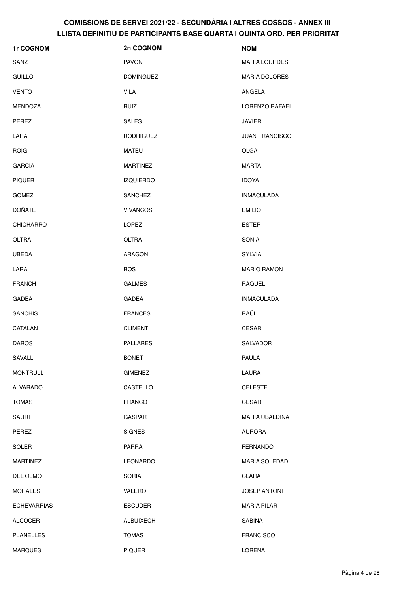| 1r COGNOM          | 2n COGNOM        | <b>NOM</b>            |
|--------------------|------------------|-----------------------|
| SANZ               | <b>PAVON</b>     | <b>MARIA LOURDES</b>  |
| <b>GUILLO</b>      | <b>DOMINGUEZ</b> | <b>MARIA DOLORES</b>  |
| <b>VENTO</b>       | <b>VILA</b>      | ANGELA                |
| MENDOZA            | <b>RUIZ</b>      | LORENZO RAFAEL        |
| PEREZ              | <b>SALES</b>     | <b>JAVIER</b>         |
| LARA               | <b>RODRIGUEZ</b> | <b>JUAN FRANCISCO</b> |
| <b>ROIG</b>        | MATEU            | <b>OLGA</b>           |
| <b>GARCIA</b>      | <b>MARTINEZ</b>  | <b>MARTA</b>          |
| <b>PIQUER</b>      | <b>IZQUIERDO</b> | <b>IDOYA</b>          |
| <b>GOMEZ</b>       | <b>SANCHEZ</b>   | <b>INMACULADA</b>     |
| <b>DOÑATE</b>      | <b>VIVANCOS</b>  | <b>EMILIO</b>         |
| <b>CHICHARRO</b>   | LOPEZ            | <b>ESTER</b>          |
| <b>OLTRA</b>       | <b>OLTRA</b>     | SONIA                 |
| <b>UBEDA</b>       | ARAGON           | <b>SYLVIA</b>         |
| LARA               | <b>ROS</b>       | <b>MARIO RAMON</b>    |
| <b>FRANCH</b>      | <b>GALMES</b>    | <b>RAQUEL</b>         |
| <b>GADEA</b>       | GADEA            | <b>INMACULADA</b>     |
| <b>SANCHIS</b>     | <b>FRANCES</b>   | RAÜL                  |
| CATALAN            | <b>CLIMENT</b>   | CESAR                 |
| <b>DAROS</b>       | <b>PALLARES</b>  | <b>SALVADOR</b>       |
| SAVALL             | <b>BONET</b>     | PAULA                 |
| <b>MONTRULL</b>    | <b>GIMENEZ</b>   | LAURA                 |
| <b>ALVARADO</b>    | CASTELLO         | <b>CELESTE</b>        |
| <b>TOMAS</b>       | <b>FRANCO</b>    | CESAR                 |
| <b>SAURI</b>       | GASPAR           | MARIA UBALDINA        |
| PEREZ              | <b>SIGNES</b>    | <b>AURORA</b>         |
| SOLER              | PARRA            | <b>FERNANDO</b>       |
| <b>MARTINEZ</b>    | LEONARDO         | <b>MARIA SOLEDAD</b>  |
| DEL OLMO           | <b>SORIA</b>     | CLARA                 |
| <b>MORALES</b>     | VALERO           | <b>JOSEP ANTONI</b>   |
| <b>ECHEVARRIAS</b> | <b>ESCUDER</b>   | <b>MARIA PILAR</b>    |
| <b>ALCOCER</b>     | ALBUIXECH        | <b>SABINA</b>         |
| <b>PLANELLES</b>   | <b>TOMAS</b>     | <b>FRANCISCO</b>      |
| <b>MARQUES</b>     | <b>PIQUER</b>    | LORENA                |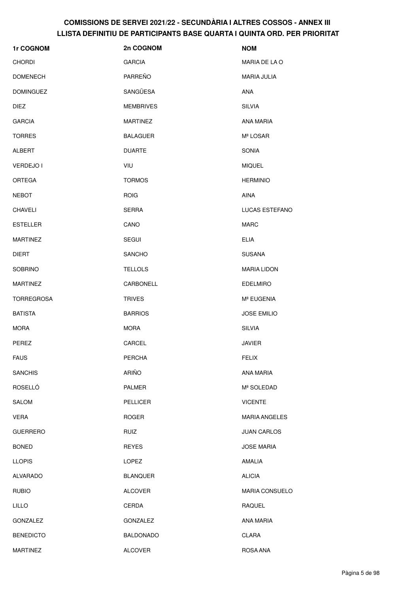| 1r COGNOM         | 2n COGNOM        | <b>NOM</b>             |
|-------------------|------------------|------------------------|
| <b>CHORDI</b>     | <b>GARCIA</b>    | MARIA DE LA O          |
| <b>DOMENECH</b>   | PARREÑO          | MARIA JULIA            |
| <b>DOMINGUEZ</b>  | SANGÜESA         | ANA                    |
| <b>DIEZ</b>       | <b>MEMBRIVES</b> | <b>SILVIA</b>          |
| <b>GARCIA</b>     | <b>MARTINEZ</b>  | ANA MARIA              |
| <b>TORRES</b>     | <b>BALAGUER</b>  | Mª LOSAR               |
| ALBERT            | <b>DUARTE</b>    | <b>SONIA</b>           |
| VERDEJO I         | VIU              | <b>MIQUEL</b>          |
| <b>ORTEGA</b>     | <b>TORMOS</b>    | <b>HERMINIO</b>        |
| <b>NEBOT</b>      | <b>ROIG</b>      | <b>AINA</b>            |
| <b>CHAVELI</b>    | <b>SERRA</b>     | LUCAS ESTEFANO         |
| <b>ESTELLER</b>   | CANO             | <b>MARC</b>            |
| <b>MARTINEZ</b>   | <b>SEGUI</b>     | <b>ELIA</b>            |
| <b>DIERT</b>      | <b>SANCHO</b>    | <b>SUSANA</b>          |
| <b>SOBRINO</b>    | <b>TELLOLS</b>   | <b>MARIA LIDON</b>     |
| <b>MARTINEZ</b>   | CARBONELL        | <b>EDELMIRO</b>        |
| <b>TORREGROSA</b> | <b>TRIVES</b>    | M <sup>ª</sup> EUGENIA |
| <b>BATISTA</b>    | <b>BARRIOS</b>   | <b>JOSE EMILIO</b>     |
| <b>MORA</b>       | <b>MORA</b>      | <b>SILVIA</b>          |
| PEREZ             | CARCEL           | <b>JAVIER</b>          |
| <b>FAUS</b>       | <b>PERCHA</b>    | <b>FELIX</b>           |
| <b>SANCHIS</b>    | ARIÑO            | <b>ANA MARIA</b>       |
| ROSELLÓ           | PALMER           | Mª SOLEDAD             |
| <b>SALOM</b>      | <b>PELLICER</b>  | <b>VICENTE</b>         |
| <b>VERA</b>       | <b>ROGER</b>     | <b>MARIA ANGELES</b>   |
| <b>GUERRERO</b>   | <b>RUIZ</b>      | <b>JUAN CARLOS</b>     |
| <b>BONED</b>      | <b>REYES</b>     | <b>JOSE MARIA</b>      |
| <b>LLOPIS</b>     | <b>LOPEZ</b>     | <b>AMALIA</b>          |
| <b>ALVARADO</b>   | <b>BLANQUER</b>  | <b>ALICIA</b>          |
| <b>RUBIO</b>      | <b>ALCOVER</b>   | <b>MARIA CONSUELO</b>  |
| <b>LILLO</b>      | CERDA            | RAQUEL                 |
| <b>GONZALEZ</b>   | <b>GONZALEZ</b>  | ANA MARIA              |
| <b>BENEDICTO</b>  | <b>BALDONADO</b> | CLARA                  |
| <b>MARTINEZ</b>   | <b>ALCOVER</b>   | ROSA ANA               |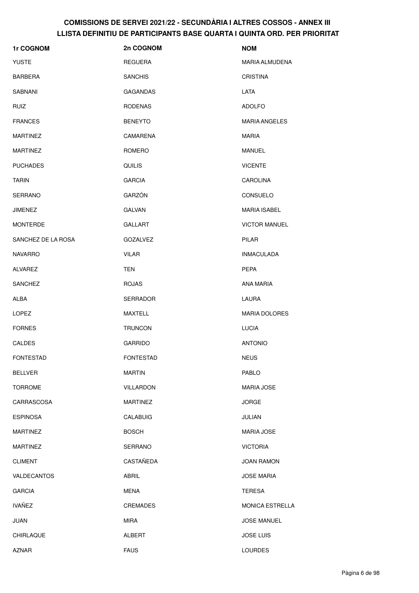| 1r COGNOM          | 2n COGNOM        | <b>NOM</b>            |
|--------------------|------------------|-----------------------|
| <b>YUSTE</b>       | <b>REGUERA</b>   | <b>MARIA ALMUDENA</b> |
| <b>BARBERA</b>     | <b>SANCHIS</b>   | <b>CRISTINA</b>       |
| <b>SABNANI</b>     | <b>GAGANDAS</b>  | <b>LATA</b>           |
| <b>RUIZ</b>        | <b>RODENAS</b>   | <b>ADOLFO</b>         |
| <b>FRANCES</b>     | <b>BENEYTO</b>   | <b>MARIA ANGELES</b>  |
| <b>MARTINEZ</b>    | CAMARENA         | <b>MARIA</b>          |
| <b>MARTINEZ</b>    | ROMERO           | <b>MANUEL</b>         |
| <b>PUCHADES</b>    | <b>QUILIS</b>    | <b>VICENTE</b>        |
| <b>TARIN</b>       | <b>GARCIA</b>    | <b>CAROLINA</b>       |
| SERRANO            | GARZÓN           | CONSUELO              |
| <b>JIMENEZ</b>     | <b>GALVAN</b>    | <b>MARIA ISABEL</b>   |
| <b>MONTERDE</b>    | <b>GALLART</b>   | <b>VICTOR MANUEL</b>  |
| SANCHEZ DE LA ROSA | <b>GOZALVEZ</b>  | <b>PILAR</b>          |
| <b>NAVARRO</b>     | <b>VILAR</b>     | <b>INMACULADA</b>     |
| <b>ALVAREZ</b>     | <b>TEN</b>       | <b>PEPA</b>           |
| <b>SANCHEZ</b>     | <b>ROJAS</b>     | ANA MARIA             |
| ALBA               | <b>SERRADOR</b>  | LAURA                 |
| <b>LOPEZ</b>       | MAXTELL          | <b>MARIA DOLORES</b>  |
| <b>FORNES</b>      | <b>TRUNCON</b>   | <b>LUCIA</b>          |
| <b>CALDES</b>      | <b>GARRIDO</b>   | <b>ANTONIO</b>        |
| <b>FONTESTAD</b>   | <b>FONTESTAD</b> | <b>NEUS</b>           |
| <b>BELLVER</b>     | <b>MARTIN</b>    | PABLO                 |
| <b>TORROME</b>     | VILLARDON        | <b>MARIA JOSE</b>     |
| CARRASCOSA         | <b>MARTINEZ</b>  | <b>JORGE</b>          |
| <b>ESPINOSA</b>    | <b>CALABUIG</b>  | JULIAN                |
| <b>MARTINEZ</b>    | <b>BOSCH</b>     | <b>MARIA JOSE</b>     |
| <b>MARTINEZ</b>    | <b>SERRANO</b>   | <b>VICTORIA</b>       |
| <b>CLIMENT</b>     | CASTAÑEDA        | <b>JOAN RAMON</b>     |
| VALDECANTOS        | ABRIL            | <b>JOSE MARIA</b>     |
| <b>GARCIA</b>      | <b>MENA</b>      | <b>TERESA</b>         |
| <b>IVAÑEZ</b>      | CREMADES         | MONICA ESTRELLA       |
| <b>JUAN</b>        | <b>MIRA</b>      | <b>JOSE MANUEL</b>    |
| CHIRLAQUE          | ALBERT           | <b>JOSE LUIS</b>      |
| AZNAR              | <b>FAUS</b>      | <b>LOURDES</b>        |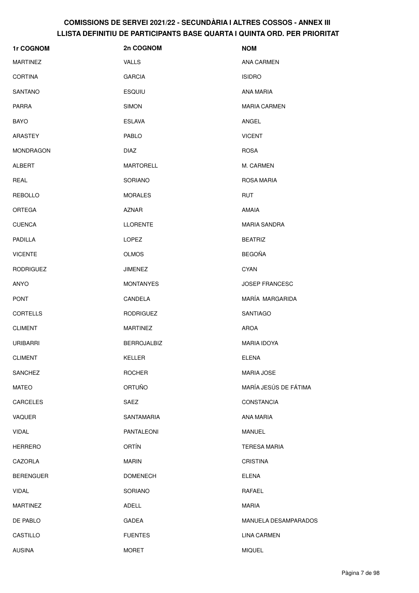| 1r COGNOM        | 2n COGNOM          | <b>NOM</b>            |
|------------------|--------------------|-----------------------|
| <b>MARTINEZ</b>  | VALLS              | <b>ANA CARMEN</b>     |
| <b>CORTINA</b>   | <b>GARCIA</b>      | <b>ISIDRO</b>         |
| <b>SANTANO</b>   | <b>ESQUIU</b>      | ANA MARIA             |
| <b>PARRA</b>     | <b>SIMON</b>       | <b>MARIA CARMEN</b>   |
| <b>BAYO</b>      | <b>ESLAVA</b>      | ANGEL                 |
| ARASTEY          | <b>PABLO</b>       | <b>VICENT</b>         |
| <b>MONDRAGON</b> | <b>DIAZ</b>        | <b>ROSA</b>           |
| <b>ALBERT</b>    | <b>MARTORELL</b>   | M. CARMEN             |
| REAL             | SORIANO            | ROSA MARIA            |
| <b>REBOLLO</b>   | <b>MORALES</b>     | <b>RUT</b>            |
| <b>ORTEGA</b>    | <b>AZNAR</b>       | <b>AMAIA</b>          |
| <b>CUENCA</b>    | <b>LLORENTE</b>    | <b>MARIA SANDRA</b>   |
| <b>PADILLA</b>   | LOPEZ              | <b>BEATRIZ</b>        |
| <b>VICENTE</b>   | <b>OLMOS</b>       | <b>BEGOÑA</b>         |
| <b>RODRIGUEZ</b> | <b>JIMENEZ</b>     | <b>CYAN</b>           |
| ANYO             | <b>MONTANYES</b>   | JOSEP FRANCESC        |
| <b>PONT</b>      | CANDELA            | MARÍA MARGARIDA       |
| <b>CORTELLS</b>  | <b>RODRIGUEZ</b>   | SANTIAGO              |
| <b>CLIMENT</b>   | <b>MARTINEZ</b>    | <b>AROA</b>           |
| <b>URIBARRI</b>  | <b>BERROJALBIZ</b> | <b>MARIA IDOYA</b>    |
| <b>CLIMENT</b>   | KELLER             | <b>ELENA</b>          |
| <b>SANCHEZ</b>   | <b>ROCHER</b>      | <b>MARIA JOSE</b>     |
| <b>MATEO</b>     | <b>ORTUÑO</b>      | MARÍA JESÚS DE FÁTIMA |
| <b>CARCELES</b>  | SAEZ               | <b>CONSTANCIA</b>     |
| VAQUER           | SANTAMARIA         | ANA MARIA             |
| <b>VIDAL</b>     | PANTALEONI         | <b>MANUEL</b>         |
| <b>HERRERO</b>   | <b>ORTÍN</b>       | <b>TERESA MARIA</b>   |
| CAZORLA          | <b>MARIN</b>       | <b>CRISTINA</b>       |
| <b>BERENGUER</b> | <b>DOMENECH</b>    | <b>ELENA</b>          |
| <b>VIDAL</b>     | SORIANO            | RAFAEL                |
| <b>MARTINEZ</b>  | ADELL              | <b>MARIA</b>          |
| DE PABLO         | <b>GADEA</b>       | MANUELA DESAMPARADOS  |
| CASTILLO         | <b>FUENTES</b>     | <b>LINA CARMEN</b>    |
| <b>AUSINA</b>    | <b>MORET</b>       | <b>MIQUEL</b>         |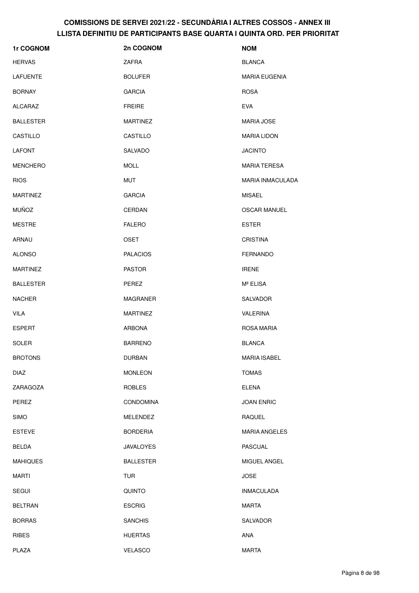| 1r COGNOM        | 2n COGNOM        | <b>NOM</b>              |
|------------------|------------------|-------------------------|
| <b>HERVAS</b>    | ZAFRA            | <b>BLANCA</b>           |
| LAFUENTE         | <b>BOLUFER</b>   | <b>MARIA EUGENIA</b>    |
| <b>BORNAY</b>    | <b>GARCIA</b>    | <b>ROSA</b>             |
| <b>ALCARAZ</b>   | <b>FREIRE</b>    | <b>EVA</b>              |
| <b>BALLESTER</b> | <b>MARTINEZ</b>  | <b>MARIA JOSE</b>       |
| CASTILLO         | CASTILLO         | <b>MARIA LIDON</b>      |
| <b>LAFONT</b>    | SALVADO          | <b>JACINTO</b>          |
| <b>MENCHERO</b>  | <b>MOLL</b>      | <b>MARIA TERESA</b>     |
| <b>RIOS</b>      | <b>MUT</b>       | <b>MARIA INMACULADA</b> |
| <b>MARTINEZ</b>  | <b>GARCIA</b>    | <b>MISAEL</b>           |
| <b>MUÑOZ</b>     | CERDAN           | <b>OSCAR MANUEL</b>     |
| <b>MESTRE</b>    | <b>FALERO</b>    | <b>ESTER</b>            |
| ARNAU            | <b>OSET</b>      | <b>CRISTINA</b>         |
| <b>ALONSO</b>    | <b>PALACIOS</b>  | <b>FERNANDO</b>         |
| <b>MARTINEZ</b>  | <b>PASTOR</b>    | <b>IRENE</b>            |
| <b>BALLESTER</b> | PEREZ            | Mª ELISA                |
| <b>NACHER</b>    | <b>MAGRANER</b>  | SALVADOR                |
| <b>VILA</b>      | <b>MARTINEZ</b>  | VALERINA                |
| <b>ESPERT</b>    | <b>ARBONA</b>    | ROSA MARIA              |
| SOLER            | <b>BARRENO</b>   | <b>BLANCA</b>           |
| <b>BROTONS</b>   | DURBAN           | <b>MARIA ISABEL</b>     |
| <b>DIAZ</b>      | <b>MONLEON</b>   | <b>TOMAS</b>            |
| ZARAGOZA         | <b>ROBLES</b>    | <b>ELENA</b>            |
| PEREZ            | <b>CONDOMINA</b> | <b>JOAN ENRIC</b>       |
| <b>SIMO</b>      | <b>MELENDEZ</b>  | RAQUEL                  |
| <b>ESTEVE</b>    | <b>BORDERIA</b>  | <b>MARIA ANGELES</b>    |
| <b>BELDA</b>     | <b>JAVALOYES</b> | <b>PASCUAL</b>          |
| <b>MAHIQUES</b>  | <b>BALLESTER</b> | MIGUEL ANGEL            |
| <b>MARTI</b>     | <b>TUR</b>       | <b>JOSE</b>             |
| <b>SEGUI</b>     | <b>QUINTO</b>    | <b>INMACULADA</b>       |
| <b>BELTRAN</b>   | <b>ESCRIG</b>    | <b>MARTA</b>            |
| <b>BORRAS</b>    | <b>SANCHIS</b>   | SALVADOR                |
| <b>RIBES</b>     | <b>HUERTAS</b>   | ANA                     |
| PLAZA            | <b>VELASCO</b>   | <b>MARTA</b>            |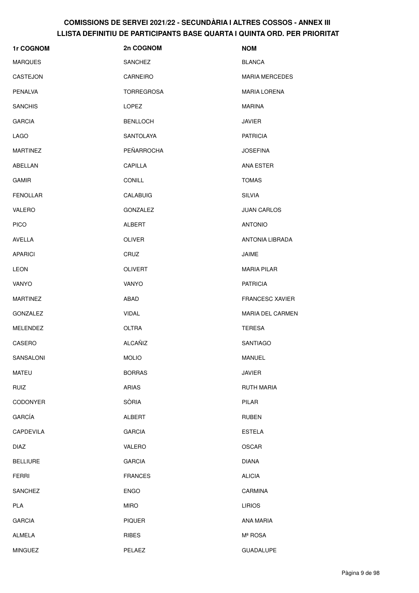| 1r COGNOM       | 2n COGNOM         | <b>NOM</b>             |
|-----------------|-------------------|------------------------|
| <b>MARQUES</b>  | <b>SANCHEZ</b>    | <b>BLANCA</b>          |
| CASTEJON        | CARNEIRO          | <b>MARIA MERCEDES</b>  |
| <b>PENALVA</b>  | <b>TORREGROSA</b> | <b>MARIA LORENA</b>    |
| <b>SANCHIS</b>  | LOPEZ             | <b>MARINA</b>          |
| <b>GARCIA</b>   | <b>BENLLOCH</b>   | <b>JAVIER</b>          |
| <b>LAGO</b>     | SANTOLAYA         | <b>PATRICIA</b>        |
| <b>MARTINEZ</b> | PEÑARROCHA        | <b>JOSEFINA</b>        |
| ABELLAN         | CAPILLA           | ANA ESTER              |
| <b>GAMIR</b>    | <b>CONILL</b>     | <b>TOMAS</b>           |
| <b>FENOLLAR</b> | CALABUIG          | <b>SILVIA</b>          |
| VALERO          | GONZALEZ          | <b>JUAN CARLOS</b>     |
| <b>PICO</b>     | ALBERT            | <b>ANTONIO</b>         |
| AVELLA          | <b>OLIVER</b>     | ANTONIA LIBRADA        |
| <b>APARICI</b>  | CRUZ              | JAIME                  |
| <b>LEON</b>     | <b>OLIVERT</b>    | <b>MARIA PILAR</b>     |
| VANYO           | VANYO             | <b>PATRICIA</b>        |
| <b>MARTINEZ</b> | ABAD              | <b>FRANCESC XAVIER</b> |
| GONZALEZ        | <b>VIDAL</b>      | MARIA DEL CARMEN       |
| MELENDEZ        | <b>OLTRA</b>      | <b>TERESA</b>          |
| CASERO          | <b>ALCAÑIZ</b>    | <b>SANTIAGO</b>        |
| SANSALONI       | <b>MOLIO</b>      | MANUEL                 |
| <b>MATEU</b>    | <b>BORRAS</b>     | <b>JAVIER</b>          |
| RUIZ            | ARIAS             | <b>RUTH MARIA</b>      |
| <b>CODONYER</b> | SÒRIA             | PILAR                  |
| GARCÍA          | ALBERT            | <b>RUBEN</b>           |
| CAPDEVILA       | <b>GARCIA</b>     | <b>ESTELA</b>          |
| <b>DIAZ</b>     | VALERO            | <b>OSCAR</b>           |
| <b>BELLIURE</b> | <b>GARCIA</b>     | <b>DIANA</b>           |
| <b>FERRI</b>    | <b>FRANCES</b>    | <b>ALICIA</b>          |
| SANCHEZ         | <b>ENGO</b>       | CARMINA                |
| PLA             | <b>MIRO</b>       | <b>LIRIOS</b>          |
| <b>GARCIA</b>   | <b>PIQUER</b>     | ANA MARIA              |
| ALMELA          | RIBES             | Mª ROSA                |
| <b>MINGUEZ</b>  | PELAEZ            | GUADALUPE              |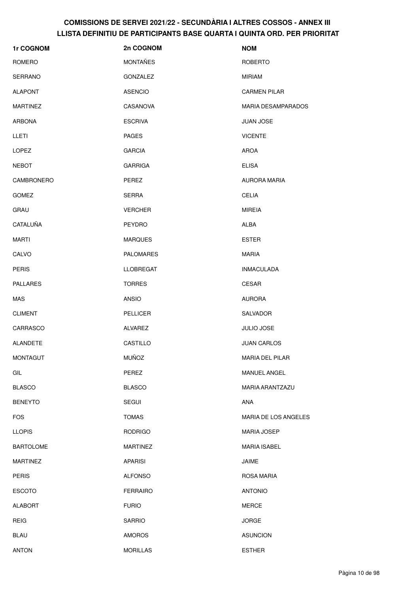| 1r COGNOM        | 2n COGNOM        | <b>NOM</b>                |
|------------------|------------------|---------------------------|
| ROMERO           | <b>MONTAÑES</b>  | <b>ROBERTO</b>            |
| SERRANO          | <b>GONZALEZ</b>  | <b>MIRIAM</b>             |
| <b>ALAPONT</b>   | <b>ASENCIO</b>   | <b>CARMEN PILAR</b>       |
| <b>MARTINEZ</b>  | CASANOVA         | <b>MARIA DESAMPARADOS</b> |
| <b>ARBONA</b>    | <b>ESCRIVA</b>   | <b>JUAN JOSE</b>          |
| LLETI            | <b>PAGES</b>     | <b>VICENTE</b>            |
| <b>LOPEZ</b>     | <b>GARCIA</b>    | AROA                      |
| <b>NEBOT</b>     | <b>GARRIGA</b>   | <b>ELISA</b>              |
| CAMBRONERO       | PEREZ            | AURORA MARIA              |
| <b>GOMEZ</b>     | <b>SERRA</b>     | <b>CELIA</b>              |
| <b>GRAU</b>      | <b>VERCHER</b>   | <b>MIREIA</b>             |
| CATALUÑA         | PEYDRO           | <b>ALBA</b>               |
| <b>MARTI</b>     | <b>MARQUES</b>   | <b>ESTER</b>              |
| CALVO            | <b>PALOMARES</b> | <b>MARIA</b>              |
| <b>PERIS</b>     | <b>LLOBREGAT</b> | <b>INMACULADA</b>         |
| <b>PALLARES</b>  | <b>TORRES</b>    | <b>CESAR</b>              |
| <b>MAS</b>       | <b>ANSIO</b>     | <b>AURORA</b>             |
| <b>CLIMENT</b>   | <b>PELLICER</b>  | SALVADOR                  |
| CARRASCO         | ALVAREZ          | JULIO JOSE                |
| ALANDETE         | CASTILLO         | <b>JUAN CARLOS</b>        |
| <b>MONTAGUT</b>  | <b>MUÑOZ</b>     | MARIA DEL PILAR           |
| GIL              | PEREZ            | MANUEL ANGEL              |
| <b>BLASCO</b>    | <b>BLASCO</b>    | MARIA ARANTZAZU           |
| <b>BENEYTO</b>   | <b>SEGUI</b>     | ANA                       |
| <b>FOS</b>       | <b>TOMAS</b>     | MARIA DE LOS ANGELES      |
| <b>LLOPIS</b>    | <b>RODRIGO</b>   | <b>MARIA JOSEP</b>        |
| <b>BARTOLOME</b> | <b>MARTINEZ</b>  | <b>MARIA ISABEL</b>       |
| <b>MARTINEZ</b>  | <b>APARISI</b>   | JAIME                     |
| <b>PERIS</b>     | <b>ALFONSO</b>   | ROSA MARIA                |
| <b>ESCOTO</b>    | <b>FERRAIRO</b>  | <b>ANTONIO</b>            |
| <b>ALABORT</b>   | <b>FURIO</b>     | <b>MERCE</b>              |
| <b>REIG</b>      | <b>SARRIO</b>    | <b>JORGE</b>              |
| <b>BLAU</b>      | <b>AMOROS</b>    | <b>ASUNCION</b>           |
| <b>ANTON</b>     | <b>MORILLAS</b>  | <b>ESTHER</b>             |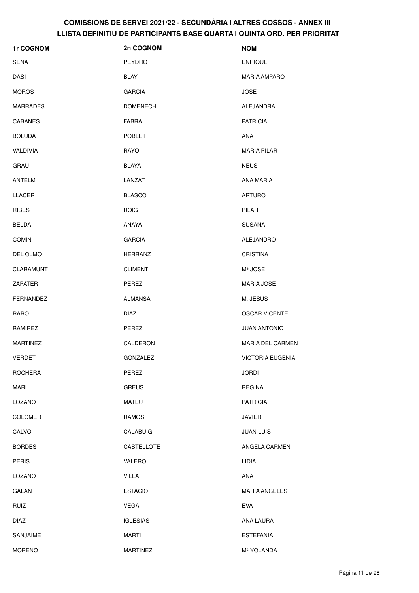| 1r COGNOM        | 2n COGNOM       | <b>NOM</b>              |
|------------------|-----------------|-------------------------|
| <b>SENA</b>      | <b>PEYDRO</b>   | <b>ENRIQUE</b>          |
| <b>DASI</b>      | <b>BLAY</b>     | <b>MARIA AMPARO</b>     |
| <b>MOROS</b>     | <b>GARCIA</b>   | <b>JOSE</b>             |
| <b>MARRADES</b>  | <b>DOMENECH</b> | ALEJANDRA               |
| <b>CABANES</b>   | <b>FABRA</b>    | <b>PATRICIA</b>         |
| <b>BOLUDA</b>    | <b>POBLET</b>   | ANA                     |
| <b>VALDIVIA</b>  | RAYO            | <b>MARIA PILAR</b>      |
| <b>GRAU</b>      | <b>BLAYA</b>    | <b>NEUS</b>             |
| <b>ANTELM</b>    | LANZAT          | <b>ANA MARIA</b>        |
| LLACER           | <b>BLASCO</b>   | <b>ARTURO</b>           |
| <b>RIBES</b>     | <b>ROIG</b>     | PILAR                   |
| <b>BELDA</b>     | ANAYA           | <b>SUSANA</b>           |
| <b>COMIN</b>     | <b>GARCIA</b>   | ALEJANDRO               |
| DEL OLMO         | <b>HERRANZ</b>  | <b>CRISTINA</b>         |
| CLARAMUNT        | <b>CLIMENT</b>  | Mª JOSE                 |
| ZAPATER          | PEREZ           | <b>MARIA JOSE</b>       |
| <b>FERNANDEZ</b> | <b>ALMANSA</b>  | M. JESUS                |
| <b>RARO</b>      | <b>DIAZ</b>     | <b>OSCAR VICENTE</b>    |
| RAMIREZ          | PEREZ           | <b>JUAN ANTONIO</b>     |
| <b>MARTINEZ</b>  | CALDERON        | <b>MARIA DEL CARMEN</b> |
| <b>VERDET</b>    | GONZALEZ        | <b>VICTORIA EUGENIA</b> |
| <b>ROCHERA</b>   | PEREZ           | <b>JORDI</b>            |
| <b>MARI</b>      | <b>GREUS</b>    | <b>REGINA</b>           |
| LOZANO           | <b>MATEU</b>    | <b>PATRICIA</b>         |
| <b>COLOMER</b>   | <b>RAMOS</b>    | <b>JAVIER</b>           |
| CALVO            | <b>CALABUIG</b> | <b>JUAN LUIS</b>        |
| <b>BORDES</b>    | CASTELLOTE      | ANGELA CARMEN           |
| <b>PERIS</b>     | VALERO          | LIDIA                   |
| LOZANO           | <b>VILLA</b>    | ANA                     |
| <b>GALAN</b>     | <b>ESTACIO</b>  | <b>MARIA ANGELES</b>    |
| <b>RUIZ</b>      | <b>VEGA</b>     | <b>EVA</b>              |
| <b>DIAZ</b>      | <b>IGLESIAS</b> | ANA LAURA               |
| SANJAIME         | <b>MARTI</b>    | <b>ESTEFANIA</b>        |
| <b>MORENO</b>    | <b>MARTINEZ</b> | Mª YOLANDA              |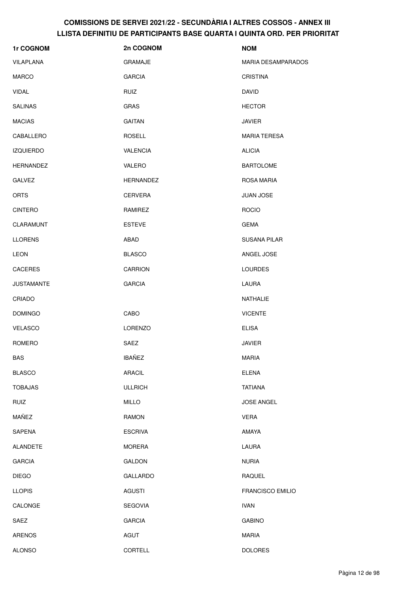| 1r COGNOM         | 2n COGNOM        | <b>NOM</b>                |
|-------------------|------------------|---------------------------|
| VILAPLANA         | <b>GRAMAJE</b>   | <b>MARIA DESAMPARADOS</b> |
| <b>MARCO</b>      | <b>GARCIA</b>    | <b>CRISTINA</b>           |
| <b>VIDAL</b>      | <b>RUIZ</b>      | <b>DAVID</b>              |
| <b>SALINAS</b>    | <b>GRAS</b>      | <b>HECTOR</b>             |
| <b>MACIAS</b>     | <b>GAITAN</b>    | <b>JAVIER</b>             |
| CABALLERO         | <b>ROSELL</b>    | <b>MARIA TERESA</b>       |
| <b>IZQUIERDO</b>  | <b>VALENCIA</b>  | <b>ALICIA</b>             |
| <b>HERNANDEZ</b>  | VALERO           | <b>BARTOLOME</b>          |
| <b>GALVEZ</b>     | <b>HERNANDEZ</b> | <b>ROSA MARIA</b>         |
| <b>ORTS</b>       | CERVERA          | <b>JUAN JOSE</b>          |
| <b>CINTERO</b>    | RAMIREZ          | <b>ROCIO</b>              |
| CLARAMUNT         | <b>ESTEVE</b>    | <b>GEMA</b>               |
| <b>LLORENS</b>    | ABAD             | <b>SUSANA PILAR</b>       |
| <b>LEON</b>       | <b>BLASCO</b>    | ANGEL JOSE                |
| <b>CACERES</b>    | <b>CARRION</b>   | <b>LOURDES</b>            |
| <b>JUSTAMANTE</b> | <b>GARCIA</b>    | LAURA                     |
| CRIADO            |                  | NATHALIE                  |
| <b>DOMINGO</b>    | CABO             | <b>VICENTE</b>            |
| <b>VELASCO</b>    | LORENZO          | <b>ELISA</b>              |
| ROMERO            | SAEZ             | <b>JAVIER</b>             |
| <b>BAS</b>        | <b>IBAÑEZ</b>    | <b>MARIA</b>              |
| <b>BLASCO</b>     | ARACIL           | <b>ELENA</b>              |
| <b>TOBAJAS</b>    | <b>ULLRICH</b>   | <b>TATIANA</b>            |
| <b>RUIZ</b>       | <b>MILLO</b>     | JOSE ANGEL                |
| MAÑEZ             | RAMON            | <b>VERA</b>               |
| SAPENA            | <b>ESCRIVA</b>   | AMAYA                     |
| <b>ALANDETE</b>   | <b>MORERA</b>    | LAURA                     |
| <b>GARCIA</b>     | GALDON           | <b>NURIA</b>              |
| <b>DIEGO</b>      | <b>GALLARDO</b>  | RAQUEL                    |
| <b>LLOPIS</b>     | <b>AGUSTI</b>    | <b>FRANCISCO EMILIO</b>   |
| CALONGE           | <b>SEGOVIA</b>   | <b>IVAN</b>               |
| SAEZ              | <b>GARCIA</b>    | <b>GABINO</b>             |
| ARENOS            | <b>AGUT</b>      | MARIA                     |
| <b>ALONSO</b>     | <b>CORTELL</b>   | <b>DOLORES</b>            |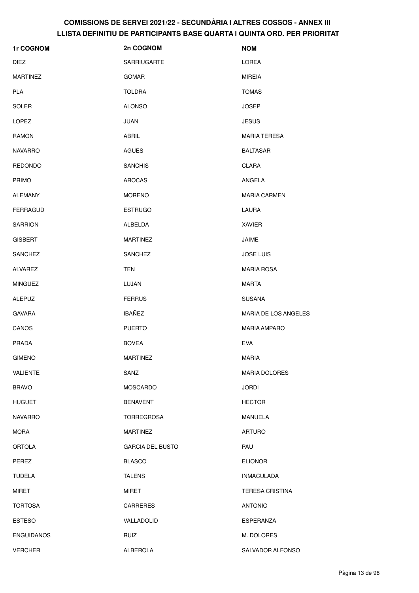| 1r COGNOM         | 2n COGNOM               | <b>NOM</b>             |
|-------------------|-------------------------|------------------------|
| <b>DIEZ</b>       | <b>SARRIUGARTE</b>      | <b>LOREA</b>           |
| <b>MARTINEZ</b>   | <b>GOMAR</b>            | <b>MIREIA</b>          |
| <b>PLA</b>        | <b>TOLDRA</b>           | <b>TOMAS</b>           |
| SOLER             | <b>ALONSO</b>           | <b>JOSEP</b>           |
| <b>LOPEZ</b>      | <b>JUAN</b>             | <b>JESUS</b>           |
| <b>RAMON</b>      | ABRIL                   | <b>MARIA TERESA</b>    |
| <b>NAVARRO</b>    | AGÜES                   | <b>BALTASAR</b>        |
| <b>REDONDO</b>    | <b>SANCHIS</b>          | <b>CLARA</b>           |
| <b>PRIMO</b>      | <b>AROCAS</b>           | ANGELA                 |
| <b>ALEMANY</b>    | <b>MORENO</b>           | <b>MARIA CARMEN</b>    |
| <b>FERRAGUD</b>   | <b>ESTRUGO</b>          | LAURA                  |
| <b>SARRION</b>    | ALBELDA                 | <b>XAVIER</b>          |
| <b>GISBERT</b>    | <b>MARTINEZ</b>         | JAIME                  |
| <b>SANCHEZ</b>    | <b>SANCHEZ</b>          | <b>JOSE LUIS</b>       |
| ALVAREZ           | <b>TEN</b>              | <b>MARIA ROSA</b>      |
| <b>MINGUEZ</b>    | LUJAN                   | <b>MARTA</b>           |
| <b>ALEPUZ</b>     | <b>FERRUS</b>           | <b>SUSANA</b>          |
| <b>GAVARA</b>     | <b>IBAÑEZ</b>           | MARIA DE LOS ANGELES   |
| CANOS             | <b>PUERTO</b>           | <b>MARIA AMPARO</b>    |
| <b>PRADA</b>      | <b>BOVEA</b>            | <b>EVA</b>             |
| <b>GIMENO</b>     | <b>MARTINEZ</b>         | <b>MARIA</b>           |
| VALIENTE          | SANZ                    | MARIA DOLORES          |
| <b>BRAVO</b>      | <b>MOSCARDO</b>         | <b>JORDI</b>           |
| <b>HUGUET</b>     | <b>BENAVENT</b>         | <b>HECTOR</b>          |
| <b>NAVARRO</b>    | <b>TORREGROSA</b>       | <b>MANUELA</b>         |
| <b>MORA</b>       | <b>MARTINEZ</b>         | <b>ARTURO</b>          |
| <b>ORTOLA</b>     | <b>GARCIA DEL BUSTO</b> | PAU                    |
| PEREZ             | <b>BLASCO</b>           | <b>ELIONOR</b>         |
| <b>TUDELA</b>     | <b>TALENS</b>           | <b>INMACULADA</b>      |
| MIRET             | MIRET                   | <b>TERESA CRISTINA</b> |
| <b>TORTOSA</b>    | CARRERES                | <b>ANTONIO</b>         |
| <b>ESTESO</b>     | VALLADOLID              | ESPERANZA              |
| <b>ENGUIDANOS</b> | <b>RUIZ</b>             | M. DOLORES             |
| <b>VERCHER</b>    | ALBEROLA                | SALVADOR ALFONSO       |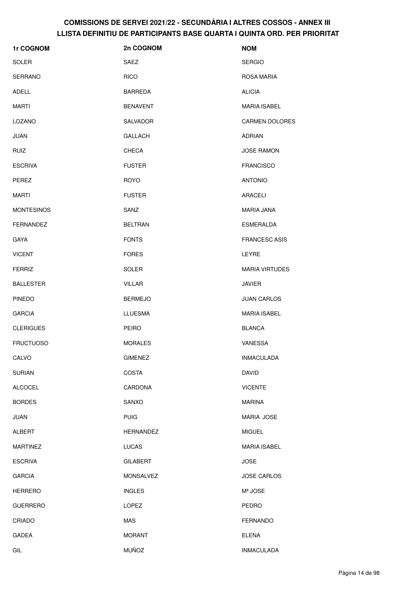| 1r COGNOM         | 2n COGNOM        | <b>NOM</b>            |
|-------------------|------------------|-----------------------|
| <b>SOLER</b>      | SAEZ             | <b>SERGIO</b>         |
| <b>SERRANO</b>    | <b>RICO</b>      | ROSA MARIA            |
| ADELL             | <b>BARREDA</b>   | <b>ALICIA</b>         |
| <b>MARTI</b>      | <b>BENAVENT</b>  | <b>MARIA ISABEL</b>   |
| LOZANO            | <b>SALVADOR</b>  | <b>CARMEN DOLORES</b> |
| <b>JUAN</b>       | <b>GALLACH</b>   | <b>ADRIAN</b>         |
| <b>RUIZ</b>       | CHECA            | <b>JOSE RAMON</b>     |
| <b>ESCRIVA</b>    | <b>FUSTER</b>    | <b>FRANCISCO</b>      |
| <b>PEREZ</b>      | <b>ROYO</b>      | <b>ANTONIO</b>        |
| <b>MARTI</b>      | <b>FUSTER</b>    | <b>ARACELI</b>        |
| <b>MONTESINOS</b> | SANZ             | MARIA JANA            |
| <b>FERNANDEZ</b>  | <b>BELTRAN</b>   | <b>ESMERALDA</b>      |
| <b>GAYA</b>       | <b>FONTS</b>     | <b>FRANCESC ASIS</b>  |
| <b>VICENT</b>     | <b>FORES</b>     | LEYRE                 |
| <b>FERRIZ</b>     | <b>SOLER</b>     | <b>MARIA VIRTUDES</b> |
| <b>BALLESTER</b>  | <b>VILLAR</b>    | <b>JAVIER</b>         |
| <b>PINEDO</b>     | <b>BERMEJO</b>   | <b>JUAN CARLOS</b>    |
| <b>GARCIA</b>     | <b>LLUESMA</b>   | <b>MARIA ISABEL</b>   |
| <b>CLERIGUES</b>  | PEIRO            | <b>BLANCA</b>         |
| <b>FRUCTUOSO</b>  | <b>MORALES</b>   | VANESSA               |
| CALVO             | <b>GIMENEZ</b>   | <b>INMACULADA</b>     |
| <b>SURIAN</b>     | <b>COSTA</b>     | <b>DAVID</b>          |
| <b>ALCOCEL</b>    | CARDONA          | <b>VICENTE</b>        |
| <b>BORDES</b>     | SANXO            | <b>MARINA</b>         |
| <b>JUAN</b>       | <b>PUIG</b>      | <b>MARIA JOSE</b>     |
| <b>ALBERT</b>     | HERNANDEZ        | <b>MIGUEL</b>         |
| <b>MARTINEZ</b>   | LUCAS            | <b>MARIA ISABEL</b>   |
| <b>ESCRIVA</b>    | <b>GILABERT</b>  | <b>JOSE</b>           |
| <b>GARCIA</b>     | <b>MONSALVEZ</b> | <b>JOSE CARLOS</b>    |
| <b>HERRERO</b>    | <b>INGLES</b>    | Mª JOSE               |
| <b>GUERRERO</b>   | LOPEZ            | <b>PEDRO</b>          |
| CRIADO            | <b>MAS</b>       | <b>FERNANDO</b>       |
| <b>GADEA</b>      | <b>MORANT</b>    | <b>ELENA</b>          |
| GIL               | <b>MUÑOZ</b>     | <b>INMACULADA</b>     |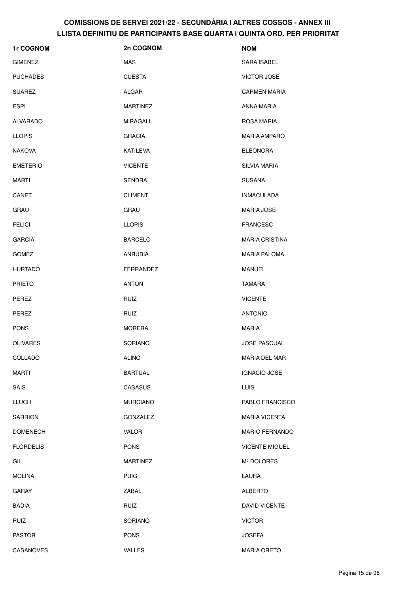| <b>1r COGNOM</b> | 2n COGNOM       | <b>NOM</b>            |
|------------------|-----------------|-----------------------|
| <b>GIMENEZ</b>   | MAS             | SARA ISABEL           |
| <b>PUCHADES</b>  | <b>CUESTA</b>   | <b>VICTOR JOSE</b>    |
| <b>SUAREZ</b>    | ALGAR           | <b>CARMEN MARIA</b>   |
| <b>ESPI</b>      | <b>MARTINEZ</b> | ANNA MARIA            |
| ALVARADO         | <b>MIRAGALL</b> | <b>ROSA MARIA</b>     |
| <b>LLOPIS</b>    | <b>GRACIA</b>   | <b>MARIA AMPARO</b>   |
| <b>NAKOVA</b>    | KATILEVA        | <b>ELEONORA</b>       |
| <b>EMETERIO</b>  | <b>VICENTE</b>  | <b>SILVIA MARIA</b>   |
| <b>MARTI</b>     | <b>SENDRA</b>   | <b>SUSANA</b>         |
| CANET            | <b>CLIMENT</b>  | <b>INMACULADA</b>     |
| <b>GRAU</b>      | GRAU            | <b>MARIA JOSE</b>     |
| <b>FELICI</b>    | <b>LLOPIS</b>   | <b>FRANCESC</b>       |
| <b>GARCIA</b>    | <b>BARCELO</b>  | <b>MARIA CRISTINA</b> |
| <b>GOMEZ</b>     | <b>ANRUBIA</b>  | <b>MARIA PALOMA</b>   |
| <b>HURTADO</b>   | FERRANDEZ       | MANUEL                |
| <b>PRIETO</b>    | <b>ANTON</b>    | TAMARA                |
| PEREZ            | <b>RUIZ</b>     | <b>VICENTE</b>        |
| PEREZ            | <b>RUIZ</b>     | <b>ANTONIO</b>        |
| <b>PONS</b>      | <b>MORERA</b>   | <b>MARIA</b>          |
| <b>OLIVARES</b>  | <b>SORIANO</b>  | <b>JOSE PASCUAL</b>   |
| COLLADO          | <b>ALIÑO</b>    | MARIA DEL MAR         |
| <b>MARTI</b>     | <b>BARTUAL</b>  | <b>IGNACIO JOSE</b>   |
| SAIS             | CASASUS         | <b>LUIS</b>           |
| <b>LLUCH</b>     | <b>MURCIANO</b> | PABLO FRANCISCO       |
| <b>SARRION</b>   | GONZALEZ        | <b>MARIA VICENTA</b>  |
| <b>DOMENECH</b>  | <b>VALOR</b>    | <b>MARIO FERNANDO</b> |
| <b>FLORDELIS</b> | <b>PONS</b>     | <b>VICENTE MIGUEL</b> |
| GIL              | <b>MARTINEZ</b> | Mª DOLORES            |
| <b>MOLINA</b>    | <b>PUIG</b>     | LAURA                 |
| <b>GARAY</b>     | ZABAL           | <b>ALBERTO</b>        |
| <b>BADIA</b>     | <b>RUIZ</b>     | DAVID VICENTE         |
| <b>RUIZ</b>      | SORIANO         | <b>VICTOR</b>         |
| <b>PASTOR</b>    | <b>PONS</b>     | <b>JOSEFA</b>         |
| CASANOVES        | <b>VALLES</b>   | <b>MARIA ORETO</b>    |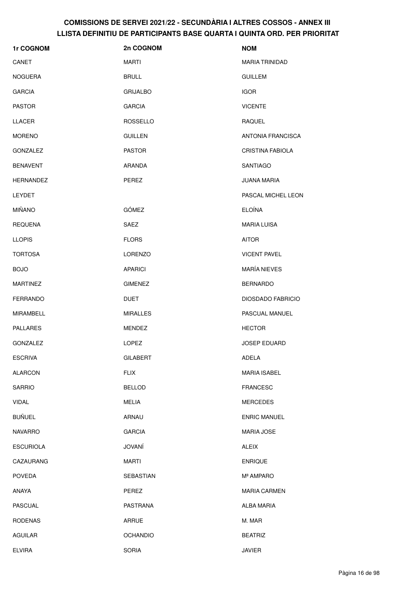| 1r COGNOM        | 2n COGNOM       | <b>NOM</b>               |
|------------------|-----------------|--------------------------|
| CANET            | <b>MARTI</b>    | <b>MARIA TRINIDAD</b>    |
| <b>NOGUERA</b>   | <b>BRULL</b>    | <b>GUILLEM</b>           |
| <b>GARCIA</b>    | <b>GRIJALBO</b> | <b>IGOR</b>              |
| <b>PASTOR</b>    | <b>GARCIA</b>   | <b>VICENTE</b>           |
| <b>LLACER</b>    | <b>ROSSELLO</b> | RAQUEL                   |
| <b>MORENO</b>    | <b>GUILLEN</b>  | ANTONIA FRANCISCA        |
| <b>GONZALEZ</b>  | <b>PASTOR</b>   | <b>CRISTINA FABIOLA</b>  |
| <b>BENAVENT</b>  | ARANDA          | <b>SANTIAGO</b>          |
| <b>HERNANDEZ</b> | PEREZ           | <b>JUANA MARIA</b>       |
| <b>LEYDET</b>    |                 | PASCAL MICHEL LEON       |
| <b>MIÑANO</b>    | <b>GÓMEZ</b>    | <b>ELOÍNA</b>            |
| <b>REQUENA</b>   | SAEZ            | <b>MARIA LUISA</b>       |
| <b>LLOPIS</b>    | <b>FLORS</b>    | <b>AITOR</b>             |
| <b>TORTOSA</b>   | <b>LORENZO</b>  | <b>VICENT PAVEL</b>      |
| <b>BOJO</b>      | <b>APARICI</b>  | <b>MARÍA NIEVES</b>      |
| <b>MARTINEZ</b>  | <b>GIMENEZ</b>  | <b>BERNARDO</b>          |
| <b>FERRANDO</b>  | <b>DUET</b>     | <b>DIOSDADO FABRICIO</b> |
| MIRAMBELL        | <b>MIRALLES</b> | PASCUAL MANUEL           |
| <b>PALLARES</b>  | <b>MENDEZ</b>   | <b>HECTOR</b>            |
| <b>GONZALEZ</b>  | LOPEZ           | <b>JOSEP EDUARD</b>      |
| <b>ESCRIVA</b>   | <b>GILABERT</b> | ADELA                    |
| <b>ALARCON</b>   | <b>FLIX</b>     | <b>MARIA ISABEL</b>      |
| <b>SARRIO</b>    | <b>BELLOD</b>   | <b>FRANCESC</b>          |
| <b>VIDAL</b>     | <b>MELIA</b>    | <b>MERCEDES</b>          |
| <b>BUÑUEL</b>    | ARNAU           | <b>ENRIC MANUEL</b>      |
| <b>NAVARRO</b>   | <b>GARCIA</b>   | <b>MARIA JOSE</b>        |
| <b>ESCURIOLA</b> | JOVANÍ          | <b>ALEIX</b>             |
| CAZAURANG        | <b>MARTI</b>    | <b>ENRIQUE</b>           |
| <b>POVEDA</b>    | SEBASTIAN       | Mª AMPARO                |
| ANAYA            | PEREZ           | <b>MARIA CARMEN</b>      |
| <b>PASCUAL</b>   | PASTRANA        | ALBA MARIA               |
| <b>RODENAS</b>   | ARRUE           | M. MAR                   |
| AGUILAR          | <b>OCHANDIO</b> | <b>BEATRIZ</b>           |
| <b>ELVIRA</b>    | SORIA           | JAVIER                   |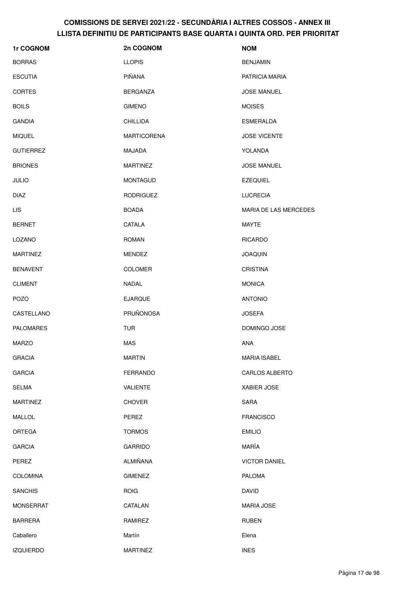| 1r COGNOM        | 2n COGNOM          | <b>NOM</b>                   |
|------------------|--------------------|------------------------------|
| <b>BORRAS</b>    | <b>LLOPIS</b>      | <b>BENJAMIN</b>              |
| <b>ESCUTIA</b>   | PIÑANA             | PATRICIA MARIA               |
| <b>CORTES</b>    | <b>BERGANZA</b>    | <b>JOSE MANUEL</b>           |
| <b>BOILS</b>     | <b>GIMENO</b>      | <b>MOISES</b>                |
| <b>GANDIA</b>    | <b>CHILLIDA</b>    | <b>ESMERALDA</b>             |
| <b>MIQUEL</b>    | <b>MARTICORENA</b> | <b>JOSE VICENTE</b>          |
| <b>GUTIERREZ</b> | MAJADA             | YOLANDA                      |
| <b>BRIONES</b>   | <b>MARTINEZ</b>    | <b>JOSE MANUEL</b>           |
| <b>JULIO</b>     | <b>MONTAGUD</b>    | <b>EZEQUIEL</b>              |
| <b>DIAZ</b>      | <b>RODRIGUEZ</b>   | <b>LUCRECIA</b>              |
| <b>LIS</b>       | <b>BOADA</b>       | <b>MARIA DE LAS MERCEDES</b> |
| <b>BERNET</b>    | CATALA             | MAYTE                        |
| LOZANO           | <b>ROMAN</b>       | <b>RICARDO</b>               |
| <b>MARTINEZ</b>  | <b>MENDEZ</b>      | <b>JOAQUIN</b>               |
| <b>BENAVENT</b>  | <b>COLOMER</b>     | <b>CRISTINA</b>              |
| <b>CLIMENT</b>   | NADAL              | <b>MONICA</b>                |
| <b>POZO</b>      | <b>EJARQUE</b>     | <b>ANTONIO</b>               |
| CASTELLANO       | PRUÑONOSA          | <b>JOSEFA</b>                |
| <b>PALOMARES</b> | <b>TUR</b>         | DOMINGO JOSE                 |
| <b>MARZO</b>     | <b>MAS</b>         | <b>ANA</b>                   |
| <b>GRACIA</b>    | <b>MARTIN</b>      | <b>MARIA ISABEL</b>          |
| <b>GARCIA</b>    | <b>FERRANDO</b>    | CARLOS ALBERTO               |
| SELMA            | VALIENTE           | XABIER JOSE                  |
| <b>MARTINEZ</b>  | <b>CHOVER</b>      | <b>SARA</b>                  |
| <b>MALLOL</b>    | PEREZ              | <b>FRANCISCO</b>             |
| <b>ORTEGA</b>    | <b>TORMOS</b>      | <b>EMILIO</b>                |
| <b>GARCIA</b>    | <b>GARRIDO</b>     | MARÍA                        |
| PEREZ            | ALMIÑANA           | <b>VICTOR DANIEL</b>         |
| <b>COLOMINA</b>  | <b>GIMENEZ</b>     | <b>PALOMA</b>                |
| <b>SANCHIS</b>   | <b>ROIG</b>        | <b>DAVID</b>                 |
| <b>MONSERRAT</b> | CATALAN            | <b>MARIA JOSE</b>            |
| <b>BARRERA</b>   | RAMIREZ            | <b>RUBEN</b>                 |
| Caballero        | Martín             | Elena                        |
| <b>IZQUIERDO</b> | <b>MARTINEZ</b>    | <b>INES</b>                  |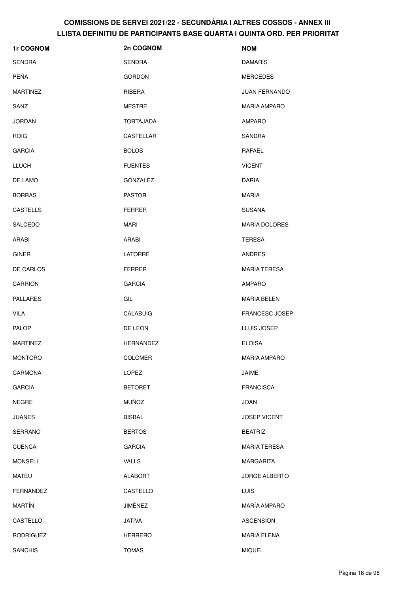| 1r COGNOM        | 2n COGNOM        | <b>NOM</b>           |
|------------------|------------------|----------------------|
| <b>SENDRA</b>    | <b>SENDRA</b>    | <b>DAMARIS</b>       |
| PEÑA             | <b>GORDON</b>    | <b>MERCEDES</b>      |
| <b>MARTINEZ</b>  | RIBERA           | <b>JUAN FERNANDO</b> |
| SANZ             | <b>MESTRE</b>    | <b>MARIA AMPARO</b>  |
| <b>JORDAN</b>    | <b>TORTAJADA</b> | <b>AMPARO</b>        |
| <b>ROIG</b>      | CASTELLAR        | SANDRA               |
| <b>GARCIA</b>    | <b>BOLOS</b>     | RAFAEL               |
| <b>LLUCH</b>     | <b>FUENTES</b>   | <b>VICENT</b>        |
| DE LAMO          | GONZALEZ         | DARIA                |
| <b>BORRAS</b>    | <b>PASTOR</b>    | <b>MARIA</b>         |
| <b>CASTELLS</b>  | <b>FERRER</b>    | <b>SUSANA</b>        |
| SALCEDO          | MARI             | <b>MARIA DOLORES</b> |
| ARABI            | ARABI            | TERESA               |
| <b>GINER</b>     | <b>LATORRE</b>   | <b>ANDRES</b>        |
| DE CARLOS        | <b>FERRER</b>    | <b>MARIA TERESA</b>  |
| <b>CARRION</b>   | <b>GARCIA</b>    | AMPARO               |
| <b>PALLARES</b>  | GIL              | <b>MARIA BELEN</b>   |
| <b>VILA</b>      | CALABUIG         | FRANCESC JOSEP       |
| <b>PALOP</b>     | DE LEON          | LLUIS JOSEP          |
| <b>MARTINEZ</b>  | <b>HERNANDEZ</b> | <b>ELOISA</b>        |
| <b>MONTORO</b>   | <b>COLOMER</b>   | <b>MARIA AMPARO</b>  |
| CARMONA          | LOPEZ            | JAIME                |
| <b>GARCIA</b>    | <b>BETORET</b>   | <b>FRANCISCA</b>     |
| <b>NEGRE</b>     | <b>MUÑOZ</b>     | <b>JOAN</b>          |
| <b>JUANES</b>    | <b>BISBAL</b>    | <b>JOSEP VICENT</b>  |
| SERRANO          | <b>BERTOS</b>    | <b>BEATRIZ</b>       |
| <b>CUENCA</b>    | <b>GARCIA</b>    | <b>MARIA TERESA</b>  |
| <b>MONSELL</b>   | <b>VALLS</b>     | MARGARITA            |
| <b>MATEU</b>     | <b>ALABORT</b>   | <b>JORGE ALBERTO</b> |
| <b>FERNANDEZ</b> | CASTELLO         | <b>LUIS</b>          |
| <b>MARTÍN</b>    | JIMÉNEZ          | MARÍA AMPARO         |
| CASTELLO         | <b>JATIVA</b>    | <b>ASCENSION</b>     |
| <b>RODRIGUEZ</b> | <b>HERRERO</b>   | <b>MARIA ELENA</b>   |
| <b>SANCHIS</b>   | <b>TOMAS</b>     | <b>MIQUEL</b>        |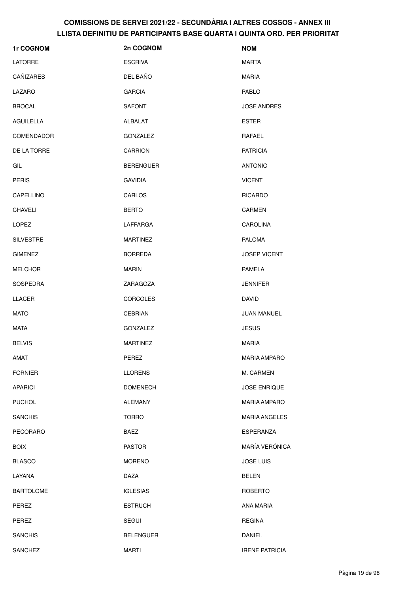| 1r COGNOM         | 2n COGNOM        | <b>NOM</b>            |
|-------------------|------------------|-----------------------|
| <b>LATORRE</b>    | <b>ESCRIVA</b>   | <b>MARTA</b>          |
| CAÑIZARES         | DEL BAÑO         | <b>MARIA</b>          |
| LAZARO            | <b>GARCIA</b>    | PABLO                 |
| <b>BROCAL</b>     | <b>SAFONT</b>    | <b>JOSE ANDRES</b>    |
| <b>AGUILELLA</b>  | ALBALAT          | <b>ESTER</b>          |
| <b>COMENDADOR</b> | <b>GONZALEZ</b>  | RAFAEL                |
| DE LA TORRE       | <b>CARRION</b>   | <b>PATRICIA</b>       |
| GIL               | <b>BERENGUER</b> | <b>ANTONIO</b>        |
| <b>PERIS</b>      | <b>GAVIDIA</b>   | <b>VICENT</b>         |
| CAPELLINO         | CARLOS           | <b>RICARDO</b>        |
| <b>CHAVELI</b>    | <b>BERTO</b>     | <b>CARMEN</b>         |
| LOPEZ             | LAFFARGA         | <b>CAROLINA</b>       |
| <b>SILVESTRE</b>  | <b>MARTINEZ</b>  | <b>PALOMA</b>         |
| <b>GIMENEZ</b>    | <b>BORREDA</b>   | <b>JOSEP VICENT</b>   |
| <b>MELCHOR</b>    | <b>MARIN</b>     | PAMELA                |
| SOSPEDRA          | ZARAGOZA         | <b>JENNIFER</b>       |
| LLACER            | <b>CORCOLES</b>  | DAVID                 |
| <b>MATO</b>       | <b>CEBRIAN</b>   | JUAN MANUEL           |
| <b>MATA</b>       | GONZALEZ         | <b>JESUS</b>          |
| <b>BELVIS</b>     | <b>MARTINEZ</b>  | <b>MARIA</b>          |
| <b>AMAT</b>       | PEREZ            | <b>MARIA AMPARO</b>   |
| <b>FORNIER</b>    | <b>LLORENS</b>   | M. CARMEN             |
| <b>APARICI</b>    | <b>DOMENECH</b>  | <b>JOSE ENRIQUE</b>   |
| <b>PUCHOL</b>     | <b>ALEMANY</b>   | <b>MARIA AMPARO</b>   |
| <b>SANCHIS</b>    | <b>TORRO</b>     | <b>MARIA ANGELES</b>  |
| PECORARO          | BAEZ             | <b>ESPERANZA</b>      |
| <b>BOIX</b>       | <b>PASTOR</b>    | MARÍA VERÓNICA        |
| <b>BLASCO</b>     | <b>MORENO</b>    | <b>JOSE LUIS</b>      |
| LAYANA            | <b>DAZA</b>      | <b>BELEN</b>          |
| <b>BARTOLOME</b>  | <b>IGLESIAS</b>  | <b>ROBERTO</b>        |
| PEREZ             | <b>ESTRUCH</b>   | ANA MARIA             |
| PEREZ             | <b>SEGUI</b>     | <b>REGINA</b>         |
| <b>SANCHIS</b>    | <b>BELENGUER</b> | <b>DANIEL</b>         |
| <b>SANCHEZ</b>    | <b>MARTI</b>     | <b>IRENE PATRICIA</b> |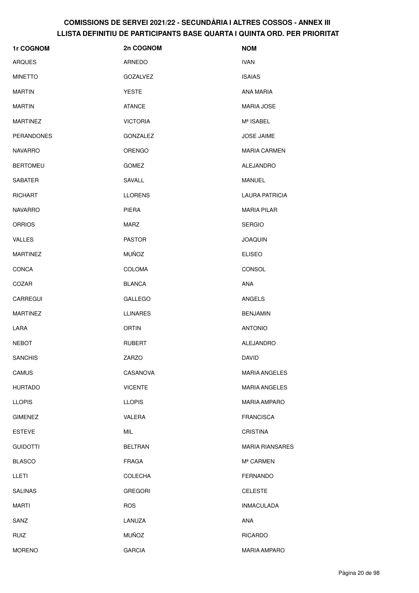| 1r COGNOM         | 2n COGNOM       | <b>NOM</b>             |
|-------------------|-----------------|------------------------|
| <b>ARQUES</b>     | ARNEDO          | <b>IVAN</b>            |
| <b>MINETTO</b>    | <b>GOZALVEZ</b> | <b>ISAIAS</b>          |
| <b>MARTIN</b>     | YESTE           | ANA MARIA              |
| <b>MARTIN</b>     | <b>ATANCE</b>   | <b>MARIA JOSE</b>      |
| <b>MARTINEZ</b>   | <b>VICTORIA</b> | Mª ISABEL              |
| <b>PERANDONES</b> | <b>GONZALEZ</b> | <b>JOSE JAIME</b>      |
| NAVARRO           | <b>ORENGO</b>   | <b>MARIA CARMEN</b>    |
| <b>BERTOMEU</b>   | <b>GOMEZ</b>    | ALEJANDRO              |
| <b>SABATER</b>    | SAVALL          | MANUEL                 |
| <b>RICHART</b>    | <b>LLORENS</b>  | LAURA PATRICIA         |
| <b>NAVARRO</b>    | PIERA           | <b>MARIA PILAR</b>     |
| <b>ORRIOS</b>     | MARZ            | <b>SERGIO</b>          |
| <b>VALLES</b>     | <b>PASTOR</b>   | <b>JOAQUIN</b>         |
| <b>MARTINEZ</b>   | <b>MUÑOZ</b>    | <b>ELISEO</b>          |
| <b>CONCA</b>      | <b>COLOMA</b>   | <b>CONSOL</b>          |
| COZAR             | <b>BLANCA</b>   | <b>ANA</b>             |
| CARREGUI          | <b>GALLEGO</b>  | <b>ANGELS</b>          |
| <b>MARTINEZ</b>   | <b>LLINARES</b> | <b>BENJAMIN</b>        |
| LARA              | <b>ORTIN</b>    | <b>ANTONIO</b>         |
| <b>NEBOT</b>      | <b>RUBERT</b>   | ALEJANDRO              |
| <b>SANCHIS</b>    | ZARZO           | <b>DAVID</b>           |
| CAMUS             | CASANOVA        | <b>MARIA ANGELES</b>   |
| <b>HURTADO</b>    | <b>VICENTE</b>  | <b>MARIA ANGELES</b>   |
| <b>LLOPIS</b>     | <b>LLOPIS</b>   | <b>MARIA AMPARO</b>    |
| <b>GIMENEZ</b>    | VALERA          | <b>FRANCISCA</b>       |
| <b>ESTEVE</b>     | MIL             | <b>CRISTINA</b>        |
| <b>GUIDOTTI</b>   | <b>BELTRAN</b>  | <b>MARIA RIANSARES</b> |
| <b>BLASCO</b>     | FRAGA           | M <sup>ª</sup> CARMEN  |
| <b>LLETI</b>      | <b>COLECHA</b>  | <b>FERNANDO</b>        |
| <b>SALINAS</b>    | <b>GREGORI</b>  | <b>CELESTE</b>         |
| <b>MARTI</b>      | <b>ROS</b>      | <b>INMACULADA</b>      |
| SANZ              | LANUZA          | <b>ANA</b>             |
| <b>RUIZ</b>       | <b>MUÑOZ</b>    | <b>RICARDO</b>         |
| <b>MORENO</b>     | <b>GARCIA</b>   | <b>MARIA AMPARO</b>    |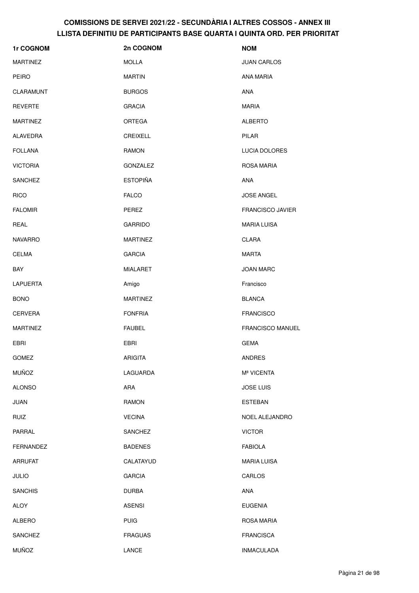| 1r COGNOM        | 2n COGNOM       | <b>NOM</b>              |
|------------------|-----------------|-------------------------|
| <b>MARTINEZ</b>  | <b>MOLLA</b>    | <b>JUAN CARLOS</b>      |
| <b>PEIRO</b>     | <b>MARTIN</b>   | ANA MARIA               |
| CLARAMUNT        | <b>BURGOS</b>   | <b>ANA</b>              |
| <b>REVERTE</b>   | <b>GRACIA</b>   | <b>MARIA</b>            |
| <b>MARTINEZ</b>  | <b>ORTEGA</b>   | <b>ALBERTO</b>          |
| ALAVEDRA         | <b>CREIXELL</b> | <b>PILAR</b>            |
| <b>FOLLANA</b>   | <b>RAMON</b>    | LUCIA DOLORES           |
| <b>VICTORIA</b>  | GONZALEZ        | ROSA MARIA              |
| <b>SANCHEZ</b>   | <b>ESTOPIÑA</b> | <b>ANA</b>              |
| <b>RICO</b>      | <b>FALCO</b>    | <b>JOSE ANGEL</b>       |
| <b>FALOMIR</b>   | PEREZ           | <b>FRANCISCO JAVIER</b> |
| REAL             | <b>GARRIDO</b>  | <b>MARIA LUISA</b>      |
| <b>NAVARRO</b>   | <b>MARTINEZ</b> | <b>CLARA</b>            |
| <b>CELMA</b>     | <b>GARCIA</b>   | <b>MARTA</b>            |
| BAY              | <b>MIALARET</b> | JOAN MARC               |
| <b>LAPUERTA</b>  | Amigo           | Francisco               |
| <b>BONO</b>      | <b>MARTINEZ</b> | <b>BLANCA</b>           |
| <b>CERVERA</b>   | <b>FONFRIA</b>  | <b>FRANCISCO</b>        |
| <b>MARTINEZ</b>  | <b>FAUBEL</b>   | <b>FRANCISCO MANUEL</b> |
| EBRI             | EBRI            | <b>GEMA</b>             |
| GOMEZ            | <b>ARIGITA</b>  | <b>ANDRES</b>           |
| <b>MUÑOZ</b>     | LAGUARDA        | Mª VICENTA              |
| <b>ALONSO</b>    | <b>ARA</b>      | <b>JOSE LUIS</b>        |
| <b>JUAN</b>      | <b>RAMON</b>    | <b>ESTEBAN</b>          |
| <b>RUIZ</b>      | <b>VECINA</b>   | NOEL ALEJANDRO          |
| PARRAL           | SANCHEZ         | <b>VICTOR</b>           |
| <b>FERNANDEZ</b> | <b>BADENES</b>  | <b>FABIOLA</b>          |
| <b>ARRUFAT</b>   | CALATAYUD       | <b>MARIA LUISA</b>      |
| <b>JULIO</b>     | <b>GARCIA</b>   | CARLOS                  |
| <b>SANCHIS</b>   | <b>DURBA</b>    | ANA                     |
| <b>ALOY</b>      | <b>ASENSI</b>   | <b>EUGENIA</b>          |
| ALBERO           | <b>PUIG</b>     | <b>ROSA MARIA</b>       |
| <b>SANCHEZ</b>   | <b>FRAGUAS</b>  | <b>FRANCISCA</b>        |
| <b>MUÑOZ</b>     | LANCE           | <b>INMACULADA</b>       |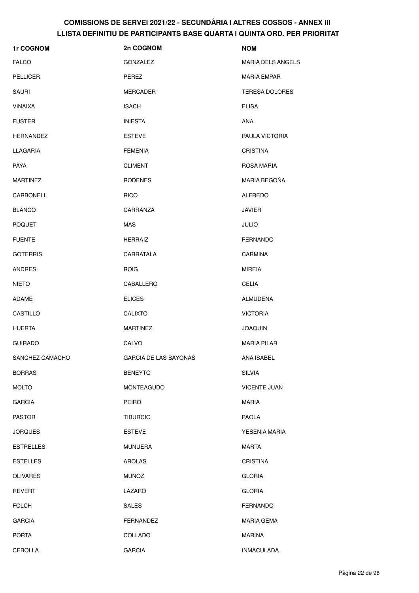| 1r COGNOM        | 2n COGNOM             | <b>NOM</b>               |
|------------------|-----------------------|--------------------------|
| <b>FALCO</b>     | <b>GONZALEZ</b>       | <b>MARIA DELS ANGELS</b> |
| <b>PELLICER</b>  | PEREZ                 | <b>MARIA EMPAR</b>       |
| <b>SAURI</b>     | MERCADER              | <b>TERESA DOLORES</b>    |
| <b>VINAIXA</b>   | <b>ISACH</b>          | <b>ELISA</b>             |
| <b>FUSTER</b>    | <b>INIESTA</b>        | ANA                      |
| <b>HERNANDEZ</b> | <b>ESTEVE</b>         | PAULA VICTORIA           |
| LLAGARIA         | <b>FEMENIA</b>        | <b>CRISTINA</b>          |
| <b>PAYA</b>      | <b>CLIMENT</b>        | ROSA MARIA               |
| <b>MARTINEZ</b>  | <b>RODENES</b>        | MARIA BEGOÑA             |
| CARBONELL        | <b>RICO</b>           | ALFREDO                  |
| <b>BLANCO</b>    | CARRANZA              | <b>JAVIER</b>            |
| <b>POQUET</b>    | <b>MAS</b>            | <b>JULIO</b>             |
| <b>FUENTE</b>    | <b>HERRAIZ</b>        | <b>FERNANDO</b>          |
| <b>GOTERRIS</b>  | CARRATALA             | <b>CARMINA</b>           |
| ANDRES           | <b>ROIG</b>           | <b>MIREIA</b>            |
| <b>NIETO</b>     | CABALLERO             | <b>CELIA</b>             |
| ADAME            | <b>ELICES</b>         | ALMUDENA                 |
| CASTILLO         | <b>CALIXTO</b>        | <b>VICTORIA</b>          |
| <b>HUERTA</b>    | <b>MARTINEZ</b>       | <b>JOAQUIN</b>           |
| <b>GUIRADO</b>   | CALVO                 | <b>MARIA PILAR</b>       |
| SANCHEZ CAMACHO  | GARCIA DE LAS BAYONAS | ANA ISABEL               |
| <b>BORRAS</b>    | <b>BENEYTO</b>        | <b>SILVIA</b>            |
| <b>MOLTO</b>     | <b>MONTEAGUDO</b>     | <b>VICENTE JUAN</b>      |
| <b>GARCIA</b>    | <b>PEIRO</b>          | <b>MARIA</b>             |
| <b>PASTOR</b>    | <b>TIBURCIO</b>       | <b>PAOLA</b>             |
| <b>JORQUES</b>   | <b>ESTEVE</b>         | YESENIA MARIA            |
| <b>ESTRELLES</b> | <b>MUNUERA</b>        | <b>MARTA</b>             |
| <b>ESTELLES</b>  | <b>AROLAS</b>         | <b>CRISTINA</b>          |
| <b>OLIVARES</b>  | <b>MUÑOZ</b>          | <b>GLORIA</b>            |
| <b>REVERT</b>    | LAZARO                | <b>GLORIA</b>            |
| <b>FOLCH</b>     | <b>SALES</b>          | <b>FERNANDO</b>          |
| <b>GARCIA</b>    | FERNANDEZ             | MARIA GEMA               |
| <b>PORTA</b>     | COLLADO               | <b>MARINA</b>            |
| <b>CEBOLLA</b>   | <b>GARCIA</b>         | <b>INMACULADA</b>        |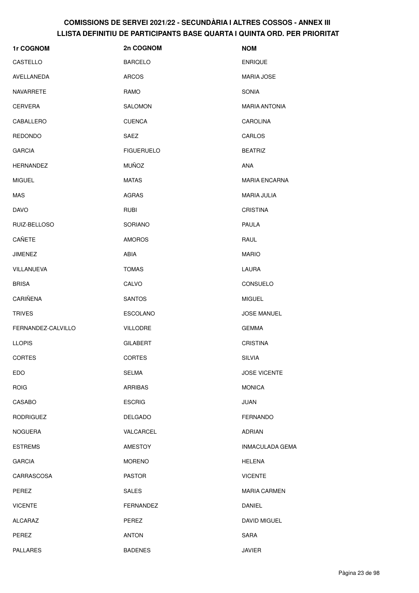| 1r COGNOM          | 2n COGNOM         | <b>NOM</b>           |
|--------------------|-------------------|----------------------|
| CASTELLO           | <b>BARCELO</b>    | <b>ENRIQUE</b>       |
| AVELLANEDA         | <b>ARCOS</b>      | <b>MARIA JOSE</b>    |
| NAVARRETE          | RAMO              | <b>SONIA</b>         |
| <b>CERVERA</b>     | <b>SALOMON</b>    | <b>MARIA ANTONIA</b> |
| CABALLERO          | <b>CUENCA</b>     | <b>CAROLINA</b>      |
| <b>REDONDO</b>     | SAEZ              | CARLOS               |
| <b>GARCIA</b>      | <b>FIGUERUELO</b> | <b>BEATRIZ</b>       |
| <b>HERNANDEZ</b>   | <b>MUÑOZ</b>      | ANA                  |
| <b>MIGUEL</b>      | <b>MATAS</b>      | <b>MARIA ENCARNA</b> |
| <b>MAS</b>         | AGRAS             | <b>MARIA JULIA</b>   |
| <b>DAVO</b>        | <b>RUBI</b>       | <b>CRISTINA</b>      |
| RUIZ-BELLOSO       | SORIANO           | <b>PAULA</b>         |
| CAÑETE             | <b>AMOROS</b>     | RAUL                 |
| <b>JIMENEZ</b>     | ABIA              | <b>MARIO</b>         |
| VILLANUEVA         | <b>TOMAS</b>      | LAURA                |
| <b>BRISA</b>       | CALVO             | CONSUELO             |
| CARIÑENA           | <b>SANTOS</b>     | <b>MIGUEL</b>        |
| <b>TRIVES</b>      | <b>ESCOLANO</b>   | <b>JOSE MANUEL</b>   |
| FERNANDEZ-CALVILLO | <b>VILLODRE</b>   | <b>GEMMA</b>         |
| <b>LLOPIS</b>      | <b>GILABERT</b>   | <b>CRISTINA</b>      |
| CORTES             | CORTES            | SILVIA               |
| EDO                | <b>SELMA</b>      | <b>JOSE VICENTE</b>  |
| <b>ROIG</b>        | ARRIBAS           | <b>MONICA</b>        |
| CASABO             | <b>ESCRIG</b>     | JUAN                 |
| <b>RODRIGUEZ</b>   | <b>DELGADO</b>    | <b>FERNANDO</b>      |
| <b>NOGUERA</b>     | VALCARCEL         | <b>ADRIAN</b>        |
| <b>ESTREMS</b>     | AMESTOY           | INMACULADA GEMA      |
| <b>GARCIA</b>      | <b>MORENO</b>     | <b>HELENA</b>        |
| CARRASCOSA         | <b>PASTOR</b>     | <b>VICENTE</b>       |
| PEREZ              | <b>SALES</b>      | <b>MARIA CARMEN</b>  |
| <b>VICENTE</b>     | FERNANDEZ         | DANIEL               |
| <b>ALCARAZ</b>     | PEREZ             | <b>DAVID MIGUEL</b>  |
| PEREZ              | <b>ANTON</b>      | SARA                 |
| <b>PALLARES</b>    | <b>BADENES</b>    | <b>JAVIER</b>        |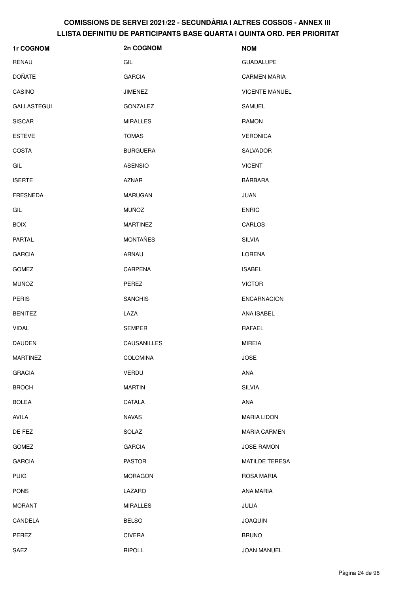| 1r COGNOM       | 2n COGNOM       | <b>NOM</b>            |
|-----------------|-----------------|-----------------------|
| RENAU           | GIL             | <b>GUADALUPE</b>      |
| <b>DOÑATE</b>   | <b>GARCIA</b>   | <b>CARMEN MARIA</b>   |
| CASINO          | JIMENEZ         | <b>VICENTE MANUEL</b> |
| GALLASTEGUI     | GONZALEZ        | SAMUEL                |
| <b>SISCAR</b>   | <b>MIRALLES</b> | <b>RAMON</b>          |
| <b>ESTEVE</b>   | <b>TOMAS</b>    | <b>VERONICA</b>       |
| <b>COSTA</b>    | <b>BURGUERA</b> | SALVADOR              |
| GIL             | <b>ASENSIO</b>  | <b>VICENT</b>         |
| <b>ISERTE</b>   | <b>AZNAR</b>    | <b>BÀRBARA</b>        |
| <b>FRESNEDA</b> | <b>MARUGAN</b>  | <b>JUAN</b>           |
| GIL             | <b>MUÑOZ</b>    | <b>ENRIC</b>          |
| <b>BOIX</b>     | <b>MARTINEZ</b> | CARLOS                |
| PARTAL          | <b>MONTAÑES</b> | <b>SILVIA</b>         |
| <b>GARCIA</b>   | ARNAU           | LORENA                |
| <b>GOMEZ</b>    | CARPENA         | <b>ISABEL</b>         |
| <b>MUÑOZ</b>    | PEREZ           | <b>VICTOR</b>         |
| <b>PERIS</b>    | <b>SANCHIS</b>  | <b>ENCARNACION</b>    |
| <b>BENITEZ</b>  | LAZA            | ANA ISABEL            |
| <b>VIDAL</b>    | <b>SEMPER</b>   | RAFAEL                |
| <b>DAUDEN</b>   | CAUSANILLES     | <b>MIREIA</b>         |
| <b>MARTINEZ</b> | <b>COLOMINA</b> | <b>JOSE</b>           |
| <b>GRACIA</b>   | <b>VERDU</b>    | ANA                   |
| <b>BROCH</b>    | <b>MARTIN</b>   | <b>SILVIA</b>         |
| <b>BOLEA</b>    | CATALA          | ANA                   |
| AVILA           | <b>NAVAS</b>    | <b>MARIA LIDON</b>    |
| DE FEZ          | SOLAZ           | <b>MARIA CARMEN</b>   |
| GOMEZ           | <b>GARCIA</b>   | <b>JOSE RAMON</b>     |
| <b>GARCIA</b>   | <b>PASTOR</b>   | MATILDE TERESA        |
| <b>PUIG</b>     | <b>MORAGON</b>  | <b>ROSA MARIA</b>     |
| <b>PONS</b>     | LAZARO          | ANA MARIA             |
| <b>MORANT</b>   | <b>MIRALLES</b> | JULIA                 |
| CANDELA         | <b>BELSO</b>    | <b>JOAQUIN</b>        |
| PEREZ           | <b>CIVERA</b>   | <b>BRUNO</b>          |
| SAEZ            | <b>RIPOLL</b>   | JOAN MANUEL           |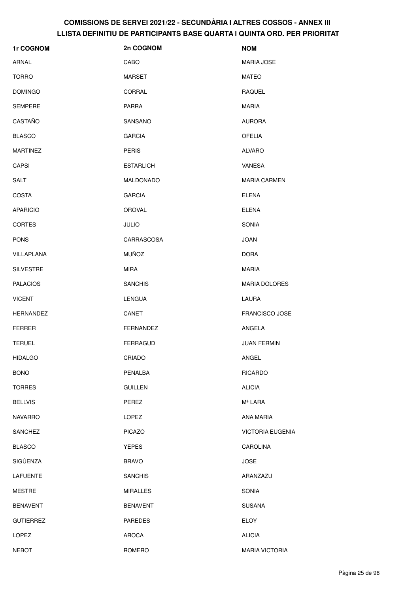| 1r COGNOM        | 2n COGNOM        | <b>NOM</b>              |
|------------------|------------------|-------------------------|
| ARNAL            | CABO             | <b>MARIA JOSE</b>       |
| <b>TORRO</b>     | MARSET           | <b>MATEO</b>            |
| <b>DOMINGO</b>   | CORRAL           | <b>RAQUEL</b>           |
| <b>SEMPERE</b>   | <b>PARRA</b>     | <b>MARIA</b>            |
| CASTAÑO          | <b>SANSANO</b>   | <b>AURORA</b>           |
| <b>BLASCO</b>    | <b>GARCIA</b>    | <b>OFELIA</b>           |
| <b>MARTINEZ</b>  | <b>PERIS</b>     | <b>ALVARO</b>           |
| <b>CAPSI</b>     | <b>ESTARLICH</b> | VANESA                  |
| <b>SALT</b>      | MALDONADO        | <b>MARIA CARMEN</b>     |
| <b>COSTA</b>     | <b>GARCIA</b>    | <b>ELENA</b>            |
| <b>APARICIO</b>  | <b>OROVAL</b>    | <b>ELENA</b>            |
| <b>CORTES</b>    | <b>JULIO</b>     | <b>SONIA</b>            |
| <b>PONS</b>      | CARRASCOSA       | <b>JOAN</b>             |
| VILLAPLANA       | <b>MUÑOZ</b>     | <b>DORA</b>             |
| <b>SILVESTRE</b> | <b>MIRA</b>      | <b>MARIA</b>            |
| <b>PALACIOS</b>  | <b>SANCHIS</b>   | <b>MARIA DOLORES</b>    |
| <b>VICENT</b>    | <b>LENGUA</b>    | LAURA                   |
| <b>HERNANDEZ</b> | CANET            | <b>FRANCISCO JOSE</b>   |
| <b>FERRER</b>    | FERNANDEZ        | ANGELA                  |
| <b>TERUEL</b>    | <b>FERRAGUD</b>  | <b>JUAN FERMIN</b>      |
| <b>HIDALGO</b>   | CRIADO           | ANGEL                   |
| <b>BONO</b>      | PENALBA          | <b>RICARDO</b>          |
| <b>TORRES</b>    | <b>GUILLEN</b>   | <b>ALICIA</b>           |
| <b>BELLVIS</b>   | PEREZ            | Mª LARA                 |
| <b>NAVARRO</b>   | LOPEZ            | ANA MARIA               |
| <b>SANCHEZ</b>   | <b>PICAZO</b>    | <b>VICTORIA EUGENIA</b> |
| <b>BLASCO</b>    | <b>YEPES</b>     | CAROLINA                |
| SIGÜENZA         | <b>BRAVO</b>     | <b>JOSE</b>             |
| <b>LAFUENTE</b>  | <b>SANCHIS</b>   | ARANZAZU                |
| <b>MESTRE</b>    | <b>MIRALLES</b>  | <b>SONIA</b>            |
| <b>BENAVENT</b>  | <b>BENAVENT</b>  | <b>SUSANA</b>           |
| <b>GUTIERREZ</b> | <b>PAREDES</b>   | <b>ELOY</b>             |
| <b>LOPEZ</b>     | AROCA            | <b>ALICIA</b>           |
| <b>NEBOT</b>     | ROMERO           | <b>MARIA VICTORIA</b>   |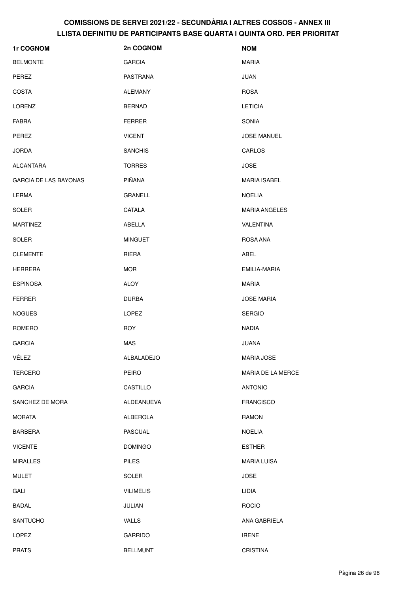| 1r COGNOM                    | 2n COGNOM         | <b>NOM</b>           |
|------------------------------|-------------------|----------------------|
| <b>BELMONTE</b>              | <b>GARCIA</b>     | <b>MARIA</b>         |
| PEREZ                        | PASTRANA          | <b>JUAN</b>          |
| <b>COSTA</b>                 | ALEMANY           | <b>ROSA</b>          |
| <b>LORENZ</b>                | <b>BERNAD</b>     | <b>LETICIA</b>       |
| <b>FABRA</b>                 | <b>FERRER</b>     | <b>SONIA</b>         |
| PEREZ                        | <b>VICENT</b>     | <b>JOSE MANUEL</b>   |
| <b>JORDA</b>                 | <b>SANCHIS</b>    | CARLOS               |
| <b>ALCANTARA</b>             | <b>TORRES</b>     | <b>JOSE</b>          |
| <b>GARCIA DE LAS BAYONAS</b> | PIÑANA            | <b>MARIA ISABEL</b>  |
| <b>LERMA</b>                 | <b>GRANELL</b>    | <b>NOELIA</b>        |
| <b>SOLER</b>                 | CATALA            | <b>MARIA ANGELES</b> |
| <b>MARTINEZ</b>              | ABELLA            | <b>VALENTINA</b>     |
| <b>SOLER</b>                 | <b>MINGUET</b>    | ROSA ANA             |
| <b>CLEMENTE</b>              | RIERA             | <b>ABEL</b>          |
| <b>HERRERA</b>               | <b>MOR</b>        | EMILIA-MARIA         |
| <b>ESPINOSA</b>              | <b>ALOY</b>       | <b>MARIA</b>         |
| <b>FERRER</b>                | <b>DURBA</b>      | <b>JOSE MARIA</b>    |
| <b>NOGUES</b>                | LOPEZ             | <b>SERGIO</b>        |
| ROMERO                       | <b>ROY</b>        | <b>NADIA</b>         |
| <b>GARCIA</b>                | <b>MAS</b>        | <b>JUANA</b>         |
| VÉLEZ                        | ALBALADEJO        | MARIA JOSE           |
| <b>TERCERO</b>               | PEIRO             | MARIA DE LA MERCE    |
| <b>GARCIA</b>                | <b>CASTILLO</b>   | <b>ANTONIO</b>       |
| SANCHEZ DE MORA              | <b>ALDEANUEVA</b> | <b>FRANCISCO</b>     |
| <b>MORATA</b>                | ALBEROLA          | <b>RAMON</b>         |
| <b>BARBERA</b>               | PASCUAL           | <b>NOELIA</b>        |
| <b>VICENTE</b>               | <b>DOMINGO</b>    | <b>ESTHER</b>        |
| <b>MIRALLES</b>              | <b>PILES</b>      | <b>MARIA LUISA</b>   |
| <b>MULET</b>                 | SOLER             | <b>JOSE</b>          |
| GALI                         | <b>VILIMELIS</b>  | LIDIA                |
| <b>BADAL</b>                 | JULIAN            | <b>ROCIO</b>         |
| <b>SANTUCHO</b>              | <b>VALLS</b>      | ANA GABRIELA         |
| LOPEZ                        | <b>GARRIDO</b>    | <b>IRENE</b>         |
| <b>PRATS</b>                 | <b>BELLMUNT</b>   | CRISTINA             |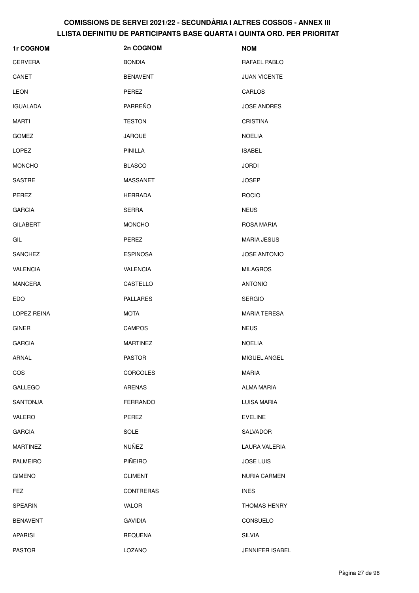| 1r COGNOM       | 2n COGNOM        | <b>NOM</b>             |
|-----------------|------------------|------------------------|
| <b>CERVERA</b>  | <b>BONDIA</b>    | RAFAEL PABLO           |
| CANET           | <b>BENAVENT</b>  | <b>JUAN VICENTE</b>    |
| <b>LEON</b>     | <b>PEREZ</b>     | CARLOS                 |
| <b>IGUALADA</b> | PARREÑO          | <b>JOSE ANDRES</b>     |
| <b>MARTI</b>    | <b>TESTON</b>    | <b>CRISTINA</b>        |
| <b>GOMEZ</b>    | <b>JARQUE</b>    | <b>NOELIA</b>          |
| <b>LOPEZ</b>    | <b>PINILLA</b>   | <b>ISABEL</b>          |
| <b>MONCHO</b>   | <b>BLASCO</b>    | <b>JORDI</b>           |
| SASTRE          | <b>MASSANET</b>  | <b>JOSEP</b>           |
| PEREZ           | <b>HERRADA</b>   | <b>ROCIO</b>           |
| <b>GARCIA</b>   | <b>SERRA</b>     | <b>NEUS</b>            |
| <b>GILABERT</b> | <b>MONCHO</b>    | ROSA MARIA             |
| GIL             | PEREZ            | <b>MARIA JESUS</b>     |
| <b>SANCHEZ</b>  | <b>ESPINOSA</b>  | <b>JOSE ANTONIO</b>    |
| <b>VALENCIA</b> | <b>VALENCIA</b>  | <b>MILAGROS</b>        |
| <b>MANCERA</b>  | CASTELLO         | <b>ANTONIO</b>         |
| EDO             | <b>PALLARES</b>  | <b>SERGIO</b>          |
| LOPEZ REINA     | <b>MOTA</b>      | <b>MARIA TERESA</b>    |
| <b>GINER</b>    | <b>CAMPOS</b>    | <b>NEUS</b>            |
| <b>GARCIA</b>   | <b>MARTINEZ</b>  | <b>NOELIA</b>          |
| ARNAL           | <b>PASTOR</b>    | MIGUEL ANGEL           |
| COS             | <b>CORCOLES</b>  | <b>MARIA</b>           |
| GALLEGO         | <b>ARENAS</b>    | <b>ALMA MARIA</b>      |
| <b>SANTONJA</b> | <b>FERRANDO</b>  | LUISA MARIA            |
| VALERO          | PEREZ            | <b>EVELINE</b>         |
| <b>GARCIA</b>   | <b>SOLE</b>      | SALVADOR               |
| <b>MARTINEZ</b> | NUÑEZ            | LAURA VALERIA          |
| <b>PALMEIRO</b> | PIÑEIRO          | <b>JOSE LUIS</b>       |
| <b>GIMENO</b>   | <b>CLIMENT</b>   | <b>NURIA CARMEN</b>    |
| <b>FEZ</b>      | <b>CONTRERAS</b> | <b>INES</b>            |
| <b>SPEARIN</b>  | VALOR            | <b>THOMAS HENRY</b>    |
| <b>BENAVENT</b> | <b>GAVIDIA</b>   | CONSUELO               |
| <b>APARISI</b>  | <b>REQUENA</b>   | <b>SILVIA</b>          |
| <b>PASTOR</b>   | LOZANO           | <b>JENNIFER ISABEL</b> |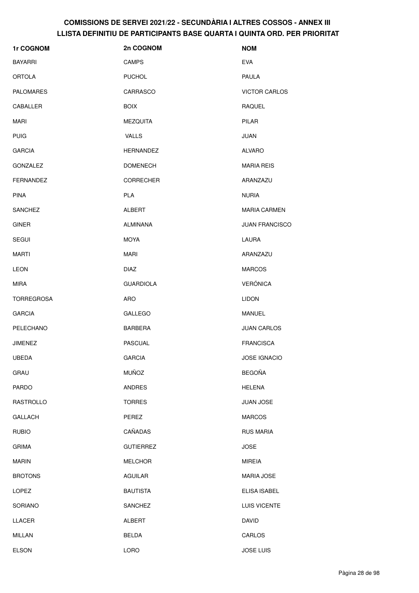| 1r COGNOM         | 2n COGNOM        | <b>NOM</b>            |
|-------------------|------------------|-----------------------|
| <b>BAYARRI</b>    | <b>CAMPS</b>     | <b>EVA</b>            |
| <b>ORTOLA</b>     | <b>PUCHOL</b>    | <b>PAULA</b>          |
| <b>PALOMARES</b>  | CARRASCO         | <b>VICTOR CARLOS</b>  |
| CABALLER          | <b>BOIX</b>      | <b>RAQUEL</b>         |
| <b>MARI</b>       | <b>MEZQUITA</b>  | PILAR                 |
| <b>PUIG</b>       | <b>VALLS</b>     | <b>JUAN</b>           |
| <b>GARCIA</b>     | HERNANDEZ        | <b>ALVARO</b>         |
| GONZALEZ          | <b>DOMENECH</b>  | <b>MARIA REIS</b>     |
| <b>FERNANDEZ</b>  | <b>CORRECHER</b> | ARANZAZU              |
| <b>PINA</b>       | <b>PLA</b>       | <b>NURIA</b>          |
| <b>SANCHEZ</b>    | ALBERT           | <b>MARIA CARMEN</b>   |
| <b>GINER</b>      | <b>ALMIÑANA</b>  | <b>JUAN FRANCISCO</b> |
| <b>SEGUI</b>      | MOYA             | <b>LAURA</b>          |
| <b>MARTI</b>      | MARI             | ARANZAZU              |
| <b>LEON</b>       | <b>DIAZ</b>      | <b>MARCOS</b>         |
| MIRA              | <b>GUARDIOLA</b> | <b>VERÓNICA</b>       |
| <b>TORREGROSA</b> | ARO              | <b>LIDON</b>          |
| <b>GARCIA</b>     | <b>GALLEGO</b>   | MANUEL                |
| PELECHANO         | <b>BARBERA</b>   | <b>JUAN CARLOS</b>    |
| <b>JIMENEZ</b>    | <b>PASCUAL</b>   | <b>FRANCISCA</b>      |
| <b>UBEDA</b>      | <b>GARCIA</b>    | JOSE IGNACIO          |
| GRAU              | <b>MUÑOZ</b>     | <b>BEGOÑA</b>         |
| <b>PARDO</b>      | <b>ANDRES</b>    | <b>HELENA</b>         |
| RASTROLLO         | <b>TORRES</b>    | JUAN JOSE             |
| <b>GALLACH</b>    | PEREZ            | <b>MARCOS</b>         |
| <b>RUBIO</b>      | CAÑADAS          | <b>RUS MARIA</b>      |
| <b>GRIMA</b>      | <b>GUTIERREZ</b> | <b>JOSE</b>           |
| <b>MARIN</b>      | <b>MELCHOR</b>   | <b>MIREIA</b>         |
| <b>BROTONS</b>    | <b>AGUILAR</b>   | <b>MARIA JOSE</b>     |
| <b>LOPEZ</b>      | <b>BAUTISTA</b>  | ELISA ISABEL          |
| <b>SORIANO</b>    | SANCHEZ          | LUIS VICENTE          |
| LLACER            | ALBERT           | <b>DAVID</b>          |
| MILLAN            | <b>BELDA</b>     | CARLOS                |
| <b>ELSON</b>      | <b>LORO</b>      | <b>JOSE LUIS</b>      |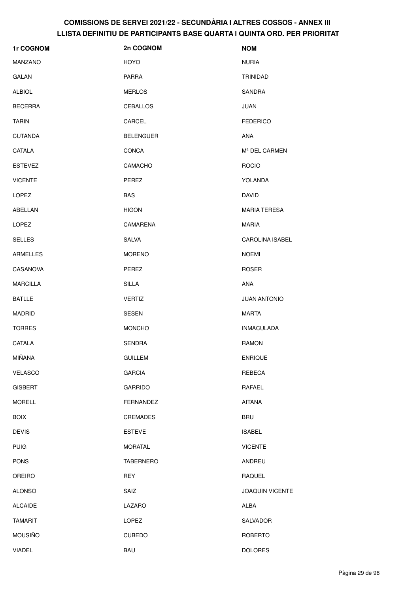| 1r COGNOM       | 2n COGNOM        | <b>NOM</b>             |
|-----------------|------------------|------------------------|
| <b>MANZANO</b>  | <b>HOYO</b>      | <b>NURIA</b>           |
| <b>GALAN</b>    | <b>PARRA</b>     | <b>TRINIDAD</b>        |
| <b>ALBIOL</b>   | <b>MERLOS</b>    | <b>SANDRA</b>          |
| <b>BECERRA</b>  | <b>CEBALLOS</b>  | <b>JUAN</b>            |
| <b>TARIN</b>    | CARCEL           | <b>FEDERICO</b>        |
| <b>CUTANDA</b>  | <b>BELENGUER</b> | <b>ANA</b>             |
| CATALA          | CONCA            | Mª DEL CARMEN          |
| <b>ESTEVEZ</b>  | CAMACHO          | <b>ROCIO</b>           |
| <b>VICENTE</b>  | PEREZ            | YOLANDA                |
| LOPEZ           | <b>BAS</b>       | <b>DAVID</b>           |
| ABELLAN         | <b>HIGON</b>     | <b>MARIA TERESA</b>    |
| <b>LOPEZ</b>    | CAMARENA         | <b>MARIA</b>           |
| <b>SELLES</b>   | SALVA            | <b>CAROLINA ISABEL</b> |
| ARMELLES        | <b>MORENO</b>    | <b>NOEMI</b>           |
| CASANOVA        | PEREZ            | <b>ROSER</b>           |
| <b>MARCILLA</b> | <b>SILLA</b>     | ANA                    |
| <b>BATLLE</b>   | <b>VERTIZ</b>    | <b>JUAN ANTONIO</b>    |
| <b>MADRID</b>   | <b>SESEN</b>     | <b>MARTA</b>           |
| <b>TORRES</b>   | <b>MONCHO</b>    | <b>INMACULADA</b>      |
| CATALA          | <b>SENDRA</b>    | <b>RAMON</b>           |
| MIÑANA          | <b>GUILLEM</b>   | <b>ENRIQUE</b>         |
| VELASCO         | <b>GARCIA</b>    | REBECA                 |
| <b>GISBERT</b>  | GARRIDO          | RAFAEL                 |
| <b>MORELL</b>   | FERNANDEZ        | <b>AITANA</b>          |
| <b>BOIX</b>     | CREMADES         | <b>BRU</b>             |
| <b>DEVIS</b>    | <b>ESTEVE</b>    | <b>ISABEL</b>          |
| <b>PUIG</b>     | <b>MORATAL</b>   | <b>VICENTE</b>         |
| <b>PONS</b>     | <b>TABERNERO</b> | ANDREU                 |
| <b>OREIRO</b>   | <b>REY</b>       | RAQUEL                 |
| <b>ALONSO</b>   | SAIZ             | <b>JOAQUIN VICENTE</b> |
| <b>ALCAIDE</b>  | LAZARO           | ALBA                   |
| <b>TAMARIT</b>  | LOPEZ            | SALVADOR               |
| <b>MOUSIÑO</b>  | CUBEDO           | ROBERTO                |
| <b>VIADEL</b>   | <b>BAU</b>       | <b>DOLORES</b>         |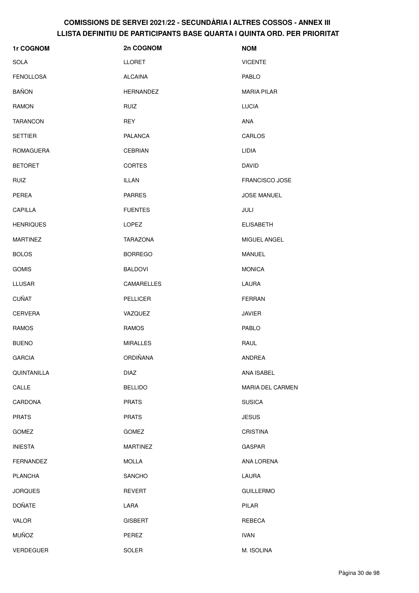| 1r COGNOM        | 2n COGNOM        | <b>NOM</b>         |
|------------------|------------------|--------------------|
| SOLA             | <b>LLORET</b>    | <b>VICENTE</b>     |
| <b>FENOLLOSA</b> | <b>ALCAINA</b>   | PABLO              |
| <b>BAÑON</b>     | <b>HERNANDEZ</b> | <b>MARIA PILAR</b> |
| <b>RAMON</b>     | <b>RUIZ</b>      | <b>LUCIA</b>       |
| <b>TARANCON</b>  | <b>REY</b>       | ANA                |
| <b>SETTIER</b>   | <b>PALANCA</b>   | CARLOS             |
| <b>ROMAGUERA</b> | <b>CEBRIAN</b>   | LIDIA              |
| <b>BETORET</b>   | <b>CORTES</b>    | <b>DAVID</b>       |
| <b>RUIZ</b>      | <b>ILLAN</b>     | FRANCISCO JOSE     |
| PEREA            | <b>PARRES</b>    | <b>JOSE MANUEL</b> |
| CAPILLA          | <b>FUENTES</b>   | JULI               |
| <b>HENRIQUES</b> | LOPEZ            | <b>ELISABETH</b>   |
| <b>MARTINEZ</b>  | <b>TARAZONA</b>  | MIGUEL ANGEL       |
| <b>BOLOS</b>     | <b>BORREGO</b>   | <b>MANUEL</b>      |
| <b>GOMIS</b>     | <b>BALDOVI</b>   | <b>MONICA</b>      |
| <b>LLUSAR</b>    | CAMARELLES       | LAURA              |
| <b>CUÑAT</b>     | <b>PELLICER</b>  | <b>FERRAN</b>      |
| <b>CERVERA</b>   | VAZQUEZ          | <b>JAVIER</b>      |
| <b>RAMOS</b>     | <b>RAMOS</b>     | PABLO              |
| <b>BUENO</b>     | <b>MIRALLES</b>  | RAUL               |
| <b>GARCIA</b>    | <b>ORDIÑANA</b>  | <b>ANDREA</b>      |
| QUINTANILLA      | <b>DIAZ</b>      | ANA ISABEL         |
| CALLE            | <b>BELLIDO</b>   | MARIA DEL CARMEN   |
| CARDONA          | <b>PRATS</b>     | <b>SUSICA</b>      |
| <b>PRATS</b>     | <b>PRATS</b>     | <b>JESUS</b>       |
| GOMEZ            | <b>GOMEZ</b>     | <b>CRISTINA</b>    |
| <b>INIESTA</b>   | <b>MARTINEZ</b>  | GASPAR             |
| <b>FERNANDEZ</b> | <b>MOLLA</b>     | ANA LORENA         |
| <b>PLANCHA</b>   | <b>SANCHO</b>    | LAURA              |
| <b>JORQUES</b>   | <b>REVERT</b>    | <b>GUILLERMO</b>   |
| <b>DOÑATE</b>    | LARA             | PILAR              |
| VALOR            | <b>GISBERT</b>   | REBECA             |
| <b>MUÑOZ</b>     | PEREZ            | <b>IVAN</b>        |
| <b>VERDEGUER</b> | <b>SOLER</b>     | M. ISOLINA         |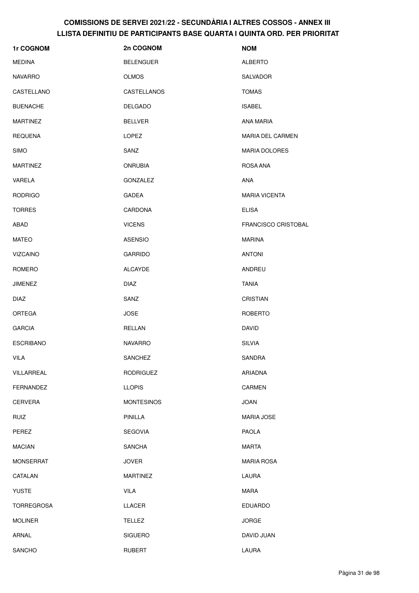| 1r COGNOM         | 2n COGNOM         | <b>NOM</b>                 |
|-------------------|-------------------|----------------------------|
| <b>MEDINA</b>     | <b>BELENGUER</b>  | <b>ALBERTO</b>             |
| <b>NAVARRO</b>    | <b>OLMOS</b>      | SALVADOR                   |
| CASTELLANO        | CASTELLANOS       | <b>TOMAS</b>               |
| <b>BUENACHE</b>   | <b>DELGADO</b>    | <b>ISABEL</b>              |
| <b>MARTINEZ</b>   | <b>BELLVER</b>    | <b>ANA MARIA</b>           |
| <b>REQUENA</b>    | <b>LOPEZ</b>      | <b>MARIA DEL CARMEN</b>    |
| <b>SIMO</b>       | SANZ              | <b>MARIA DOLORES</b>       |
| <b>MARTINEZ</b>   | <b>ONRUBIA</b>    | ROSA ANA                   |
| VARELA            | GONZALEZ          | <b>ANA</b>                 |
| <b>RODRIGO</b>    | <b>GADEA</b>      | <b>MARIA VICENTA</b>       |
| <b>TORRES</b>     | CARDONA           | <b>ELISA</b>               |
| ABAD              | <b>VICENS</b>     | <b>FRANCISCO CRISTOBAL</b> |
| <b>MATEO</b>      | <b>ASENSIO</b>    | <b>MARINA</b>              |
| <b>VIZCAINO</b>   | <b>GARRIDO</b>    | <b>ANTONI</b>              |
| ROMERO            | <b>ALCAYDE</b>    | ANDREU                     |
| <b>JIMENEZ</b>    | <b>DIAZ</b>       | <b>TANIA</b>               |
| <b>DIAZ</b>       | SANZ              | <b>CRISTIAN</b>            |
| <b>ORTEGA</b>     | <b>JOSE</b>       | <b>ROBERTO</b>             |
| <b>GARCIA</b>     | RELLAN            | <b>DAVID</b>               |
| <b>ESCRIBANO</b>  | <b>NAVARRO</b>    | <b>SILVIA</b>              |
| VILA              | SANCHEZ           | <b>SANDRA</b>              |
| VILLARREAL        | <b>RODRIGUEZ</b>  | <b>ARIADNA</b>             |
| <b>FERNANDEZ</b>  | <b>LLOPIS</b>     | CARMEN                     |
| <b>CERVERA</b>    | <b>MONTESINOS</b> | <b>JOAN</b>                |
| <b>RUIZ</b>       | PINILLA           | <b>MARIA JOSE</b>          |
| PEREZ             | <b>SEGOVIA</b>    | <b>PAOLA</b>               |
| <b>MACIAN</b>     | <b>SANCHA</b>     | <b>MARTA</b>               |
| <b>MONSERRAT</b>  | <b>JOVER</b>      | <b>MARIA ROSA</b>          |
| CATALAN           | <b>MARTINEZ</b>   | LAURA                      |
| <b>YUSTE</b>      | <b>VILA</b>       | <b>MARA</b>                |
| <b>TORREGROSA</b> | LLACER            | <b>EDUARDO</b>             |
| <b>MOLINER</b>    | <b>TELLEZ</b>     | <b>JORGE</b>               |
| ARNAL             | <b>SIGUERO</b>    | DAVID JUAN                 |
| SANCHO            | <b>RUBERT</b>     | LAURA                      |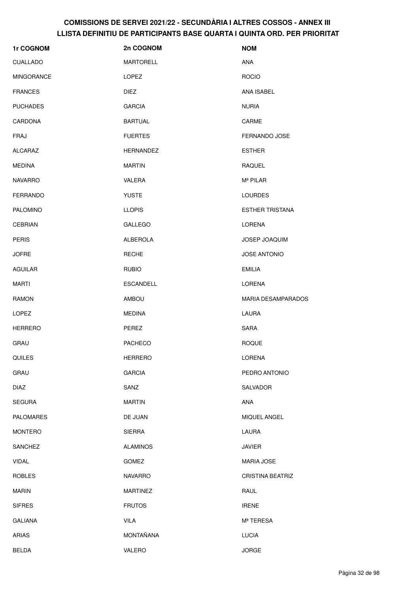| 1r COGNOM         | 2n COGNOM        | <b>NOM</b>                |
|-------------------|------------------|---------------------------|
| <b>CUALLADO</b>   | <b>MARTORELL</b> | ANA                       |
| <b>MINGORANCE</b> | <b>LOPEZ</b>     | <b>ROCIO</b>              |
| <b>FRANCES</b>    | DIEZ             | ANA ISABEL                |
| <b>PUCHADES</b>   | <b>GARCIA</b>    | <b>NURIA</b>              |
| CARDONA           | <b>BARTUAL</b>   | CARME                     |
| FRAJ              | <b>FUERTES</b>   | <b>FERNANDO JOSE</b>      |
| ALCARAZ           | <b>HERNANDEZ</b> | <b>ESTHER</b>             |
| MEDINA            | <b>MARTIN</b>    | RAQUEL                    |
| <b>NAVARRO</b>    | VALERA           | M <sup>ª</sup> PILAR      |
| <b>FERRANDO</b>   | <b>YUSTE</b>     | <b>LOURDES</b>            |
| <b>PALOMINO</b>   | <b>LLOPIS</b>    | <b>ESTHER TRISTANA</b>    |
| <b>CEBRIAN</b>    | <b>GALLEGO</b>   | <b>LORENA</b>             |
| <b>PERIS</b>      | <b>ALBEROLA</b>  | <b>JOSEP JOAQUIM</b>      |
| <b>JOFRE</b>      | <b>RECHE</b>     | <b>JOSE ANTONIO</b>       |
| <b>AGUILAR</b>    | <b>RUBIO</b>     | <b>EMILIA</b>             |
| MARTI             | <b>ESCANDELL</b> | LORENA                    |
| <b>RAMON</b>      | AMBOU            | <b>MARIA DESAMPARADOS</b> |
| LOPEZ             | <b>MEDINA</b>    | LAURA                     |
| <b>HERRERO</b>    | PEREZ            | <b>SARA</b>               |
| GRAU              | <b>PACHECO</b>   | <b>ROQUE</b>              |
| QUILES            | <b>HERRERO</b>   | LORENA                    |
| GRAU              | <b>GARCIA</b>    | PEDRO ANTONIO             |
| <b>DIAZ</b>       | SANZ             | SALVADOR                  |
| <b>SEGURA</b>     | <b>MARTIN</b>    | ANA                       |
| <b>PALOMARES</b>  | DE JUAN          | MIQUEL ANGEL              |
| <b>MONTERO</b>    | <b>SIERRA</b>    | LAURA                     |
| SANCHEZ           | <b>ALAMINOS</b>  | <b>JAVIER</b>             |
| <b>VIDAL</b>      | GOMEZ            | <b>MARIA JOSE</b>         |
| <b>ROBLES</b>     | <b>NAVARRO</b>   | <b>CRISTINA BEATRIZ</b>   |
| <b>MARIN</b>      | <b>MARTINEZ</b>  | RAUL                      |
| <b>SIFRES</b>     | <b>FRUTOS</b>    | <b>IRENE</b>              |
| <b>GALIANA</b>    | <b>VILA</b>      | Mª TERESA                 |
| ARIAS             | MONTAÑANA        | <b>LUCIA</b>              |
| <b>BELDA</b>      | VALERO           | <b>JORGE</b>              |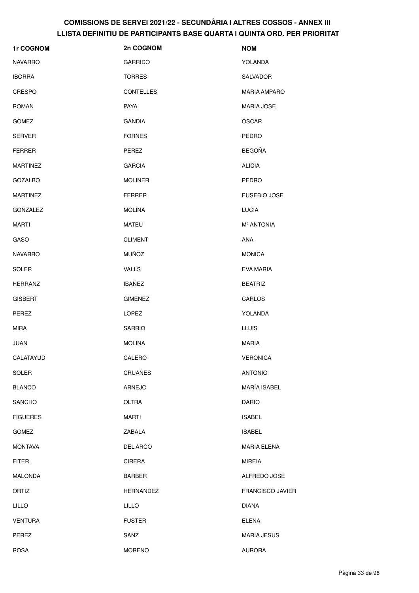| 1r COGNOM       | 2n COGNOM        | <b>NOM</b>             |
|-----------------|------------------|------------------------|
| <b>NAVARRO</b>  | <b>GARRIDO</b>   | YOLANDA                |
| <b>IBORRA</b>   | <b>TORRES</b>    | SALVADOR               |
| <b>CRESPO</b>   | <b>CONTELLES</b> | <b>MARIA AMPARO</b>    |
| <b>ROMAN</b>    | PAYA             | <b>MARIA JOSE</b>      |
| <b>GOMEZ</b>    | <b>GANDIA</b>    | <b>OSCAR</b>           |
| <b>SERVER</b>   | <b>FORNES</b>    | PEDRO                  |
| <b>FERRER</b>   | PEREZ            | <b>BEGOÑA</b>          |
| <b>MARTINEZ</b> | <b>GARCIA</b>    | <b>ALICIA</b>          |
| <b>GOZALBO</b>  | <b>MOLINER</b>   | <b>PEDRO</b>           |
| <b>MARTINEZ</b> | <b>FERRER</b>    | EUSEBIO JOSE           |
| <b>GONZALEZ</b> | <b>MOLINA</b>    | <b>LUCIA</b>           |
| <b>MARTI</b>    | <b>MATEU</b>     | M <sup>ª</sup> ANTONIA |
| <b>GASO</b>     | <b>CLIMENT</b>   | ANA                    |
| <b>NAVARRO</b>  | <b>MUÑOZ</b>     | <b>MONICA</b>          |
| <b>SOLER</b>    | <b>VALLS</b>     | <b>EVA MARIA</b>       |
| <b>HERRANZ</b>  | <b>IBAÑEZ</b>    | <b>BEATRIZ</b>         |
| <b>GISBERT</b>  | <b>GIMENEZ</b>   | CARLOS                 |
| PEREZ           | LOPEZ            | YOLANDA                |
| <b>MIRA</b>     | <b>SARRIO</b>    | <b>LLUIS</b>           |
| JUAN            | <b>MOLINA</b>    | <b>MARIA</b>           |
| CALATAYUD       | CALERO           | <b>VERONICA</b>        |
| SOLER           | <b>CRUAÑES</b>   | <b>ANTONIO</b>         |
| <b>BLANCO</b>   | <b>ARNEJO</b>    | MARÍA ISABEL           |
| SANCHO          | <b>OLTRA</b>     | <b>DARIO</b>           |
| <b>FIGUERES</b> | <b>MARTI</b>     | <b>ISABEL</b>          |
| <b>GOMEZ</b>    | ZABALA           | <b>ISABEL</b>          |
| <b>MONTAVA</b>  | DEL ARCO         | <b>MARIA ELENA</b>     |
| <b>FITER</b>    | <b>CIRERA</b>    | <b>MIREIA</b>          |
| <b>MALONDA</b>  | <b>BARBER</b>    | ALFREDO JOSE           |
| ORTIZ           | <b>HERNANDEZ</b> | FRANCISCO JAVIER       |
| <b>LILLO</b>    | <b>LILLO</b>     | <b>DIANA</b>           |
| <b>VENTURA</b>  | <b>FUSTER</b>    | <b>ELENA</b>           |
| PEREZ           | SANZ             | <b>MARIA JESUS</b>     |
| <b>ROSA</b>     | <b>MORENO</b>    | <b>AURORA</b>          |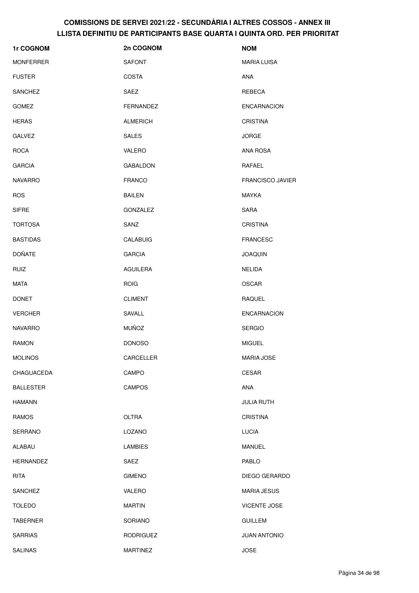| 1r COGNOM        | 2n COGNOM        | <b>NOM</b>              |
|------------------|------------------|-------------------------|
| <b>MONFERRER</b> | <b>SAFONT</b>    | <b>MARIA LUISA</b>      |
| <b>FUSTER</b>    | <b>COSTA</b>     | ANA                     |
| SANCHEZ          | SAEZ             | REBECA                  |
| <b>GOMEZ</b>     | FERNANDEZ        | <b>ENCARNACION</b>      |
| <b>HERAS</b>     | <b>ALMERICH</b>  | <b>CRISTINA</b>         |
| <b>GALVEZ</b>    | <b>SALES</b>     | <b>JORGE</b>            |
| <b>ROCA</b>      | VALERO           | ANA ROSA                |
| <b>GARCIA</b>    | <b>GABALDON</b>  | RAFAEL                  |
| <b>NAVARRO</b>   | <b>FRANCO</b>    | <b>FRANCISCO JAVIER</b> |
| <b>ROS</b>       | <b>BAILEN</b>    | <b>MAYKA</b>            |
| <b>SIFRE</b>     | GONZALEZ         | <b>SARA</b>             |
| <b>TORTOSA</b>   | SANZ             | <b>CRISTINA</b>         |
| <b>BASTIDAS</b>  | <b>CALABUIG</b>  | <b>FRANCESC</b>         |
| <b>DOÑATE</b>    | <b>GARCIA</b>    | <b>JOAQUIN</b>          |
| <b>RUIZ</b>      | AGUILERA         | NELIDA                  |
| <b>MATA</b>      | <b>ROIG</b>      | <b>OSCAR</b>            |
| <b>DONET</b>     | <b>CLIMENT</b>   | <b>RAQUEL</b>           |
| <b>VERCHER</b>   | SAVALL           | <b>ENCARNACION</b>      |
| <b>NAVARRO</b>   | <b>MUÑOZ</b>     | <b>SERGIO</b>           |
| <b>RAMON</b>     | <b>DONOSO</b>    | <b>MIGUEL</b>           |
| <b>MOLINOS</b>   | CARCELLER        | MARIA JOSE              |
| CHAGUACEDA       | CAMPO            | CESAR                   |
| <b>BALLESTER</b> | <b>CAMPOS</b>    | ANA                     |
| <b>HAMANN</b>    |                  | <b>JULIA RUTH</b>       |
| <b>RAMOS</b>     | OLTRA            | <b>CRISTINA</b>         |
| <b>SERRANO</b>   | LOZANO           | <b>LUCIA</b>            |
| ALABAU           | <b>LAMBIES</b>   | <b>MANUEL</b>           |
| <b>HERNANDEZ</b> | SAEZ             | PABLO                   |
| <b>RITA</b>      | <b>GIMENO</b>    | DIEGO GERARDO           |
| <b>SANCHEZ</b>   | VALERO           | <b>MARIA JESUS</b>      |
| <b>TOLEDO</b>    | <b>MARTIN</b>    | <b>VICENTE JOSE</b>     |
| <b>TABERNER</b>  | SORIANO          | <b>GUILLEM</b>          |
| <b>SARRIAS</b>   | <b>RODRIGUEZ</b> | <b>JUAN ANTONIO</b>     |
| <b>SALINAS</b>   | <b>MARTINEZ</b>  | <b>JOSE</b>             |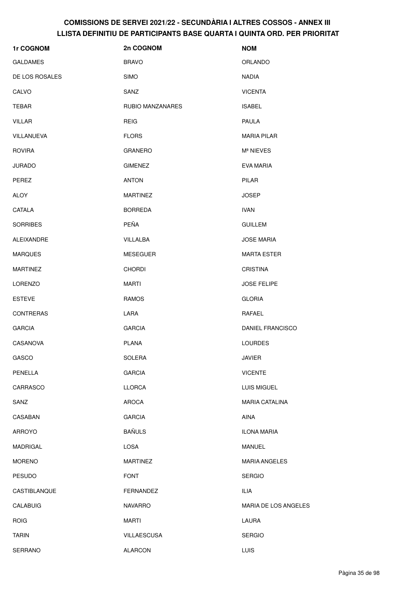| 1r COGNOM         | 2n COGNOM          | <b>NOM</b>            |
|-------------------|--------------------|-----------------------|
| <b>GALDAMES</b>   | <b>BRAVO</b>       | ORLANDO               |
| DE LOS ROSALES    | <b>SIMO</b>        | <b>NADIA</b>          |
| CALVO             | SANZ               | <b>VICENTA</b>        |
| TEBAR             | RUBIO MANZANARES   | <b>ISABEL</b>         |
| <b>VILLAR</b>     | <b>REIG</b>        | <b>PAULA</b>          |
| VILLANUEVA        | <b>FLORS</b>       | <b>MARIA PILAR</b>    |
| <b>ROVIRA</b>     | <b>GRANERO</b>     | Mª NIEVES             |
| <b>JURADO</b>     | <b>GIMENEZ</b>     | EVA MARIA             |
| PEREZ             | <b>ANTON</b>       | <b>PILAR</b>          |
| <b>ALOY</b>       | <b>MARTINEZ</b>    | <b>JOSEP</b>          |
| CATALA            | <b>BORREDA</b>     | <b>IVAN</b>           |
| <b>SORRIBES</b>   | <b>PEÑA</b>        | <b>GUILLEM</b>        |
| <b>ALEIXANDRE</b> | VILLALBA           | <b>JOSE MARIA</b>     |
| <b>MARQUES</b>    | <b>MESEGUER</b>    | <b>MARTA ESTER</b>    |
| <b>MARTINEZ</b>   | <b>CHORDI</b>      | <b>CRISTINA</b>       |
| <b>LORENZO</b>    | <b>MARTI</b>       | <b>JOSE FELIPE</b>    |
| <b>ESTEVE</b>     | <b>RAMOS</b>       | <b>GLORIA</b>         |
| <b>CONTRERAS</b>  | LARA               | RAFAEL                |
| <b>GARCIA</b>     | <b>GARCIA</b>      | DANIEL FRANCISCO      |
| CASANOVA          | <b>PLANA</b>       | <b>LOURDES</b>        |
| GASCO             | <b>SOLERA</b>      | JAVIER                |
| PENELLA           | <b>GARCIA</b>      | <b>VICENTE</b>        |
| CARRASCO          | <b>LLORCA</b>      | LUIS MIGUEL           |
| SANZ              | <b>AROCA</b>       | <b>MARIA CATALINA</b> |
| CASABAN           | <b>GARCIA</b>      | AINA                  |
| <b>ARROYO</b>     | <b>BAÑULS</b>      | <b>ILONA MARIA</b>    |
| <b>MADRIGAL</b>   | <b>LOSA</b>        | <b>MANUEL</b>         |
| <b>MORENO</b>     | <b>MARTINEZ</b>    | <b>MARIA ANGELES</b>  |
| <b>PESUDO</b>     | <b>FONT</b>        | <b>SERGIO</b>         |
| CASTIBLANQUE      | FERNANDEZ          | <b>ILIA</b>           |
| <b>CALABUIG</b>   | <b>NAVARRO</b>     | MARIA DE LOS ANGELES  |
| <b>ROIG</b>       | <b>MARTI</b>       | LAURA                 |
| <b>TARIN</b>      | <b>VILLAESCUSA</b> | <b>SERGIO</b>         |
| SERRANO           | <b>ALARCON</b>     | <b>LUIS</b>           |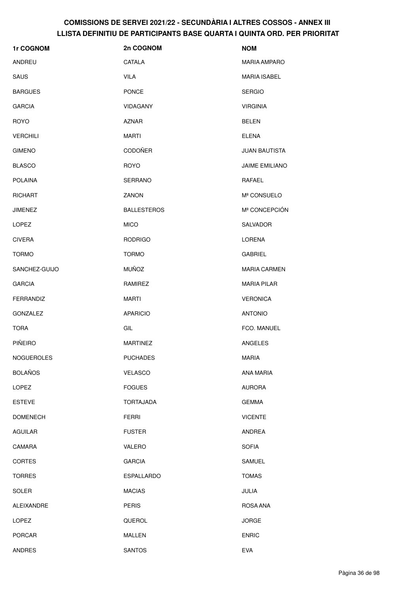| 1r COGNOM        | 2n COGNOM          | <b>NOM</b>            |
|------------------|--------------------|-----------------------|
| ANDREU           | CATALA             | <b>MARIA AMPARO</b>   |
| SAUS             | <b>VILA</b>        | <b>MARIA ISABEL</b>   |
| <b>BARGUES</b>   | <b>PONCE</b>       | <b>SERGIO</b>         |
| <b>GARCIA</b>    | <b>VIDAGANY</b>    | <b>VIRGINIA</b>       |
| <b>ROYO</b>      | <b>AZNAR</b>       | <b>BELEN</b>          |
| <b>VERCHILI</b>  | MARTI              | <b>ELENA</b>          |
| <b>GIMENO</b>    | CODOÑER            | JUAN BAUTISTA         |
| <b>BLASCO</b>    | <b>ROYO</b>        | <b>JAIME EMILIANO</b> |
| <b>POLAINA</b>   | <b>SERRANO</b>     | RAFAEL                |
| <b>RICHART</b>   | ZANON              | Mª CONSUELO           |
| <b>JIMENEZ</b>   | <b>BALLESTEROS</b> | Mª CONCEPCIÓN         |
| LOPEZ            | <b>MICO</b>        | SALVADOR              |
| <b>CIVERA</b>    | <b>RODRIGO</b>     | LORENA                |
| <b>TORMO</b>     | <b>TORMO</b>       | <b>GABRIEL</b>        |
| SANCHEZ-GUIJO    | <b>MUÑOZ</b>       | <b>MARIA CARMEN</b>   |
| <b>GARCIA</b>    | RAMIREZ            | <b>MARIA PILAR</b>    |
| <b>FERRANDIZ</b> | <b>MARTI</b>       | <b>VERONICA</b>       |
| <b>GONZALEZ</b>  | <b>APARICIO</b>    | <b>ANTONIO</b>        |
| <b>TORA</b>      | GIL                | FCO. MANUEL           |
| <b>PIÑEIRO</b>   | <b>MARTINEZ</b>    | <b>ANGELES</b>        |
| NOGUEROLES       | <b>PUCHADES</b>    | <b>MARIA</b>          |
| <b>BOLAÑOS</b>   | <b>VELASCO</b>     | ANA MARIA             |
| LOPEZ            | <b>FOGUES</b>      | <b>AURORA</b>         |
| <b>ESTEVE</b>    | <b>TORTAJADA</b>   | <b>GEMMA</b>          |
| <b>DOMENECH</b>  | <b>FERRI</b>       | <b>VICENTE</b>        |
| <b>AGUILAR</b>   | <b>FUSTER</b>      | ANDREA                |
| CAMARA           | VALERO             | <b>SOFIA</b>          |
| <b>CORTES</b>    | <b>GARCIA</b>      | <b>SAMUEL</b>         |
| <b>TORRES</b>    | <b>ESPALLARDO</b>  | <b>TOMAS</b>          |
| <b>SOLER</b>     | <b>MACIAS</b>      | JULIA                 |
| ALEIXANDRE       | <b>PERIS</b>       | ROSA ANA              |
| <b>LOPEZ</b>     | QUEROL             | <b>JORGE</b>          |
| <b>PORCAR</b>    | <b>MALLEN</b>      | <b>ENRIC</b>          |
| ANDRES           | <b>SANTOS</b>      | EVA                   |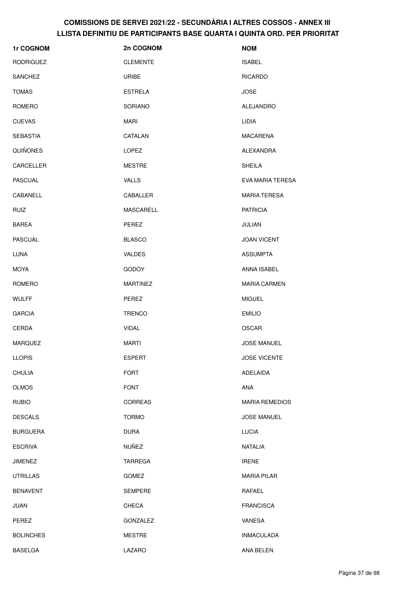| 1r COGNOM        | 2n COGNOM       | <b>NOM</b>            |
|------------------|-----------------|-----------------------|
| <b>RODRIGUEZ</b> | <b>CLEMENTE</b> | <b>ISABEL</b>         |
| <b>SANCHEZ</b>   | URIBE           | <b>RICARDO</b>        |
| <b>TOMAS</b>     | <b>ESTRELA</b>  | <b>JOSE</b>           |
| ROMERO           | SORIANO         | ALEJANDRO             |
| <b>CUEVAS</b>    | MARI            | LIDIA                 |
| <b>SEBASTIA</b>  | CATALAN         | <b>MACARENA</b>       |
| <b>QUIÑONES</b>  | <b>LOPEZ</b>    | ALEXANDRA             |
| CARCELLER        | <b>MESTRE</b>   | <b>SHEILA</b>         |
| <b>PASCUAL</b>   | <b>VALLS</b>    | EVA MARIA TERESA      |
| CABANELL         | CABALLER        | <b>MARIA TERESA</b>   |
| <b>RUIZ</b>      | MASCARELL       | <b>PATRICIA</b>       |
| <b>BAREA</b>     | PEREZ           | JULIAN                |
| <b>PASCUAL</b>   | <b>BLASCO</b>   | <b>JOAN VICENT</b>    |
| <b>LUNA</b>      | <b>VALDES</b>   | <b>ASSUMPTA</b>       |
| <b>MOYA</b>      | <b>GODOY</b>    | ANNA ISABEL           |
| ROMERO           | <b>MARTINEZ</b> | <b>MARIA CARMEN</b>   |
| <b>WULFF</b>     | PEREZ           | <b>MIGUEL</b>         |
| <b>GARCIA</b>    | <b>TRENCO</b>   | <b>EMILIO</b>         |
| CERDA            | <b>VIDAL</b>    | <b>OSCAR</b>          |
| <b>MARQUEZ</b>   | <b>MARTI</b>    | <b>JOSE MANUEL</b>    |
| <b>LLOPIS</b>    | <b>ESPERT</b>   | <b>JOSE VICENTE</b>   |
| CHULIA           | <b>FORT</b>     | <b>ADELAIDA</b>       |
| <b>OLMOS</b>     | <b>FONT</b>     | ANA                   |
| <b>RUBIO</b>     | <b>CORREAS</b>  | <b>MARIA REMEDIOS</b> |
| <b>DESCALS</b>   | <b>TORMO</b>    | <b>JOSE MANUEL</b>    |
| <b>BURGUERA</b>  | <b>DURA</b>     | <b>LUCIA</b>          |
| <b>ESCRIVA</b>   | <b>NUÑEZ</b>    | NATALIA               |
| <b>JIMENEZ</b>   | TARREGA         | <b>IRENE</b>          |
| <b>UTRILLAS</b>  | <b>GOMEZ</b>    | MARIA PILAR           |
| <b>BENAVENT</b>  | <b>SEMPERE</b>  | RAFAEL                |
| <b>JUAN</b>      | <b>CHECA</b>    | <b>FRANCISCA</b>      |
| PEREZ            | GONZALEZ        | VANESA                |
| <b>BOLINCHES</b> | <b>MESTRE</b>   | <b>INMACULADA</b>     |
| BASELGA          | LAZARO          | ANA BELEN             |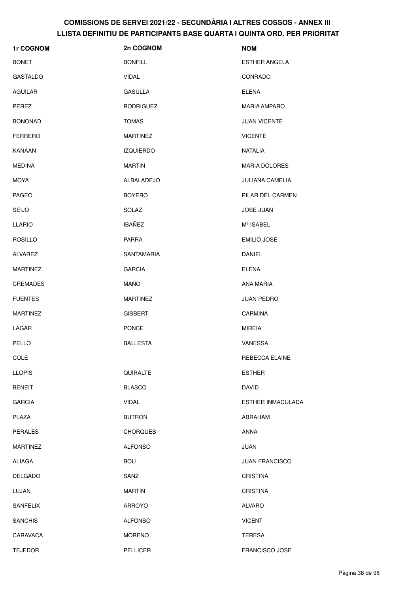| 1r COGNOM       | 2n COGNOM         | <b>NOM</b>             |
|-----------------|-------------------|------------------------|
| <b>BONET</b>    | <b>BONFILL</b>    | <b>ESTHER ANGELA</b>   |
| <b>GASTALDO</b> | <b>VIDAL</b>      | <b>CONRADO</b>         |
| <b>AGUILAR</b>  | <b>GASULLA</b>    | <b>ELENA</b>           |
| PEREZ           | <b>RODRIGUEZ</b>  | <b>MARIA AMPARO</b>    |
| <b>BONONAD</b>  | <b>TOMAS</b>      | <b>JUAN VICENTE</b>    |
| <b>FERRERO</b>  | <b>MARTINEZ</b>   | <b>VICENTE</b>         |
| KANAAN          | <b>IZQUIERDO</b>  | <b>NATALIA</b>         |
| <b>MEDINA</b>   | <b>MARTIN</b>     | <b>MARIA DOLORES</b>   |
| <b>MOYA</b>     | ALBALADEJO        | <b>JULIANA CAMELIA</b> |
| <b>PAGEO</b>    | <b>BOYERO</b>     | PILAR DEL CARMEN       |
| <b>SEIJO</b>    | SOLAZ             | <b>JOSE JUAN</b>       |
| <b>LLARIO</b>   | <b>IBAÑEZ</b>     | Mª ISABEL              |
| <b>ROSILLO</b>  | <b>PARRA</b>      | <b>EMILIO JOSE</b>     |
| ALVAREZ         | <b>SANTAMARIA</b> | DANIEL                 |
| <b>MARTINEZ</b> | <b>GARCIA</b>     | <b>ELENA</b>           |
| <b>CREMADES</b> | MAÑO              | ANA MARIA              |
| <b>FUENTES</b>  | <b>MARTINEZ</b>   | <b>JUAN PEDRO</b>      |
| <b>MARTINEZ</b> | <b>GISBERT</b>    | <b>CARMINA</b>         |
| LAGAR           | <b>PONCE</b>      | <b>MIREIA</b>          |
| PELLO           | <b>BALLESTA</b>   | VANESSA                |
| <b>COLE</b>     |                   | REBECCA ELAINE         |
| <b>LLOPIS</b>   | QUIRALTE          | <b>ESTHER</b>          |
| <b>BENEIT</b>   | <b>BLASCO</b>     | <b>DAVID</b>           |
| <b>GARCIA</b>   | <b>VIDAL</b>      | ESTHER INMACULADA      |
| PLAZA           | <b>BUTRÓN</b>     | ABRAHAM                |
| <b>PERALES</b>  | <b>CHORQUES</b>   | <b>ANNA</b>            |
| <b>MARTINEZ</b> | <b>ALFONSO</b>    | JUAN                   |
| ALIAGA          | <b>BOU</b>        | <b>JUAN FRANCISCO</b>  |
| <b>DELGADO</b>  | SANZ              | <b>CRISTINA</b>        |
| LUJAN           | <b>MARTIN</b>     | <b>CRISTINA</b>        |
| <b>SANFELIX</b> | <b>ARROYO</b>     | <b>ALVARO</b>          |
| <b>SANCHIS</b>  | <b>ALFONSO</b>    | <b>VICENT</b>          |
| CARAVACA        | <b>MORENO</b>     | <b>TERESA</b>          |
| <b>TEJEDOR</b>  | <b>PELLICER</b>   | <b>FRANCISCO JOSE</b>  |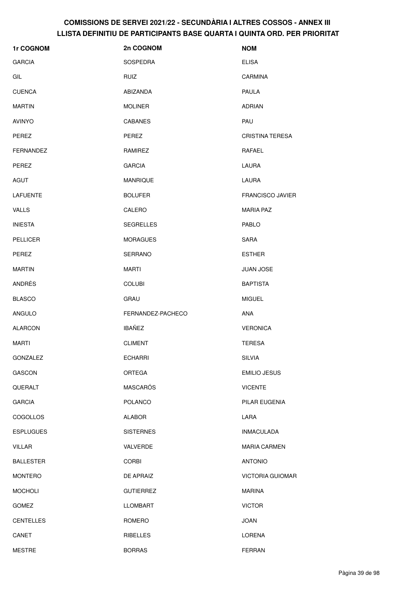| 1r COGNOM        | 2n COGNOM         | <b>NOM</b>              |
|------------------|-------------------|-------------------------|
| <b>GARCIA</b>    | SOSPEDRA          | <b>ELISA</b>            |
| GIL              | RUIZ              | CARMINA                 |
| <b>CUENCA</b>    | ABIZANDA          | <b>PAULA</b>            |
| <b>MARTIN</b>    | <b>MOLINER</b>    | <b>ADRIAN</b>           |
| <b>AVINYO</b>    | <b>CABANES</b>    | PAU                     |
| <b>PEREZ</b>     | <b>PEREZ</b>      | <b>CRISTINA TERESA</b>  |
| <b>FERNANDEZ</b> | RAMIREZ           | RAFAEL                  |
| PEREZ            | <b>GARCIA</b>     | LAURA                   |
| AGUT             | <b>MANRIQUE</b>   | LAURA                   |
| LAFUENTE         | <b>BOLUFER</b>    | <b>FRANCISCO JAVIER</b> |
| <b>VALLS</b>     | CALERO            | <b>MARIA PAZ</b>        |
| <b>INIESTA</b>   | <b>SEGRELLES</b>  | <b>PABLO</b>            |
| <b>PELLICER</b>  | <b>MORAGUES</b>   | SARA                    |
| PEREZ            | <b>SERRANO</b>    | <b>ESTHER</b>           |
| <b>MARTIN</b>    | <b>MARTI</b>      | <b>JUAN JOSE</b>        |
| ANDRÉS           | <b>COLUBI</b>     | <b>BAPTISTA</b>         |
| <b>BLASCO</b>    | GRAU              | <b>MIGUEL</b>           |
| <b>ANGULO</b>    | FERNANDEZ-PACHECO | ANA                     |
| <b>ALARCON</b>   | <b>IBAÑEZ</b>     | <b>VERONICA</b>         |
| MARTI            | <b>CLIMENT</b>    | <b>TERESA</b>           |
| <b>GONZALEZ</b>  | <b>ECHARRI</b>    | <b>SILVIA</b>           |
| GASCON           | ORTEGA            | <b>EMILIO JESUS</b>     |
| QUERALT          | MASCARÓS          | <b>VICENTE</b>          |
| <b>GARCIA</b>    | <b>POLANCO</b>    | PILAR EUGENIA           |
| COGOLLOS         | <b>ALABOR</b>     | LARA                    |
| <b>ESPLUGUES</b> | <b>SISTERNES</b>  | <b>INMACULADA</b>       |
| <b>VILLAR</b>    | <b>VALVERDE</b>   | <b>MARIA CARMEN</b>     |
| <b>BALLESTER</b> | <b>CORBI</b>      | <b>ANTONIO</b>          |
| <b>MONTERO</b>   | DE APRAIZ         | <b>VICTORIA GUIOMAR</b> |
| <b>MOCHOLI</b>   | <b>GUTIERREZ</b>  | <b>MARINA</b>           |
| <b>GOMEZ</b>     | <b>LLOMBART</b>   | <b>VICTOR</b>           |
| <b>CENTELLES</b> | ROMERO            | <b>JOAN</b>             |
| CANET            | RIBELLES          | <b>LORENA</b>           |
| <b>MESTRE</b>    | <b>BORRAS</b>     | FERRAN                  |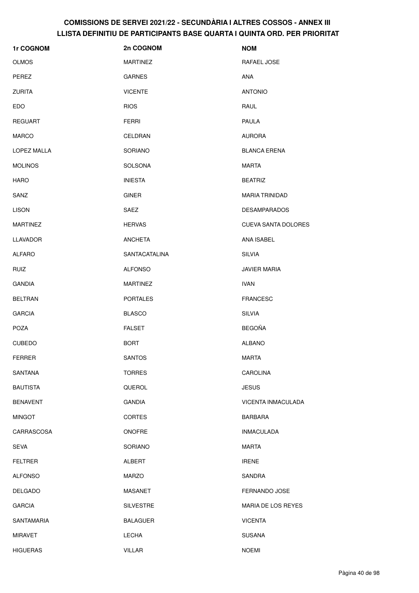| 1r COGNOM       | 2n COGNOM            | <b>NOM</b>                 |
|-----------------|----------------------|----------------------------|
| <b>OLMOS</b>    | <b>MARTINEZ</b>      | RAFAEL JOSE                |
| PEREZ           | <b>GARNES</b>        | <b>ANA</b>                 |
| <b>ZURITA</b>   | <b>VICENTE</b>       | <b>ANTONIO</b>             |
| <b>EDO</b>      | <b>RIOS</b>          | RAUL                       |
| <b>REGUART</b>  | <b>FERRI</b>         | <b>PAULA</b>               |
| MARCO           | CELDRAN              | <b>AURORA</b>              |
| LOPEZ MALLA     | SORIANO              | <b>BLANCA ERENA</b>        |
| <b>MOLINOS</b>  | <b>SOLSONA</b>       | MARTA                      |
| <b>HARO</b>     | <b>INIESTA</b>       | <b>BEATRIZ</b>             |
| SANZ            | <b>GINER</b>         | <b>MARIA TRINIDAD</b>      |
| <b>LISON</b>    | SAEZ                 | <b>DESAMPARADOS</b>        |
| <b>MARTINEZ</b> | <b>HERVAS</b>        | <b>CUEVA SANTA DOLORES</b> |
| <b>LLAVADOR</b> | <b>ANCHETA</b>       | ANA ISABEL                 |
| ALFARO          | <b>SANTACATALINA</b> | <b>SILVIA</b>              |
| <b>RUIZ</b>     | <b>ALFONSO</b>       | <b>JAVIER MARIA</b>        |
| <b>GANDIA</b>   | <b>MARTINEZ</b>      | <b>IVAN</b>                |
| <b>BELTRAN</b>  | <b>PORTALES</b>      | <b>FRANCESC</b>            |
| <b>GARCIA</b>   | <b>BLASCO</b>        | <b>SILVIA</b>              |
| <b>POZA</b>     | <b>FALSET</b>        | <b>BEGOÑA</b>              |
| <b>CUBEDO</b>   | <b>BORT</b>          | <b>ALBANO</b>              |
| <b>FERRER</b>   | <b>SANTOS</b>        | <b>MARTA</b>               |
| <b>SANTANA</b>  | <b>TORRES</b>        | <b>CAROLINA</b>            |
| <b>BAUTISTA</b> | QUEROL               | <b>JESUS</b>               |
| <b>BENAVENT</b> | <b>GANDIA</b>        | VICENTA INMACULADA         |
| <b>MINGOT</b>   | <b>CORTES</b>        | <b>BARBARA</b>             |
| CARRASCOSA      | <b>ONOFRE</b>        | <b>INMACULADA</b>          |
| <b>SEVA</b>     | SORIANO              | <b>MARTA</b>               |
| <b>FELTRER</b>  | ALBERT               | <b>IRENE</b>               |
| <b>ALFONSO</b>  | <b>MARZO</b>         | SANDRA                     |
| <b>DELGADO</b>  | <b>MASANET</b>       | FERNANDO JOSE              |
| <b>GARCIA</b>   | <b>SILVESTRE</b>     | MARIA DE LOS REYES         |
| SANTAMARIA      | <b>BALAGUER</b>      | <b>VICENTA</b>             |
| <b>MIRAVET</b>  | LECHA                | <b>SUSANA</b>              |
| HIGUERAS        | VILLAR               | <b>NOEMI</b>               |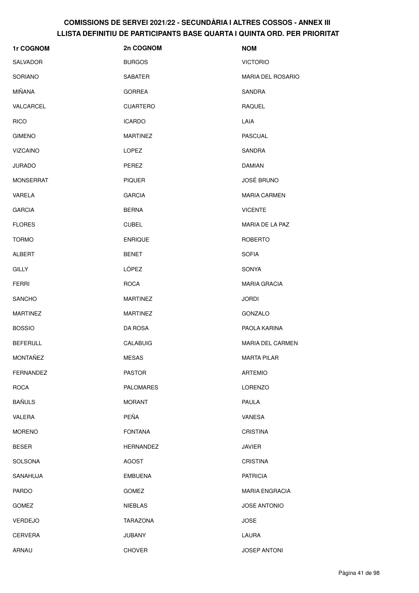| 1r COGNOM        | 2n COGNOM        | <b>NOM</b>               |
|------------------|------------------|--------------------------|
| <b>SALVADOR</b>  | <b>BURGOS</b>    | <b>VICTORIO</b>          |
| <b>SORIANO</b>   | <b>SABATER</b>   | <b>MARIA DEL ROSARIO</b> |
| MIÑANA           | <b>GORREA</b>    | SANDRA                   |
| VALCARCEL        | <b>CUARTERO</b>  | <b>RAQUEL</b>            |
| <b>RICO</b>      | <b>ICARDO</b>    | LAIA                     |
| <b>GIMENO</b>    | <b>MARTINEZ</b>  | <b>PASCUAL</b>           |
| VIZCAINO         | <b>LOPEZ</b>     | SANDRA                   |
| <b>JURADO</b>    | PEREZ            | <b>DAMIAN</b>            |
| <b>MONSERRAT</b> | <b>PIQUER</b>    | <b>JOSÉ BRUNO</b>        |
| VARELA           | <b>GARCIA</b>    | <b>MARIA CARMEN</b>      |
| <b>GARCIA</b>    | <b>BERNA</b>     | <b>VICENTE</b>           |
| <b>FLORES</b>    | <b>CUBEL</b>     | MARIA DE LA PAZ          |
| <b>TORMO</b>     | <b>ENRIQUE</b>   | <b>ROBERTO</b>           |
| ALBERT           | <b>BENET</b>     | <b>SOFIA</b>             |
| <b>GILLY</b>     | LÓPEZ            | <b>SONYA</b>             |
| <b>FERRI</b>     | <b>ROCA</b>      | <b>MARIA GRACIA</b>      |
| <b>SANCHO</b>    | <b>MARTINEZ</b>  | <b>JORDI</b>             |
| <b>MARTINEZ</b>  | <b>MARTINEZ</b>  | GONZALO                  |
| <b>BOSSIO</b>    | DA ROSA          | PAOLA KARINA             |
| <b>BEFERULL</b>  | <b>CALABUIG</b>  | <b>MARIA DEL CARMEN</b>  |
| MONTAÑEZ         | <b>MESAS</b>     | <b>MARTA PILAR</b>       |
| <b>FERNANDEZ</b> | <b>PASTOR</b>    | <b>ARTEMIO</b>           |
| <b>ROCA</b>      | <b>PALOMARES</b> | <b>LORENZO</b>           |
| <b>BAÑULS</b>    | <b>MORANT</b>    | PAULA                    |
| VALERA           | PEÑA             | VANESA                   |
| <b>MORENO</b>    | <b>FONTANA</b>   | <b>CRISTINA</b>          |
| <b>BESER</b>     | HERNANDEZ        | <b>JAVIER</b>            |
| <b>SOLSONA</b>   | AGOST            | <b>CRISTINA</b>          |
| SANAHUJA         | <b>EMBUENA</b>   | <b>PATRICIA</b>          |
| <b>PARDO</b>     | <b>GOMEZ</b>     | <b>MARIA ENGRACIA</b>    |
| <b>GOMEZ</b>     | <b>NIEBLAS</b>   | JOSE ANTONIO             |
| <b>VERDEJO</b>   | TARAZONA         | <b>JOSE</b>              |
| CERVERA          | <b>JUBANY</b>    | LAURA                    |
| ARNAU            | <b>CHOVER</b>    | <b>JOSEP ANTONI</b>      |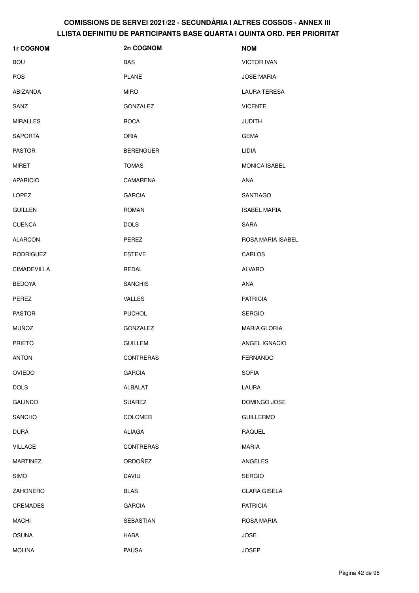| <b>1r COGNOM</b>   | 2n COGNOM        | <b>NOM</b>           |
|--------------------|------------------|----------------------|
| <b>BOU</b>         | <b>BAS</b>       | <b>VICTOR IVAN</b>   |
| <b>ROS</b>         | <b>PLANE</b>     | <b>JOSE MARIA</b>    |
| ABIZANDA           | <b>MIRO</b>      | LAURA TERESA         |
| SANZ               | <b>GONZALEZ</b>  | <b>VICENTE</b>       |
| <b>MIRALLES</b>    | <b>ROCA</b>      | <b>JUDITH</b>        |
| <b>SAPORTA</b>     | ORIA             | <b>GEMA</b>          |
| <b>PASTOR</b>      | <b>BERENGUER</b> | LIDIA                |
| MIRET              | <b>TOMAS</b>     | <b>MONICA ISABEL</b> |
| <b>APARICIO</b>    | CAMARENA         | <b>ANA</b>           |
| <b>LOPEZ</b>       | <b>GARCIA</b>    | SANTIAGO             |
| <b>GUILLEN</b>     | <b>ROMAN</b>     | <b>ISABEL MARIA</b>  |
| <b>CUENCA</b>      | <b>DOLS</b>      | <b>SARA</b>          |
| <b>ALARCON</b>     | PEREZ            | ROSA MARIA ISABEL    |
| <b>RODRIGUEZ</b>   | <b>ESTEVE</b>    | CARLOS               |
| <b>CIMADEVILLA</b> | REDAL            | ALVARO               |
| <b>BEDOYA</b>      | <b>SANCHIS</b>   | ANA                  |
| PEREZ              | <b>VALLES</b>    | <b>PATRICIA</b>      |
| <b>PASTOR</b>      | <b>PUCHOL</b>    | <b>SERGIO</b>        |
| <b>MUÑOZ</b>       | <b>GONZALEZ</b>  | <b>MARIA GLORIA</b>  |
| <b>PRIETO</b>      | <b>GUILLEM</b>   | ANGEL IGNACIO        |
| <b>ANTON</b>       | CONTRERAS        | FERNANDO             |
| <b>OVIEDO</b>      | <b>GARCIA</b>    | <b>SOFIA</b>         |
| <b>DOLS</b>        | ALBALAT          | LAURA                |
| <b>GALINDO</b>     | <b>SUAREZ</b>    | DOMINGO JOSE         |
| <b>SANCHO</b>      | COLOMER          | <b>GUILLERMO</b>     |
| DURÁ               | ALIAGA           | RAQUEL               |
| <b>VILLACE</b>     | <b>CONTRERAS</b> | <b>MARIA</b>         |
| <b>MARTINEZ</b>    | ORDOÑEZ          | ANGELES              |
| <b>SIMO</b>        | <b>DAVIU</b>     | <b>SERGIO</b>        |
| ZAHONERO           | <b>BLAS</b>      | <b>CLARA GISELA</b>  |
| <b>CREMADES</b>    | <b>GARCIA</b>    | <b>PATRICIA</b>      |
| <b>MACHI</b>       | SEBASTIAN        | ROSA MARIA           |
| <b>OSUNA</b>       | HABA             | <b>JOSE</b>          |
| <b>MOLINA</b>      | <b>PAUSA</b>     | <b>JOSEP</b>         |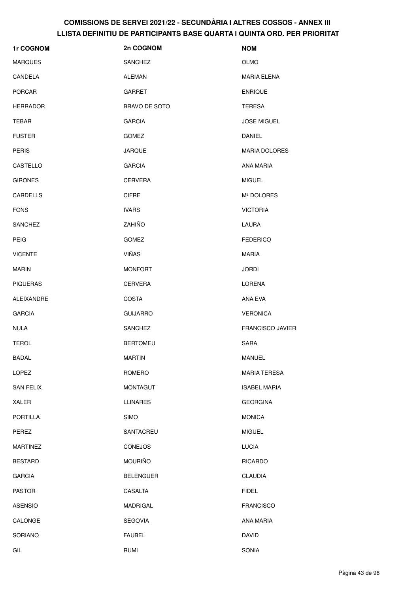| 1r COGNOM        | 2n COGNOM            | <b>NOM</b>              |
|------------------|----------------------|-------------------------|
| <b>MARQUES</b>   | <b>SANCHEZ</b>       | <b>OLMO</b>             |
| CANDELA          | ALEMAN               | MARIA ELENA             |
| <b>PORCAR</b>    | <b>GARRET</b>        | <b>ENRIQUE</b>          |
| <b>HERRADOR</b>  | <b>BRAVO DE SOTO</b> | <b>TERESA</b>           |
| TEBAR            | <b>GARCIA</b>        | <b>JOSE MIGUEL</b>      |
| <b>FUSTER</b>    | <b>GOMEZ</b>         | <b>DANIEL</b>           |
| <b>PERIS</b>     | <b>JARQUE</b>        | <b>MARIA DOLORES</b>    |
| CASTELLO         | <b>GARCIA</b>        | ANA MARIA               |
| <b>GIRONES</b>   | <b>CERVERA</b>       | <b>MIGUEL</b>           |
| <b>CARDELLS</b>  | <b>CIFRE</b>         | Mª DOLORES              |
| <b>FONS</b>      | <b>IVARS</b>         | <b>VICTORIA</b>         |
| <b>SANCHEZ</b>   | ZAHIÑO               | LAURA                   |
| <b>PEIG</b>      | <b>GOMEZ</b>         | <b>FEDERICO</b>         |
| <b>VICENTE</b>   | <b>VIÑAS</b>         | <b>MARIA</b>            |
| <b>MARIN</b>     | <b>MONFORT</b>       | <b>JORDI</b>            |
| <b>PIQUERAS</b>  | <b>CERVERA</b>       | LORENA                  |
| ALEIXANDRE       | <b>COSTA</b>         | ANA EVA                 |
| <b>GARCIA</b>    | <b>GUIJARRO</b>      | <b>VERONICA</b>         |
| <b>NULA</b>      | <b>SANCHEZ</b>       | <b>FRANCISCO JAVIER</b> |
| <b>TEROL</b>     | <b>BERTOMEU</b>      | <b>SARA</b>             |
| <b>BADAL</b>     | <b>MARTIN</b>        | MANUEL                  |
| LOPEZ            | ROMERO               | <b>MARIA TERESA</b>     |
| <b>SAN FELIX</b> | <b>MONTAGUT</b>      | <b>ISABEL MARIA</b>     |
| XALER            | <b>LLINARES</b>      | <b>GEORGINA</b>         |
| PORTILLA         | <b>SIMO</b>          | <b>MONICA</b>           |
| PEREZ            | SANTACREU            | <b>MIGUEL</b>           |
| <b>MARTINEZ</b>  | <b>CONEJOS</b>       | <b>LUCIA</b>            |
| <b>BESTARD</b>   | <b>MOURIÑO</b>       | <b>RICARDO</b>          |
| <b>GARCIA</b>    | <b>BELENGUER</b>     | <b>CLAUDIA</b>          |
| <b>PASTOR</b>    | CASALTA              | <b>FIDEL</b>            |
| <b>ASENSIO</b>   | MADRIGAL             | <b>FRANCISCO</b>        |
| CALONGE          | <b>SEGOVIA</b>       | ANA MARIA               |
| SORIANO          | <b>FAUBEL</b>        | <b>DAVID</b>            |
| GIL              | RUMI                 | SONIA                   |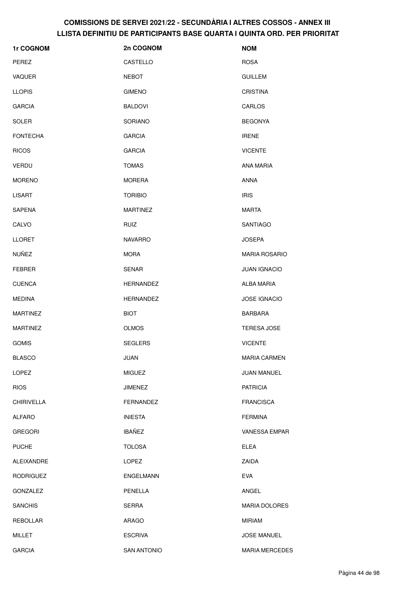| 1r COGNOM         | 2n COGNOM          | <b>NOM</b>            |
|-------------------|--------------------|-----------------------|
| PEREZ             | CASTELLO           | <b>ROSA</b>           |
| VAQUER            | <b>NEBOT</b>       | <b>GUILLEM</b>        |
| <b>LLOPIS</b>     | <b>GIMENO</b>      | <b>CRISTINA</b>       |
| <b>GARCIA</b>     | <b>BALDOVI</b>     | CARLOS                |
| <b>SOLER</b>      | <b>SORIANO</b>     | <b>BEGONYA</b>        |
| <b>FONTECHA</b>   | <b>GARCIA</b>      | <b>IRENE</b>          |
| <b>RICOS</b>      | <b>GARCIA</b>      | <b>VICENTE</b>        |
| VERDU             | <b>TOMAS</b>       | ANA MARIA             |
| <b>MORENO</b>     | <b>MORERA</b>      | ANNA                  |
| LISART            | <b>TORIBIO</b>     | <b>IRIS</b>           |
| SAPENA            | <b>MARTINEZ</b>    | MARTA                 |
| CALVO             | RUIZ               | <b>SANTIAGO</b>       |
| <b>LLORET</b>     | <b>NAVARRO</b>     | <b>JOSEPA</b>         |
| NUÑEZ             | <b>MORA</b>        | <b>MARIA ROSARIO</b>  |
| <b>FEBRER</b>     | <b>SENAR</b>       | <b>JUAN IGNACIO</b>   |
| <b>CUENCA</b>     | <b>HERNANDEZ</b>   | ALBA MARIA            |
| <b>MEDINA</b>     | <b>HERNANDEZ</b>   | <b>JOSE IGNACIO</b>   |
| <b>MARTINEZ</b>   | <b>BIOT</b>        | <b>BARBARA</b>        |
| <b>MARTINEZ</b>   | <b>OLMOS</b>       | <b>TERESA JOSE</b>    |
| <b>GOMIS</b>      | <b>SEGLERS</b>     | <b>VICENTE</b>        |
| <b>BLASCO</b>     | JUAN               | <b>MARIA CARMEN</b>   |
| LOPEZ             | <b>MIGUEZ</b>      | JUAN MANUEL           |
| <b>RIOS</b>       | <b>JIMENEZ</b>     | <b>PATRICIA</b>       |
| <b>CHIRIVELLA</b> | <b>FERNANDEZ</b>   | <b>FRANCISCA</b>      |
| <b>ALFARO</b>     | <b>INIESTA</b>     | <b>FERMINA</b>        |
| <b>GREGORI</b>    | <b>IBAÑEZ</b>      | VANESSA EMPAR         |
| <b>PUCHE</b>      | <b>TOLOSA</b>      | <b>ELEA</b>           |
| ALEIXANDRE        | LOPEZ              | ZAIDA                 |
| <b>RODRIGUEZ</b>  | ENGELMANN          | <b>EVA</b>            |
| <b>GONZALEZ</b>   | PENELLA            | ANGEL                 |
| <b>SANCHIS</b>    | SERRA              | <b>MARIA DOLORES</b>  |
| <b>REBOLLAR</b>   | ARAGO              | <b>MIRIAM</b>         |
| <b>MILLET</b>     | <b>ESCRIVA</b>     | <b>JOSE MANUEL</b>    |
| <b>GARCIA</b>     | <b>SAN ANTONIO</b> | <b>MARIA MERCEDES</b> |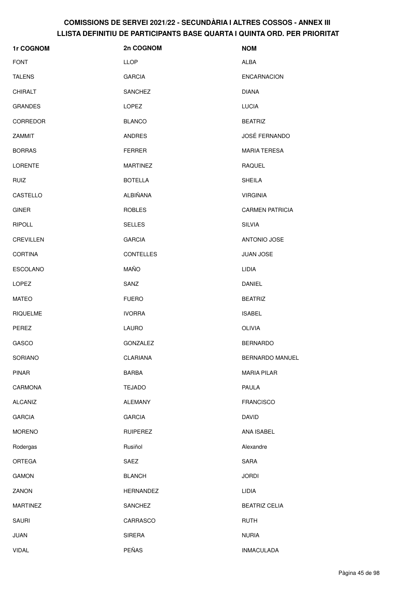| <b>1r COGNOM</b> | 2n COGNOM        | <b>NOM</b>             |
|------------------|------------------|------------------------|
| <b>FONT</b>      | <b>LLOP</b>      | <b>ALBA</b>            |
| <b>TALENS</b>    | <b>GARCIA</b>    | <b>ENCARNACION</b>     |
| <b>CHIRALT</b>   | <b>SANCHEZ</b>   | <b>DIANA</b>           |
| <b>GRANDES</b>   | LOPEZ            | <b>LUCIA</b>           |
| <b>CORREDOR</b>  | <b>BLANCO</b>    | <b>BEATRIZ</b>         |
| ZAMMIT           | <b>ANDRES</b>    | <b>JOSÉ FERNANDO</b>   |
| <b>BORRAS</b>    | <b>FERRER</b>    | <b>MARIA TERESA</b>    |
| <b>LORENTE</b>   | <b>MARTINEZ</b>  | <b>RAQUEL</b>          |
| <b>RUIZ</b>      | <b>BOTELLA</b>   | <b>SHEILA</b>          |
| CASTELLO         | <b>ALBIÑANA</b>  | <b>VIRGINIA</b>        |
| <b>GINER</b>     | <b>ROBLES</b>    | <b>CARMEN PATRICIA</b> |
| <b>RIPOLL</b>    | <b>SELLES</b>    | <b>SILVIA</b>          |
| <b>CREVILLEN</b> | <b>GARCIA</b>    | <b>ANTONIO JOSE</b>    |
| <b>CORTINA</b>   | <b>CONTELLES</b> | <b>JUAN JOSE</b>       |
| ESCOLANO         | <b>MAÑO</b>      | LIDIA                  |
| <b>LOPEZ</b>     | SANZ             | DANIEL                 |
| MATEO            | <b>FUERO</b>     | <b>BEATRIZ</b>         |
| <b>RIQUELME</b>  | <b>IVORRA</b>    | <b>ISABEL</b>          |
| PEREZ            | <b>LAURO</b>     | OLIVIA                 |
| GASCO            | <b>GONZALEZ</b>  | <b>BERNARDO</b>        |
| SORIANO          | <b>CLARIANA</b>  | BERNARDO MANUEL        |
| <b>PINAR</b>     | <b>BARBA</b>     | <b>MARIA PILAR</b>     |
| CARMONA          | <b>TEJADO</b>    | PAULA                  |
| <b>ALCAÑIZ</b>   | <b>ALEMANY</b>   | <b>FRANCISCO</b>       |
| <b>GARCIA</b>    | <b>GARCIA</b>    | <b>DAVID</b>           |
| <b>MORENO</b>    | <b>RUIPEREZ</b>  | ANA ISABEL             |
| Rodergas         | Rusiñol          | Alexandre              |
| ORTEGA           | SAEZ             | SARA                   |
| <b>GAMON</b>     | <b>BLANCH</b>    | <b>JORDI</b>           |
| ZANON            | <b>HERNANDEZ</b> | LIDIA                  |
| <b>MARTINEZ</b>  | SANCHEZ          | <b>BEATRIZ CELIA</b>   |
| <b>SAURI</b>     | CARRASCO         | <b>RUTH</b>            |
| JUAN             | <b>SIRERA</b>    | <b>NURIA</b>           |
| <b>VIDAL</b>     | PEÑAS            | <b>INMACULADA</b>      |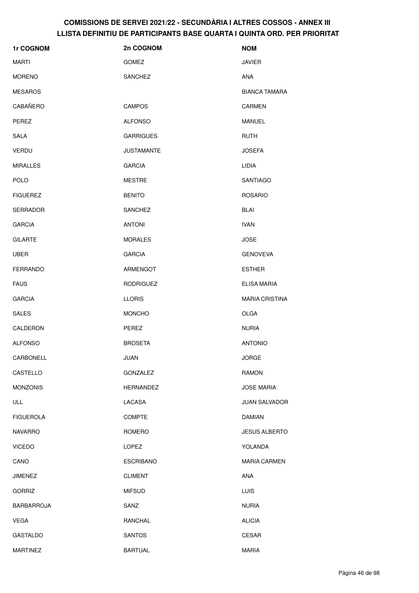| 1r COGNOM         | 2n COGNOM         | <b>NOM</b>            |
|-------------------|-------------------|-----------------------|
| <b>MARTI</b>      | GOMEZ             | <b>JAVIER</b>         |
| <b>MORENO</b>     | <b>SANCHEZ</b>    | <b>ANA</b>            |
| <b>MESAROS</b>    |                   | <b>BIANCA TAMARA</b>  |
| CABAÑERO          | <b>CAMPOS</b>     | <b>CARMEN</b>         |
| PEREZ             | <b>ALFONSO</b>    | MANUEL                |
| <b>SALA</b>       | <b>GARRIGUES</b>  | <b>RUTH</b>           |
| <b>VERDU</b>      | <b>JUSTAMANTE</b> | <b>JOSEFA</b>         |
| <b>MIRALLES</b>   | <b>GARCIA</b>     | LIDIA                 |
| <b>POLO</b>       | <b>MESTRE</b>     | SANTIAGO              |
| <b>FIGUEREZ</b>   | <b>BENITO</b>     | <b>ROSARIO</b>        |
| <b>SERRADOR</b>   | <b>SANCHEZ</b>    | <b>BLAI</b>           |
| <b>GARCIA</b>     | <b>ANTONI</b>     | <b>IVAN</b>           |
| <b>GILARTE</b>    | <b>MORALES</b>    | <b>JOSE</b>           |
| <b>UBER</b>       | <b>GARCIA</b>     | <b>GENOVEVA</b>       |
| FERRANDO          | ARMENGOT          | <b>ESTHER</b>         |
| <b>FAUS</b>       | <b>RODRIGUEZ</b>  | ELISA MARIA           |
| <b>GARCIA</b>     | <b>LLORIS</b>     | <b>MARIA CRISTINA</b> |
| <b>SALES</b>      | <b>MONCHO</b>     | <b>OLGA</b>           |
| CALDERON          | PEREZ             | <b>NURIA</b>          |
| <b>ALFONSO</b>    | <b>BROSETA</b>    | <b>ANTONIO</b>        |
| CARBONELL         | JUAN              | <b>JORGE</b>          |
| CASTELLO          | GONZALEZ          | <b>RAMON</b>          |
| <b>MONZONIS</b>   | HERNANDEZ         | <b>JOSE MARIA</b>     |
| ULL               | LACASA            | <b>JUAN SALVADOR</b>  |
| <b>FIGUEROLA</b>  | COMPTE            | <b>DAMIAN</b>         |
| <b>NAVARRO</b>    | ROMERO            | <b>JESUS ALBERTO</b>  |
| <b>VICEDO</b>     | LOPEZ             | YOLANDA               |
| CANO              | <b>ESCRIBANO</b>  | <b>MARIA CARMEN</b>   |
| <b>JIMENEZ</b>    | <b>CLIMENT</b>    | ANA                   |
| <b>GORRIZ</b>     | <b>MIFSUD</b>     | <b>LUIS</b>           |
| <b>BARBARROJA</b> | SANZ              | <b>NURIA</b>          |
| <b>VEGA</b>       | RANCHAL           | <b>ALICIA</b>         |
| <b>GASTALDO</b>   | <b>SANTOS</b>     | CESAR                 |
| <b>MARTINEZ</b>   | <b>BARTUAL</b>    | <b>MARIA</b>          |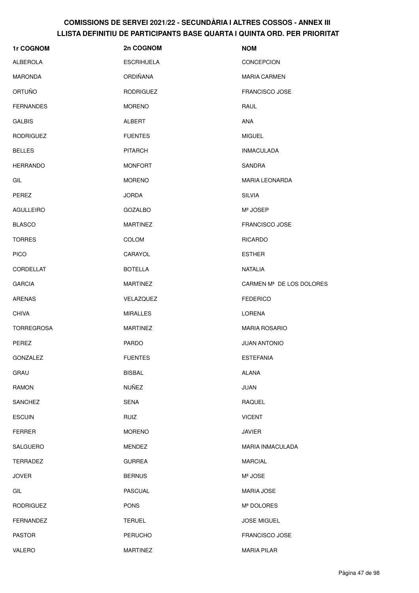| 1r COGNOM         | 2n COGNOM         | <b>NOM</b>                           |
|-------------------|-------------------|--------------------------------------|
| <b>ALBEROLA</b>   | <b>ESCRIHUELA</b> | <b>CONCEPCION</b>                    |
| <b>MARONDA</b>    | <b>ORDIÑANA</b>   | <b>MARIA CARMEN</b>                  |
| ORTUÑO            | <b>RODRIGUEZ</b>  | <b>FRANCISCO JOSE</b>                |
| <b>FERNANDES</b>  | <b>MORENO</b>     | RAUL                                 |
| <b>GALBIS</b>     | <b>ALBERT</b>     | ANA                                  |
| <b>RODRIGUEZ</b>  | <b>FUENTES</b>    | <b>MIGUEL</b>                        |
| <b>BELLES</b>     | <b>PITARCH</b>    | <b>INMACULADA</b>                    |
| <b>HERRANDO</b>   | <b>MONFORT</b>    | <b>SANDRA</b>                        |
| GIL               | <b>MORENO</b>     | <b>MARIA LEONARDA</b>                |
| PEREZ             | <b>JORDA</b>      | <b>SILVIA</b>                        |
| <b>AGULLEIRO</b>  | <b>GOZALBO</b>    | Mª JOSEP                             |
| <b>BLASCO</b>     | <b>MARTINEZ</b>   | <b>FRANCISCO JOSE</b>                |
| <b>TORRES</b>     | COLOM             | <b>RICARDO</b>                       |
| <b>PICO</b>       | CARAYOL           | <b>ESTHER</b>                        |
| CORDELLAT         | <b>BOTELLA</b>    | <b>NATALIA</b>                       |
| <b>GARCIA</b>     | <b>MARTINEZ</b>   | CARMEN M <sup>ª</sup> DE LOS DOLORES |
| <b>ARENAS</b>     | VELAZQUEZ         | <b>FEDERICO</b>                      |
| <b>CHIVA</b>      | <b>MIRALLES</b>   | <b>LORENA</b>                        |
| <b>TORREGROSA</b> | <b>MARTINEZ</b>   | <b>MARIA ROSARIO</b>                 |
| PEREZ             | <b>PARDO</b>      | <b>JUAN ANTONIO</b>                  |
| GONZALEZ          | <b>FUENTES</b>    | <b>ESTEFANIA</b>                     |
| GRAU              | <b>BISBAL</b>     | ALANA                                |
| <b>RAMON</b>      | <b>NUÑEZ</b>      | JUAN                                 |
| <b>SANCHEZ</b>    | <b>SENA</b>       | RAQUEL                               |
| <b>ESCUIN</b>     | <b>RUIZ</b>       | <b>VICENT</b>                        |
| <b>FERRER</b>     | <b>MORENO</b>     | <b>JAVIER</b>                        |
| <b>SALGUERO</b>   | <b>MENDEZ</b>     | MARIA INMACULADA                     |
| <b>TERRADEZ</b>   | <b>GURREA</b>     | <b>MARCIAL</b>                       |
| JOVER             | <b>BERNUS</b>     | Mª JOSE                              |
| GIL               | <b>PASCUAL</b>    | <b>MARIA JOSE</b>                    |
| <b>RODRIGUEZ</b>  | <b>PONS</b>       | Mª DOLORES                           |
| <b>FERNANDEZ</b>  | <b>TERUEL</b>     | <b>JOSE MIGUEL</b>                   |
| <b>PASTOR</b>     | <b>PERUCHO</b>    | FRANCISCO JOSE                       |
| VALERO            | MARTINEZ          | MARIA PILAR                          |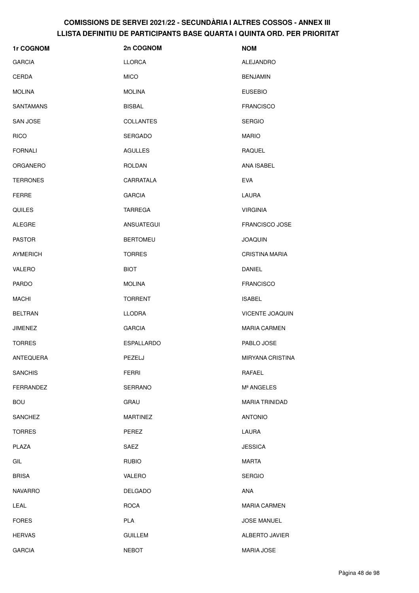| 1r COGNOM        | 2n COGNOM         | <b>NOM</b>             |
|------------------|-------------------|------------------------|
| <b>GARCIA</b>    | <b>LLORCA</b>     | <b>ALEJANDRO</b>       |
| <b>CERDA</b>     | <b>MICO</b>       | <b>BENJAMIN</b>        |
| <b>MOLINA</b>    | <b>MOLINA</b>     | <b>EUSEBIO</b>         |
| <b>SANTAMANS</b> | <b>BISBAL</b>     | <b>FRANCISCO</b>       |
| <b>SAN JOSE</b>  | <b>COLLANTES</b>  | <b>SERGIO</b>          |
| <b>RICO</b>      | <b>SERGADO</b>    | <b>MARIO</b>           |
| <b>FORNALI</b>   | <b>AGULLES</b>    | <b>RAQUEL</b>          |
| <b>ORGANERO</b>  | <b>ROLDAN</b>     | ANA ISABEL             |
| <b>TERRONES</b>  | CARRATALA         | <b>EVA</b>             |
| <b>FERRE</b>     | <b>GARCIA</b>     | LAURA                  |
| <b>QUILES</b>    | <b>TARREGA</b>    | <b>VIRGINIA</b>        |
| <b>ALEGRE</b>    | <b>ANSUATEGUI</b> | <b>FRANCISCO JOSE</b>  |
| <b>PASTOR</b>    | <b>BERTOMEU</b>   | <b>JOAQUIN</b>         |
| <b>AYMERICH</b>  | <b>TORRES</b>     | <b>CRISTINA MARIA</b>  |
| <b>VALERO</b>    | <b>BIOT</b>       | DANIEL                 |
| <b>PARDO</b>     | <b>MOLINA</b>     | <b>FRANCISCO</b>       |
| MACHI            | <b>TORRENT</b>    | <b>ISABEL</b>          |
| <b>BELTRAN</b>   | <b>LLODRA</b>     | <b>VICENTE JOAQUIN</b> |
| JIMENEZ          | <b>GARCIA</b>     | <b>MARIA CARMEN</b>    |
| <b>TORRES</b>    | <b>ESPALLARDO</b> | PABLO JOSE             |
| ANTEQUERA        | PEZELJ            | MIRYANA CRISTINA       |
| <b>SANCHIS</b>   | <b>FERRI</b>      | RAFAEL                 |
| <b>FERRANDEZ</b> | SERRANO           | Mª ANGELES             |
| <b>BOU</b>       | GRAU              | <b>MARIA TRINIDAD</b>  |
| <b>SANCHEZ</b>   | <b>MARTINEZ</b>   | <b>ANTONIO</b>         |
| <b>TORRES</b>    | PEREZ             | LAURA                  |
| PLAZA            | SAEZ              | <b>JESSICA</b>         |
| GIL              | <b>RUBIO</b>      | <b>MARTA</b>           |
| <b>BRISA</b>     | VALERO            | <b>SERGIO</b>          |
| <b>NAVARRO</b>   | <b>DELGADO</b>    | ANA                    |
| LEAL             | <b>ROCA</b>       | <b>MARIA CARMEN</b>    |
| <b>FORES</b>     | <b>PLA</b>        | <b>JOSE MANUEL</b>     |
| <b>HERVAS</b>    | <b>GUILLEM</b>    | ALBERTO JAVIER         |
| <b>GARCIA</b>    | <b>NEBOT</b>      | MARIA JOSE             |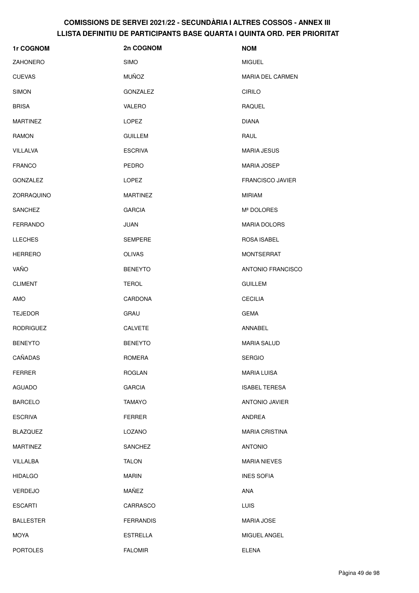| 1r COGNOM        | 2n COGNOM        | <b>NOM</b>              |
|------------------|------------------|-------------------------|
| <b>ZAHONERO</b>  | <b>SIMO</b>      | <b>MIGUEL</b>           |
| <b>CUEVAS</b>    | <b>MUÑOZ</b>     | <b>MARIA DEL CARMEN</b> |
| <b>SIMON</b>     | GONZALEZ         | <b>CIRILO</b>           |
| <b>BRISA</b>     | <b>VALERO</b>    | RAQUEL                  |
| <b>MARTINEZ</b>  | <b>LOPEZ</b>     | <b>DIANA</b>            |
| RAMON            | <b>GUILLEM</b>   | RAUL                    |
| VILLALVA         | <b>ESCRIVA</b>   | <b>MARIA JESUS</b>      |
| <b>FRANCO</b>    | PEDRO            | <b>MARIA JOSEP</b>      |
| GONZALEZ         | <b>LOPEZ</b>     | <b>FRANCISCO JAVIER</b> |
| ZORRAQUINO       | <b>MARTINEZ</b>  | <b>MIRIAM</b>           |
| SANCHEZ          | <b>GARCIA</b>    | Mª DOLORES              |
| FERRANDO         | <b>JUAN</b>      | <b>MARIA DOLORS</b>     |
| <b>LLECHES</b>   | <b>SEMPERE</b>   | <b>ROSA ISABEL</b>      |
| <b>HERRERO</b>   | <b>OLIVAS</b>    | <b>MONTSERRAT</b>       |
| VAÑO             | <b>BENEYTO</b>   | ANTONIO FRANCISCO       |
| <b>CLIMENT</b>   | <b>TEROL</b>     | <b>GUILLEM</b>          |
| AMO              | CARDONA          | <b>CECILIA</b>          |
| <b>TEJEDOR</b>   | GRAU             | <b>GEMA</b>             |
| <b>RODRIGUEZ</b> | <b>CALVETE</b>   | ANNABEL                 |
| <b>BENEYTO</b>   | <b>BENEYTO</b>   | <b>MARIA SALUD</b>      |
| CAÑADAS          | ROMERA           | <b>SERGIO</b>           |
| <b>FERRER</b>    | <b>ROGLAN</b>    | <b>MARIA LUISA</b>      |
| <b>AGUADO</b>    | <b>GARCIA</b>    | <b>ISABEL TERESA</b>    |
| <b>BARCELO</b>   | <b>TAMAYO</b>    | ANTONIO JAVIER          |
| <b>ESCRIVA</b>   | <b>FERRER</b>    | ANDREA                  |
| <b>BLAZQUEZ</b>  | LOZANO           | <b>MARIA CRISTINA</b>   |
| <b>MARTINEZ</b>  | SANCHEZ          | <b>ANTONIO</b>          |
| VILLALBA         | <b>TALON</b>     | <b>MARIA NIEVES</b>     |
| <b>HIDALGO</b>   | <b>MARIN</b>     | <b>INES SOFIA</b>       |
| <b>VERDEJO</b>   | MAÑEZ            | ANA                     |
| <b>ESCARTI</b>   | CARRASCO         | <b>LUIS</b>             |
| <b>BALLESTER</b> | <b>FERRANDIS</b> | <b>MARIA JOSE</b>       |
| <b>MOYA</b>      | ESTRELLA         | MIGUEL ANGEL            |
| <b>PORTOLES</b>  | <b>FALOMIR</b>   | <b>ELENA</b>            |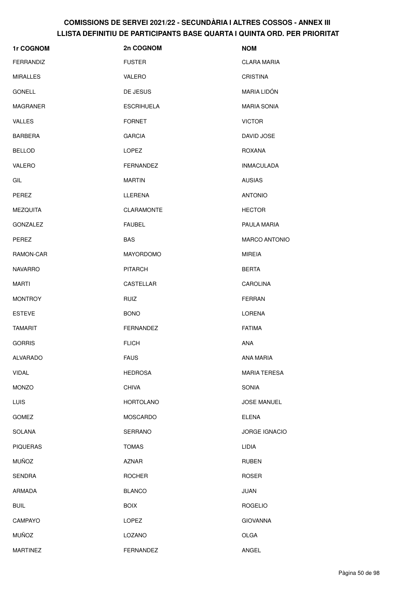| 1r COGNOM        | 2n COGNOM         | <b>NOM</b>           |
|------------------|-------------------|----------------------|
| <b>FERRANDIZ</b> | <b>FUSTER</b>     | <b>CLARA MARIA</b>   |
| <b>MIRALLES</b>  | VALERO            | <b>CRISTINA</b>      |
| <b>GONELL</b>    | DE JESUS          | <b>MARIA LIDÓN</b>   |
| MAGRANER         | <b>ESCRIHUELA</b> | <b>MARIA SONIA</b>   |
| <b>VALLES</b>    | <b>FORNET</b>     | <b>VICTOR</b>        |
| <b>BARBERA</b>   | <b>GARCIA</b>     | DAVID JOSE           |
| <b>BELLOD</b>    | LOPEZ             | ROXANA               |
| <b>VALERO</b>    | FERNANDEZ         | <b>INMACULADA</b>    |
| GIL              | <b>MARTIN</b>     | <b>AUSIAS</b>        |
| PEREZ            | LLERENA           | <b>ANTONIO</b>       |
| <b>MEZQUITA</b>  | <b>CLARAMONTE</b> | <b>HECTOR</b>        |
| <b>GONZALEZ</b>  | <b>FAUBEL</b>     | PAULA MARIA          |
| PEREZ            | <b>BAS</b>        | <b>MARCO ANTONIO</b> |
| RAMON-CAR        | <b>MAYORDOMO</b>  | <b>MIREIA</b>        |
| <b>NAVARRO</b>   | <b>PITARCH</b>    | <b>BERTA</b>         |
| MARTI            | <b>CASTELLAR</b>  | <b>CAROLINA</b>      |
| <b>MONTROY</b>   | RUIZ              | <b>FERRAN</b>        |
| <b>ESTEVE</b>    | <b>BONO</b>       | LORENA               |
| TAMARIT          | <b>FERNANDEZ</b>  | <b>FATIMA</b>        |
| <b>GORRIS</b>    | <b>FLICH</b>      | <b>ANA</b>           |
| ALVARADO         | <b>FAUS</b>       | ANA MARIA            |
| <b>VIDAL</b>     | <b>HEDROSA</b>    | <b>MARIA TERESA</b>  |
| <b>MONZO</b>     | <b>CHIVA</b>      | <b>SONIA</b>         |
| LUIS             | <b>HORTOLANO</b>  | <b>JOSE MANUEL</b>   |
| <b>GOMEZ</b>     | MOSCARDO          | <b>ELENA</b>         |
| SOLANA           | SERRANO           | JORGE IGNACIO        |
| <b>PIQUERAS</b>  | <b>TOMAS</b>      | LIDIA                |
| <b>MUÑOZ</b>     | <b>AZNAR</b>      | <b>RUBEN</b>         |
| <b>SENDRA</b>    | <b>ROCHER</b>     | <b>ROSER</b>         |
| ARMADA           | <b>BLANCO</b>     | JUAN                 |
| <b>BUIL</b>      | <b>BOIX</b>       | <b>ROGELIO</b>       |
| CAMPAYO          | LOPEZ             | <b>GIOVANNA</b>      |
| <b>MUÑOZ</b>     | LOZANO            | OLGA                 |
| <b>MARTINEZ</b>  | FERNANDEZ         | ANGEL                |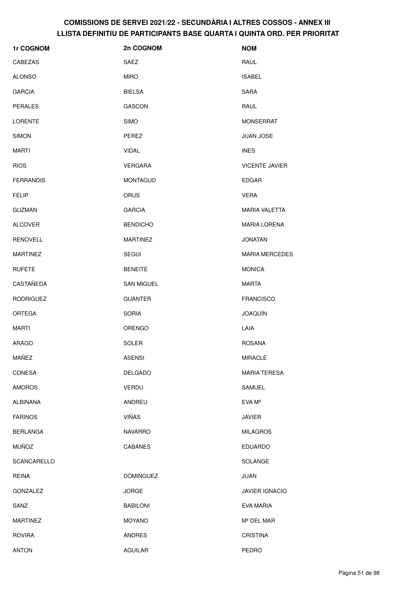| 1r COGNOM        | 2n COGNOM         | <b>NOM</b>            |
|------------------|-------------------|-----------------------|
| CABEZAS          | <b>SAEZ</b>       | RAUL                  |
| <b>ALONSO</b>    | <b>MIRO</b>       | <b>ISABEL</b>         |
| <b>GARCIA</b>    | <b>BIELSA</b>     | <b>SARA</b>           |
| <b>PERALES</b>   | <b>GASCON</b>     | RAUL                  |
| <b>LORENTE</b>   | <b>SIMO</b>       | <b>MONSERRAT</b>      |
| <b>SIMON</b>     | PEREZ             | <b>JUAN JOSE</b>      |
| MARTI            | <b>VIDAL</b>      | <b>INES</b>           |
| <b>RIOS</b>      | <b>VERGARA</b>    | <b>VICENTE JAVIER</b> |
| <b>FERRANDIS</b> | <b>MONTAGUD</b>   | <b>EDGAR</b>          |
| <b>FELIP</b>     | <b>ORUS</b>       | <b>VERA</b>           |
| <b>GUZMAN</b>    | <b>GARCIA</b>     | <b>MARIA VALETTA</b>  |
| <b>ALCOVER</b>   | <b>BENDICHO</b>   | <b>MARIA LORENA</b>   |
| <b>RENOVELL</b>  | <b>MARTINEZ</b>   | <b>JONATAN</b>        |
| <b>MARTINEZ</b>  | <b>SEGUI</b>      | <b>MARIA MERCEDES</b> |
| <b>RUFETE</b>    | <b>BENEITE</b>    | <b>MONICA</b>         |
| CASTAÑEDA        | <b>SAN MIGUEL</b> | <b>MARTA</b>          |
| <b>RODRIGUEZ</b> | <b>GUANTER</b>    | <b>FRANCISCO</b>      |
| <b>ORTEGA</b>    | <b>SORIA</b>      | <b>JOAQUÍN</b>        |
| <b>MARTI</b>     | <b>ORENGO</b>     | LAIA                  |
| ARAGO            | SOLER             | <b>ROSANA</b>         |
| MAÑEZ            | <b>ASENSI</b>     | MIRACLE               |
| <b>CONESA</b>    | <b>DELGADO</b>    | <b>MARIA TERESA</b>   |
| <b>AMOROS</b>    | VERDU             | SAMUEL                |
| ALBIÑANA         | ANDREU            | EVA Mª                |
| <b>FARINOS</b>   | <b>VIÑAS</b>      | <b>JAVIER</b>         |
| <b>BERLANGA</b>  | <b>NAVARRO</b>    | <b>MILAGROS</b>       |
| <b>MUÑOZ</b>     | <b>CABANES</b>    | <b>EDUARDO</b>        |
| SCANCARELLO      |                   | SOLANGE               |
| <b>REINA</b>     | <b>DOMINGUEZ</b>  | <b>JUAN</b>           |
| <b>GONZALEZ</b>  | <b>JORGE</b>      | <b>JAVIER IGNACIO</b> |
| SANZ             | <b>BABILONI</b>   | EVA MARIA             |
| <b>MARTINEZ</b>  | <b>MOYANO</b>     | Mª DEL MAR            |
| <b>ROVIRA</b>    | <b>ANDRES</b>     | <b>CRISTINA</b>       |
| <b>ANTON</b>     | <b>AGUILAR</b>    | PEDRO                 |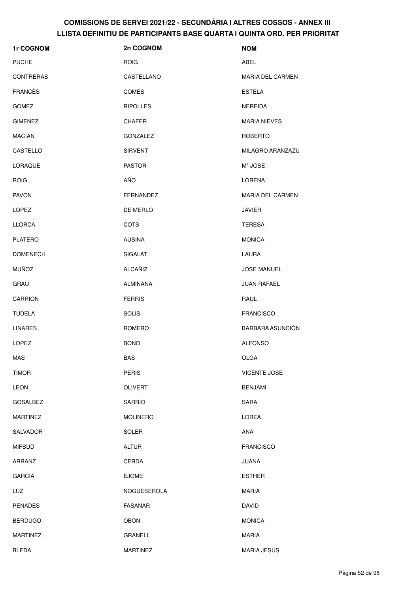| 1r COGNOM        | 2n COGNOM       | <b>NOM</b>              |
|------------------|-----------------|-------------------------|
| <b>PUCHE</b>     | <b>ROIG</b>     | ABEL                    |
| <b>CONTRERAS</b> | CASTELLANO      | <b>MARIA DEL CARMEN</b> |
| <b>FRANCÈS</b>   | <b>COMES</b>    | <b>ESTELA</b>           |
| <b>GOMEZ</b>     | <b>RIPOLLES</b> | NEREIDA                 |
| <b>GIMENEZ</b>   | <b>CHAFER</b>   | <b>MARIA NIEVES</b>     |
| <b>MACIAN</b>    | GONZALEZ        | <b>ROBERTO</b>          |
| CASTELLO         | <b>SIRVENT</b>  | MILAGRO ARANZAZU        |
| <b>LORAQUE</b>   | <b>PASTOR</b>   | Mª JOSE                 |
| <b>ROIG</b>      | AÑO             | LORENA                  |
| <b>PAVON</b>     | FERNANDEZ       | <b>MARIA DEL CARMEN</b> |
| <b>LOPEZ</b>     | DE MERLO        | <b>JAVIER</b>           |
| <b>LLORCA</b>    | <b>COTS</b>     | <b>TERESA</b>           |
| <b>PLATERO</b>   | <b>AUSINA</b>   | <b>MONICA</b>           |
| <b>DOMENECH</b>  | <b>SIGALAT</b>  | LAURA                   |
| <b>MUÑOZ</b>     | ALCAÑIZ         | <b>JOSE MANUEL</b>      |
| GRAU             | ALMIÑANA        | JUAN RAFAEL             |
| <b>CARRION</b>   | <b>FERRIS</b>   | RAUL                    |
| <b>TUDELA</b>    | <b>SOLIS</b>    | <b>FRANCISCO</b>        |
| <b>LINARES</b>   | <b>ROMERO</b>   | BARBARA ASUNCIÓN        |
| <b>LOPEZ</b>     | <b>BONO</b>     | <b>ALFONSO</b>          |
| MAS              | BAS             | OLGA                    |
| <b>TIMOR</b>     | <b>PERIS</b>    | <b>VICENTE JOSE</b>     |
| <b>LEON</b>      | <b>OLIVERT</b>  | <b>BENJAMI</b>          |
| <b>GOSALBEZ</b>  | <b>SARRIO</b>   | SARA                    |
| <b>MARTINEZ</b>  | <b>MOLINERO</b> | LOREA                   |
| SALVADOR         | SOLER           | ANA                     |
| <b>MIFSUD</b>    | <b>ALTUR</b>    | <b>FRANCISCO</b>        |
| ARRANZ           | CERDA           | <b>JUANA</b>            |
| <b>GARCIA</b>    | <b>EJOME</b>    | <b>ESTHER</b>           |
| <b>LUZ</b>       | NOGUESEROLA     | <b>MARIA</b>            |
| <b>PENADES</b>   | <b>FASANAR</b>  | <b>DAVID</b>            |
| <b>BERDUGO</b>   | <b>OBON</b>     | <b>MONICA</b>           |
| <b>MARTINEZ</b>  | GRANELL         | <b>MARIA</b>            |
| <b>BLEDA</b>     | <b>MARTINEZ</b> | <b>MARIA JESUS</b>      |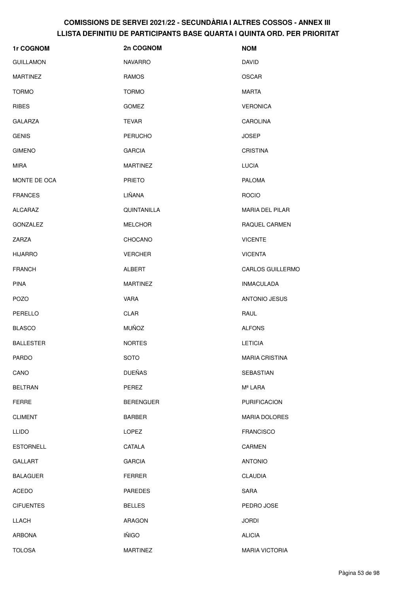| 1r COGNOM        | 2n COGNOM        | <b>NOM</b>              |
|------------------|------------------|-------------------------|
| <b>GUILLAMON</b> | <b>NAVARRO</b>   | <b>DAVID</b>            |
| <b>MARTINEZ</b>  | RAMOS            | <b>OSCAR</b>            |
| <b>TORMO</b>     | <b>TORMO</b>     | MARTA                   |
| <b>RIBES</b>     | <b>GOMEZ</b>     | <b>VERONICA</b>         |
| <b>GALARZA</b>   | TEVAR            | <b>CAROLINA</b>         |
| <b>GENIS</b>     | <b>PERUCHO</b>   | <b>JOSEP</b>            |
| <b>GIMENO</b>    | <b>GARCIA</b>    | <b>CRISTINA</b>         |
| MIRA             | <b>MARTINEZ</b>  | <b>LUCIA</b>            |
| MONTE DE OCA     | <b>PRIETO</b>    | <b>PALOMA</b>           |
| <b>FRANCES</b>   | LIÑANA           | <b>ROCIO</b>            |
| ALCARAZ          | QUINTANILLA      | <b>MARIA DEL PILAR</b>  |
| <b>GONZALEZ</b>  | <b>MELCHOR</b>   | <b>RAQUEL CARMEN</b>    |
| ZARZA            | <b>CHOCANO</b>   | <b>VICENTE</b>          |
| <b>HIJARRO</b>   | <b>VERCHER</b>   | <b>VICENTA</b>          |
| <b>FRANCH</b>    | ALBERT           | <b>CARLOS GUILLERMO</b> |
| <b>PINA</b>      | <b>MARTINEZ</b>  | <b>INMACULADA</b>       |
| <b>POZO</b>      | <b>VARA</b>      | <b>ANTONIO JESUS</b>    |
| PERELLO          | <b>CLAR</b>      | RAUL                    |
| <b>BLASCO</b>    | <b>MUÑOZ</b>     | <b>ALFONS</b>           |
| <b>BALLESTER</b> | <b>NORTES</b>    | <b>LETICIA</b>          |
| PARDO            | <b>SOTO</b>      | <b>MARIA CRISTINA</b>   |
| CANO             | <b>DUEÑAS</b>    | <b>SEBASTIAN</b>        |
| <b>BELTRAN</b>   | PEREZ            | Mª LARA                 |
| <b>FERRE</b>     | <b>BERENGUER</b> | <b>PURIFICACION</b>     |
| <b>CLIMENT</b>   | <b>BARBER</b>    | <b>MARIA DOLORES</b>    |
| <b>LLIDO</b>     | LOPEZ            | <b>FRANCISCO</b>        |
| <b>ESTORNELL</b> | CATALA           | CARMEN                  |
| <b>GALLART</b>   | <b>GARCIA</b>    | <b>ANTONIO</b>          |
| <b>BALAGUER</b>  | <b>FERRER</b>    | <b>CLAUDIA</b>          |
| <b>ACEDO</b>     | <b>PAREDES</b>   | SARA                    |
| <b>CIFUENTES</b> | <b>BELLES</b>    | PEDRO JOSE              |
| <b>LLACH</b>     | ARAGON           | <b>JORDI</b>            |
| <b>ARBONA</b>    | <b>IÑIGO</b>     | <b>ALICIA</b>           |
| <b>TOLOSA</b>    | <b>MARTINEZ</b>  | <b>MARIA VICTORIA</b>   |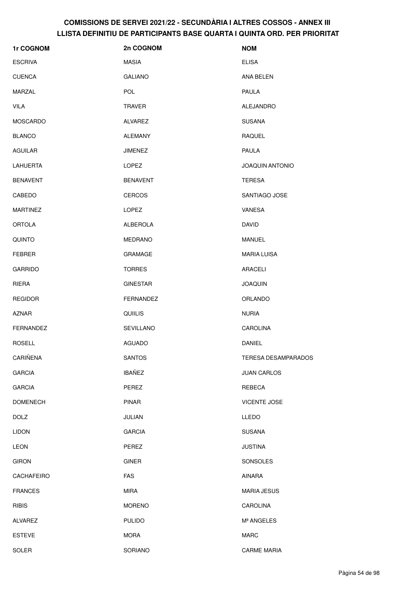| 1r COGNOM         | 2n COGNOM        | <b>NOM</b>             |
|-------------------|------------------|------------------------|
| <b>ESCRIVA</b>    | <b>MASIA</b>     | <b>ELISA</b>           |
| <b>CUENCA</b>     | <b>GALIANO</b>   | ANA BELEN              |
| MARZAL            | <b>POL</b>       | <b>PAULA</b>           |
| <b>VILA</b>       | <b>TRAVER</b>    | ALEJANDRO              |
| <b>MOSCARDO</b>   | <b>ALVAREZ</b>   | <b>SUSANA</b>          |
| <b>BLANCO</b>     | <b>ALEMANY</b>   | RAQUEL                 |
| <b>AGUILAR</b>    | <b>JIMENEZ</b>   | <b>PAULA</b>           |
| <b>LAHUERTA</b>   | <b>LOPEZ</b>     | <b>JOAQUIN ANTONIO</b> |
| <b>BENAVENT</b>   | <b>BENAVENT</b>  | TERESA                 |
| CABEDO            | <b>CERCOS</b>    | SANTIAGO JOSE          |
| <b>MARTINEZ</b>   | <b>LOPEZ</b>     | VANESA                 |
| <b>ORTOLA</b>     | ALBEROLA         | <b>DAVID</b>           |
| <b>QUINTO</b>     | <b>MEDRANO</b>   | <b>MANUEL</b>          |
| <b>FEBRER</b>     | GRAMAGE          | <b>MARIA LUISA</b>     |
| <b>GARRIDO</b>    | <b>TORRES</b>    | ARACELI                |
| RIERA             | <b>GINESTAR</b>  | <b>JOAQUIN</b>         |
| <b>REGIDOR</b>    | <b>FERNANDEZ</b> | ORLANDO                |
| <b>AZNAR</b>      | <b>QUIILIS</b>   | <b>NURIA</b>           |
| <b>FERNANDEZ</b>  | <b>SEVILLANO</b> | <b>CAROLINA</b>        |
| <b>ROSELL</b>     | AGUADO           | DANIEL                 |
| CARIÑENA          | <b>SANTOS</b>    | TERESA DESAMPARADOS    |
| <b>GARCIA</b>     | <b>IBAÑEZ</b>    | <b>JUAN CARLOS</b>     |
| <b>GARCIA</b>     | PEREZ            | REBECA                 |
| <b>DOMENECH</b>   | <b>PINAR</b>     | <b>VICENTE JOSE</b>    |
| <b>DOLZ</b>       | JULIAN           | LLEDO                  |
| <b>LIDON</b>      | <b>GARCIA</b>    | <b>SUSANA</b>          |
| LEON              | PEREZ            | <b>JUSTINA</b>         |
| <b>GIRON</b>      | <b>GINER</b>     | SONSOLES               |
| <b>CACHAFEIRO</b> | FAS              | AINARA                 |
| <b>FRANCES</b>    | <b>MIRA</b>      | <b>MARIA JESUS</b>     |
| <b>RIBIS</b>      | <b>MORENO</b>    | CAROLINA               |
| <b>ALVAREZ</b>    | <b>PULIDO</b>    | Mª ANGELES             |
| <b>ESTEVE</b>     | <b>MORA</b>      | <b>MARC</b>            |
| <b>SOLER</b>      | SORIANO          | <b>CARME MARIA</b>     |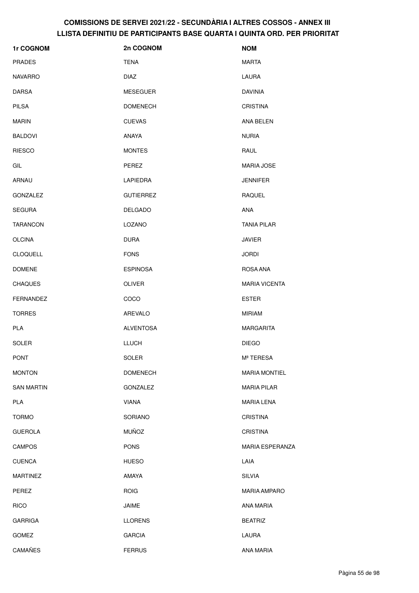| 1r COGNOM         | 2n COGNOM        | <b>NOM</b>           |
|-------------------|------------------|----------------------|
| <b>PRADES</b>     | TENA             | <b>MARTA</b>         |
| NAVARRO           | <b>DIAZ</b>      | LAURA                |
| DARSA             | <b>MESEGUER</b>  | <b>DAVINIA</b>       |
| PILSA             | <b>DOMENECH</b>  | <b>CRISTINA</b>      |
| MARIN             | <b>CUEVAS</b>    | ANA BELEN            |
| <b>BALDOVI</b>    | ANAYA            | <b>NURIA</b>         |
| <b>RIESCO</b>     | <b>MONTES</b>    | RAUL                 |
| GIL               | PEREZ            | <b>MARIA JOSE</b>    |
| ARNAU             | <b>LAPIEDRA</b>  | <b>JENNIFER</b>      |
| GONZALEZ          | <b>GUTIERREZ</b> | <b>RAQUEL</b>        |
| <b>SEGURA</b>     | <b>DELGADO</b>   | ANA                  |
| TARANCON          | LOZANO           | <b>TANIA PILAR</b>   |
| OLCINA            | <b>DURA</b>      | <b>JAVIER</b>        |
| <b>CLOQUELL</b>   | <b>FONS</b>      | <b>JORDI</b>         |
| <b>DOMENE</b>     | <b>ESPINOSA</b>  | ROSA ANA             |
| <b>CHAQUES</b>    | <b>OLIVER</b>    | <b>MARIA VICENTA</b> |
| <b>FERNANDEZ</b>  | COCO             | <b>ESTER</b>         |
| TORRES            | AREVALO          | <b>MIRIAM</b>        |
| <b>PLA</b>        | <b>ALVENTOSA</b> | <b>MARGARITA</b>     |
| SOLER             | <b>LLUCH</b>     | <b>DIEGO</b>         |
| PONT              | SOLER            | Mª TERESA            |
| <b>MONTON</b>     | <b>DOMENECH</b>  | <b>MARIA MONTIEL</b> |
| <b>SAN MARTIN</b> | GONZALEZ         | <b>MARIA PILAR</b>   |
| PLA               | <b>VIANA</b>     | <b>MARIA LENA</b>    |
| <b>TORMO</b>      | SORIANO          | <b>CRISTINA</b>      |
| <b>GUEROLA</b>    | <b>MUÑOZ</b>     | <b>CRISTINA</b>      |
| <b>CAMPOS</b>     | <b>PONS</b>      | MARIA ESPERANZA      |
| <b>CUENCA</b>     | <b>HUESO</b>     | LAIA                 |
| <b>MARTINEZ</b>   | AMAYA            | <b>SILVIA</b>        |
| PEREZ             | <b>ROIG</b>      | <b>MARIA AMPARO</b>  |
| <b>RICO</b>       | JAIME            | ANA MARIA            |
| <b>GARRIGA</b>    | <b>LLORENS</b>   | <b>BEATRIZ</b>       |
| <b>GOMEZ</b>      | <b>GARCIA</b>    | LAURA                |
| <b>CAMAÑES</b>    | <b>FERRUS</b>    | ANA MARIA            |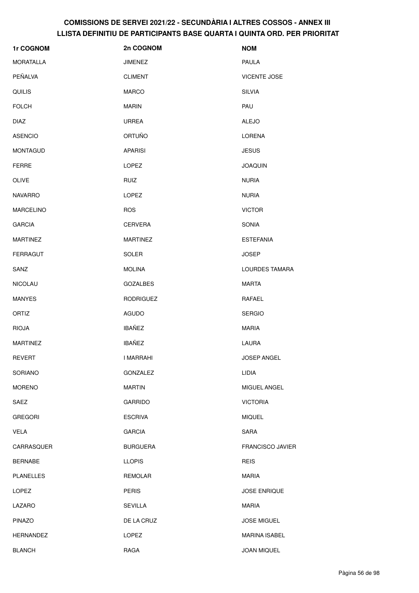| 1r COGNOM        | 2n COGNOM        | <b>NOM</b>              |
|------------------|------------------|-------------------------|
| <b>MORATALLA</b> | <b>JIMENEZ</b>   | PAULA                   |
| PEÑALVA          | <b>CLIMENT</b>   | <b>VICENTE JOSE</b>     |
| <b>QUILIS</b>    | <b>MARCO</b>     | <b>SILVIA</b>           |
| <b>FOLCH</b>     | <b>MARIN</b>     | PAU                     |
| <b>DIAZ</b>      | <b>URREA</b>     | <b>ALEJO</b>            |
| <b>ASENCIO</b>   | <b>ORTUÑO</b>    | LORENA                  |
| <b>MONTAGUD</b>  | <b>APARISI</b>   | <b>JESUS</b>            |
| <b>FERRE</b>     | LOPEZ            | <b>JOAQUIN</b>          |
| <b>OLIVE</b>     | <b>RUIZ</b>      | <b>NURIA</b>            |
| <b>NAVARRO</b>   | LOPEZ            | <b>NURIA</b>            |
| <b>MARCELINO</b> | <b>ROS</b>       | <b>VICTOR</b>           |
| <b>GARCIA</b>    | <b>CERVERA</b>   | SONIA                   |
| <b>MARTINEZ</b>  | <b>MARTINEZ</b>  | <b>ESTEFANIA</b>        |
| <b>FERRAGUT</b>  | SOLER            | <b>JOSEP</b>            |
| SANZ             | <b>MOLINA</b>    | LOURDES TAMARA          |
| <b>NICOLAU</b>   | <b>GOZALBES</b>  | <b>MARTA</b>            |
| <b>MANYES</b>    | <b>RODRIGUEZ</b> | RAFAEL                  |
| ORTIZ            | AGUDO            | <b>SERGIO</b>           |
| <b>RIOJA</b>     | <b>IBAÑEZ</b>    | <b>MARIA</b>            |
| <b>MARTINEZ</b>  | <b>IBAÑEZ</b>    | LAURA                   |
| <b>REVERT</b>    | I MARRAHI        | JOSEP ANGEL             |
| <b>SORIANO</b>   | <b>GONZALEZ</b>  | LIDIA                   |
| <b>MORENO</b>    | MARTIN           | MIGUEL ANGEL            |
| SAEZ             | <b>GARRIDO</b>   | <b>VICTORIA</b>         |
| <b>GREGORI</b>   | <b>ESCRIVA</b>   | <b>MIQUEL</b>           |
| VELA             | <b>GARCIA</b>    | <b>SARA</b>             |
| CARRASQUER       | <b>BURGUERA</b>  | <b>FRANCISCO JAVIER</b> |
| <b>BERNABE</b>   | <b>LLOPIS</b>    | <b>REIS</b>             |
| <b>PLANELLES</b> | <b>REMOLAR</b>   | MARIA                   |
| <b>LOPEZ</b>     | <b>PERIS</b>     | <b>JOSE ENRIQUE</b>     |
| LAZARO           | <b>SEVILLA</b>   | MARIA                   |
| <b>PINAZO</b>    | DE LA CRUZ       | <b>JOSE MIGUEL</b>      |
| HERNANDEZ        | <b>LOPEZ</b>     | <b>MARINA ISABEL</b>    |
| <b>BLANCH</b>    | RAGA             | <b>JOAN MIQUEL</b>      |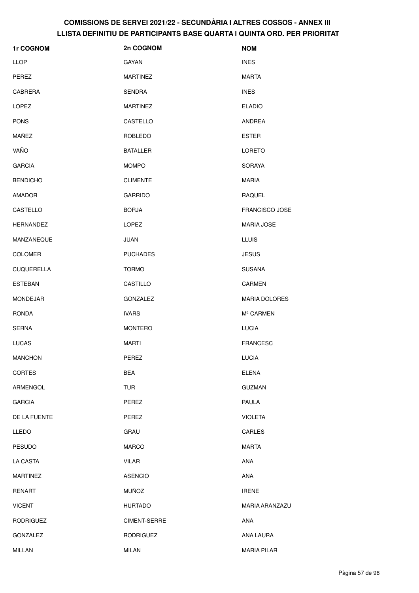| 1r COGNOM         | 2n COGNOM        | <b>NOM</b>            |
|-------------------|------------------|-----------------------|
| <b>LLOP</b>       | GAYAN            | <b>INES</b>           |
| PEREZ             | <b>MARTINEZ</b>  | <b>MARTA</b>          |
| <b>CABRERA</b>    | SENDRA           | <b>INES</b>           |
| LOPEZ             | <b>MARTINEZ</b>  | <b>ELADIO</b>         |
| <b>PONS</b>       | CASTELLO         | ANDREA                |
| MAÑEZ             | <b>ROBLEDO</b>   | <b>ESTER</b>          |
| VAÑO              | <b>BATALLER</b>  | <b>LORETO</b>         |
| <b>GARCIA</b>     | <b>MOMPO</b>     | <b>SORAYA</b>         |
| <b>BENDICHO</b>   | <b>CLIMENTE</b>  | <b>MARIA</b>          |
| AMADOR            | <b>GARRIDO</b>   | <b>RAQUEL</b>         |
| CASTELLO          | <b>BORJA</b>     | <b>FRANCISCO JOSE</b> |
| <b>HERNANDEZ</b>  | LOPEZ            | <b>MARIA JOSE</b>     |
| MANZANEQUE        | <b>JUAN</b>      | <b>LLUIS</b>          |
| <b>COLOMER</b>    | <b>PUCHADES</b>  | <b>JESUS</b>          |
| <b>CUQUERELLA</b> | <b>TORMO</b>     | <b>SUSANA</b>         |
| <b>ESTEBAN</b>    | CASTILLO         | <b>CARMEN</b>         |
| <b>MONDEJAR</b>   | GONZALEZ         | <b>MARIA DOLORES</b>  |
| RONDA             | <b>IVARS</b>     | Mª CARMEN             |
| <b>SERNA</b>      | <b>MONTERO</b>   | <b>LUCIA</b>          |
| <b>LUCAS</b>      | MARTI            | <b>FRANCESC</b>       |
| <b>MANCHON</b>    | PEREZ            | LUCIA                 |
| <b>CORTES</b>     | <b>BEA</b>       | <b>ELENA</b>          |
| ARMENGOL          | <b>TUR</b>       | <b>GUZMAN</b>         |
| <b>GARCIA</b>     | PEREZ            | <b>PAULA</b>          |
| DE LA FUENTE      | PEREZ            | <b>VIOLETA</b>        |
| <b>LLEDO</b>      | <b>GRAU</b>      | CARLES                |
| <b>PESUDO</b>     | <b>MARCO</b>     | <b>MARTA</b>          |
| LA CASTA          | <b>VILAR</b>     | ANA                   |
| <b>MARTINEZ</b>   | <b>ASENCIO</b>   | ANA                   |
| <b>RENART</b>     | <b>MUÑOZ</b>     | <b>IRENE</b>          |
| <b>VICENT</b>     | <b>HURTADO</b>   | MARIA ARANZAZU        |
| <b>RODRIGUEZ</b>  | CIMENT-SERRE     | ANA                   |
| <b>GONZALEZ</b>   | <b>RODRIGUEZ</b> | ANA LAURA             |
| <b>MILLAN</b>     | <b>MILAN</b>     | <b>MARIA PILAR</b>    |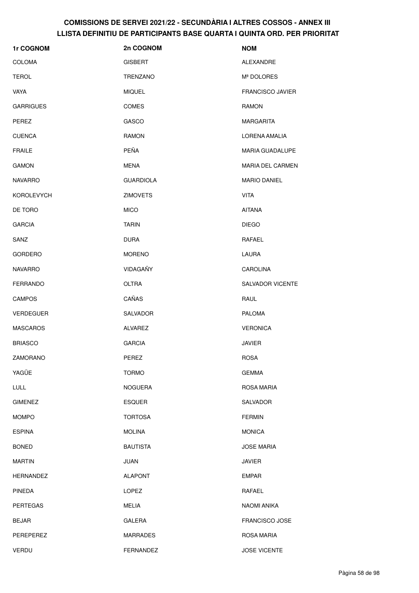| 1r COGNOM         | 2n COGNOM        | <b>NOM</b>              |
|-------------------|------------------|-------------------------|
| <b>COLOMA</b>     | <b>GISBERT</b>   | ALEXANDRE               |
| <b>TEROL</b>      | <b>TRENZANO</b>  | Mª DOLORES              |
| <b>VAYA</b>       | <b>MIQUEL</b>    | <b>FRANCISCO JAVIER</b> |
| <b>GARRIGUES</b>  | <b>COMES</b>     | <b>RAMON</b>            |
| PEREZ             | GASCO            | <b>MARGARITA</b>        |
| <b>CUENCA</b>     | <b>RAMON</b>     | LORENA AMALIA           |
| <b>FRAILE</b>     | PEÑA             | <b>MARIA GUADALUPE</b>  |
| <b>GAMON</b>      | MENA             | <b>MARIA DEL CARMEN</b> |
| <b>NAVARRO</b>    | <b>GUARDIOLA</b> | <b>MARIO DANIEL</b>     |
| <b>KOROLEVYCH</b> | <b>ZIMOVETS</b>  | <b>VITA</b>             |
| DE TORO           | <b>MICO</b>      | <b>AITANA</b>           |
| <b>GARCIA</b>     | <b>TARIN</b>     | <b>DIEGO</b>            |
| SANZ              | <b>DURA</b>      | RAFAEL                  |
| <b>GORDERO</b>    | <b>MORENO</b>    | LAURA                   |
| <b>NAVARRO</b>    | VIDAGAÑY         | <b>CAROLINA</b>         |
| <b>FERRANDO</b>   | <b>OLTRA</b>     | <b>SALVADOR VICENTE</b> |
| <b>CAMPOS</b>     | CAÑAS            | RAUL                    |
| <b>VERDEGUER</b>  | SALVADOR         | <b>PALOMA</b>           |
| <b>MASCAROS</b>   | <b>ALVAREZ</b>   | <b>VERONICA</b>         |
| <b>BRIASCO</b>    | <b>GARCIA</b>    | <b>JAVIER</b>           |
| ZAMORANO          | PEREZ            | <b>ROSA</b>             |
| YAGÜE             | <b>TORMO</b>     | <b>GEMMA</b>            |
| LULL              | <b>NOGUERA</b>   | ROSA MARIA              |
| <b>GIMENEZ</b>    | <b>ESQUER</b>    | SALVADOR                |
| <b>MOMPO</b>      | <b>TORTOSA</b>   | <b>FERMIN</b>           |
| <b>ESPINA</b>     | <b>MOLINA</b>    | <b>MONICA</b>           |
| <b>BONED</b>      | <b>BAUTISTA</b>  | <b>JOSE MARIA</b>       |
| <b>MARTIN</b>     | JUAN             | <b>JAVIER</b>           |
| <b>HERNANDEZ</b>  | <b>ALAPONT</b>   | <b>EMPAR</b>            |
| <b>PINEDA</b>     | LOPEZ            | RAFAEL                  |
| <b>PERTEGAS</b>   | <b>MELIA</b>     | NAOMI ANIKA             |
| <b>BEJAR</b>      | <b>GALERA</b>    | FRANCISCO JOSE          |
| PEREPEREZ         | <b>MARRADES</b>  | ROSA MARIA              |
| VERDU             | FERNANDEZ        | <b>JOSE VICENTE</b>     |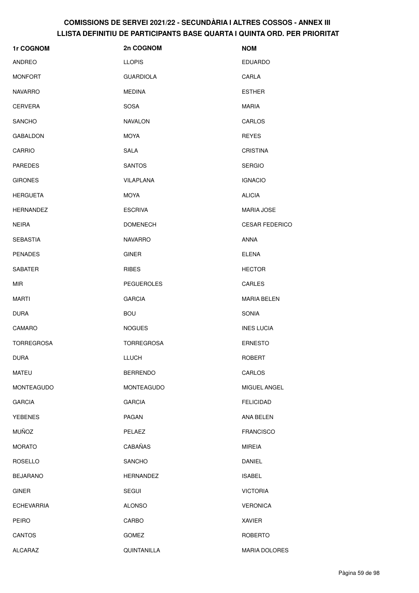| 1r COGNOM         | 2n COGNOM         | <b>NOM</b>            |
|-------------------|-------------------|-----------------------|
| <b>ANDREO</b>     | <b>LLOPIS</b>     | <b>EDUARDO</b>        |
| <b>MONFORT</b>    | <b>GUARDIOLA</b>  | CARLA                 |
| <b>NAVARRO</b>    | <b>MEDINA</b>     | <b>ESTHER</b>         |
| <b>CERVERA</b>    | SOSA              | <b>MARIA</b>          |
| <b>SANCHO</b>     | <b>NAVALON</b>    | CARLOS                |
| <b>GABALDON</b>   | MOYA              | <b>REYES</b>          |
| <b>CARRIO</b>     | SALA              | <b>CRISTINA</b>       |
| <b>PAREDES</b>    | <b>SANTOS</b>     | <b>SERGIO</b>         |
| <b>GIRONES</b>    | VILAPLANA         | <b>IGNACIO</b>        |
| <b>HERGUETA</b>   | MOYA              | <b>ALICIA</b>         |
| <b>HERNANDEZ</b>  | <b>ESCRIVA</b>    | <b>MARIA JOSE</b>     |
| <b>NEIRA</b>      | <b>DOMENECH</b>   | <b>CESAR FEDERICO</b> |
| <b>SEBASTIA</b>   | <b>NAVARRO</b>    | <b>ANNA</b>           |
| <b>PENADES</b>    | <b>GINER</b>      | <b>ELENA</b>          |
| <b>SABATER</b>    | <b>RIBES</b>      | <b>HECTOR</b>         |
| <b>MIR</b>        | <b>PEGUEROLES</b> | CARLES                |
| <b>MARTI</b>      | <b>GARCIA</b>     | <b>MARIA BELEN</b>    |
| <b>DURA</b>       | <b>BOU</b>        | <b>SONIA</b>          |
| CAMARO            | <b>NOGUES</b>     | <b>INES LUCIA</b>     |
| <b>TORREGROSA</b> | <b>TORREGROSA</b> | <b>ERNESTO</b>        |
| <b>DURA</b>       | LLUCH             | ROBERT                |
| <b>MATEU</b>      | <b>BERRENDO</b>   | CARLOS                |
| MONTEAGUDO        | MONTEAGUDO        | MIGUEL ANGEL          |
| <b>GARCIA</b>     | <b>GARCIA</b>     | <b>FELICIDAD</b>      |
| <b>YEBENES</b>    | PAGAN             | ANA BELEN             |
| <b>MUÑOZ</b>      | PELAEZ            | <b>FRANCISCO</b>      |
| <b>MORATO</b>     | CABAÑAS           | <b>MIREIA</b>         |
| <b>ROSELLO</b>    | SANCHO            | DANIEL                |
| <b>BEJARANO</b>   | <b>HERNANDEZ</b>  | <b>ISABEL</b>         |
| <b>GINER</b>      | SEGUI             | <b>VICTORIA</b>       |
| <b>ECHEVARRIA</b> | <b>ALONSO</b>     | <b>VERONICA</b>       |
| PEIRO             | CARBO             | <b>XAVIER</b>         |
| <b>CANTOS</b>     | <b>GOMEZ</b>      | <b>ROBERTO</b>        |
| <b>ALCARAZ</b>    | QUINTANILLA       | MARIA DOLORES         |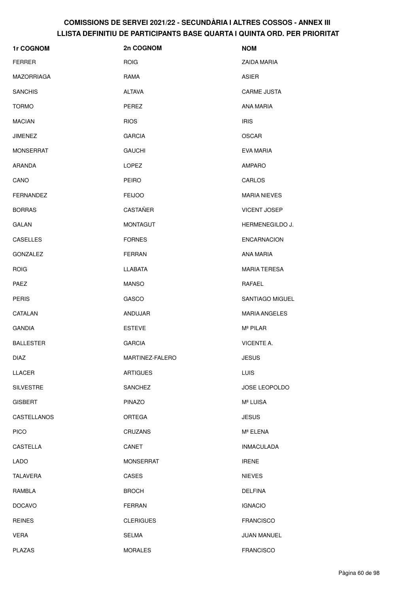| 1r COGNOM        | 2n COGNOM        | <b>NOM</b>           |
|------------------|------------------|----------------------|
| <b>FERRER</b>    | <b>ROIG</b>      | ZAIDA MARIA          |
| MAZORRIAGA       | RAMA             | ASIER                |
| <b>SANCHIS</b>   | <b>ALTAVA</b>    | <b>CARME JUSTA</b>   |
| <b>TORMO</b>     | PEREZ            | ANA MARIA            |
| <b>MACIAN</b>    | <b>RIOS</b>      | <b>IRIS</b>          |
| <b>JIMENEZ</b>   | <b>GARCIA</b>    | <b>OSCAR</b>         |
| <b>MONSERRAT</b> | <b>GAUCHI</b>    | EVA MARIA            |
| ARANDA           | LOPEZ            | <b>AMPARO</b>        |
| CANO             | <b>PEIRO</b>     | <b>CARLOS</b>        |
| FERNANDEZ        | <b>FEIJOO</b>    | <b>MARIA NIEVES</b>  |
| <b>BORRAS</b>    | CASTAÑER         | <b>VICENT JOSEP</b>  |
| <b>GALAN</b>     | <b>MONTAGUT</b>  | HERMENEGILDO J.      |
| CASELLES         | <b>FORNES</b>    | <b>ENCARNACION</b>   |
| <b>GONZALEZ</b>  | <b>FERRAN</b>    | <b>ANA MARIA</b>     |
| <b>ROIG</b>      | <b>LLABATA</b>   | <b>MARIA TERESA</b>  |
| PAEZ             | <b>MANSO</b>     | RAFAEL               |
| <b>PERIS</b>     | GASCO            | SANTIAGO MIGUEL      |
| CATALAN          | ANDUJAR          | <b>MARIA ANGELES</b> |
| <b>GANDIA</b>    | <b>ESTEVE</b>    | Mª PILAR             |
| <b>BALLESTER</b> | <b>GARCIA</b>    | VICENTE A.           |
| <b>DIAZ</b>      | MARTINEZ-FALERO  | <b>JESUS</b>         |
| LLACER           | <b>ARTIGUES</b>  | <b>LUIS</b>          |
| <b>SILVESTRE</b> | <b>SANCHEZ</b>   | JOSE LEOPOLDO        |
| <b>GISBERT</b>   | <b>PINAZO</b>    | Mª LUISA             |
| CASTELLANOS      | ORTEGA           | <b>JESUS</b>         |
| <b>PICO</b>      | <b>CRUZANS</b>   | Mª ELENA             |
| CASTELLA         | CANET            | <b>INMACULADA</b>    |
| <b>LADO</b>      | <b>MONSERRAT</b> | <b>IRENE</b>         |
| TALAVERA         | CASES            | <b>NIEVES</b>        |
| RAMBLA           | <b>BROCH</b>     | <b>DELFINA</b>       |
| <b>DOCAVO</b>    | <b>FERRAN</b>    | <b>IGNACIO</b>       |
| <b>REINES</b>    | <b>CLERIGUES</b> | <b>FRANCISCO</b>     |
| <b>VERA</b>      | <b>SELMA</b>     | <b>JUAN MANUEL</b>   |
| <b>PLAZAS</b>    | <b>MORALES</b>   | <b>FRANCISCO</b>     |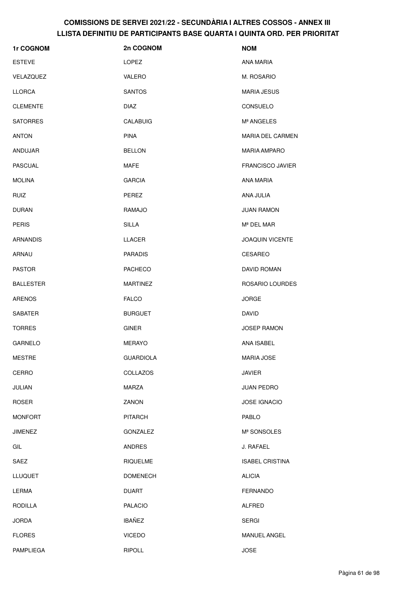| 1r COGNOM        | 2n COGNOM        | <b>NOM</b>              |
|------------------|------------------|-------------------------|
| <b>ESTEVE</b>    | LOPEZ            | <b>ANA MARIA</b>        |
| VELAZQUEZ        | <b>VALERO</b>    | M. ROSARIO              |
| <b>LLORCA</b>    | <b>SANTOS</b>    | <b>MARIA JESUS</b>      |
| <b>CLEMENTE</b>  | <b>DIAZ</b>      | CONSUELO                |
| <b>SATORRES</b>  | CALABUIG         | Mª ANGELES              |
| <b>ANTON</b>     | <b>PINA</b>      | <b>MARIA DEL CARMEN</b> |
| ANDUJAR          | <b>BELLON</b>    | <b>MARIA AMPARO</b>     |
| <b>PASCUAL</b>   | <b>MAFE</b>      | <b>FRANCISCO JAVIER</b> |
| <b>MOLINA</b>    | <b>GARCIA</b>    | <b>ANA MARIA</b>        |
| <b>RUIZ</b>      | <b>PEREZ</b>     | ANA JULIA               |
| <b>DURAN</b>     | RAMAJO           | <b>JUAN RAMON</b>       |
| <b>PERIS</b>     | <b>SILLA</b>     | Mª DEL MAR              |
| <b>ARNANDIS</b>  | LLACER           | <b>JOAQUIN VICENTE</b>  |
| ARNAU            | <b>PARADIS</b>   | <b>CESAREO</b>          |
| <b>PASTOR</b>    | <b>PACHECO</b>   | DAVID ROMAN             |
| <b>BALLESTER</b> | <b>MARTINEZ</b>  | ROSARIO LOURDES         |
| <b>ARENOS</b>    | <b>FALCO</b>     | <b>JORGE</b>            |
| <b>SABATER</b>   | <b>BURGUET</b>   | <b>DAVID</b>            |
| <b>TORRES</b>    | <b>GINER</b>     | <b>JOSEP RAMON</b>      |
| <b>GARNELO</b>   | <b>MERAYO</b>    | ANA ISABEL              |
| <b>MESTRE</b>    | <b>GUARDIOLA</b> | <b>MARIA JOSE</b>       |
| CERRO            | <b>COLLAZOS</b>  | <b>JAVIER</b>           |
| JULIAN           | <b>MARZA</b>     | <b>JUAN PEDRO</b>       |
| <b>ROSER</b>     | ZANON            | JOSE IGNACIO            |
| <b>MONFORT</b>   | <b>PITARCH</b>   | PABLO                   |
| JIMENEZ          | <b>GONZALEZ</b>  | Mª SONSOLES             |
| GIL              | <b>ANDRES</b>    | J. RAFAEL               |
| SAEZ             | <b>RIQUELME</b>  | <b>ISABEL CRISTINA</b>  |
| <b>LLUQUET</b>   | <b>DOMENECH</b>  | <b>ALICIA</b>           |
| <b>LERMA</b>     | <b>DUART</b>     | <b>FERNANDO</b>         |
| <b>RODILLA</b>   | <b>PALACIO</b>   | <b>ALFRED</b>           |
| <b>JORDA</b>     | <b>IBAÑEZ</b>    | <b>SERGI</b>            |
| <b>FLORES</b>    | <b>VICEDO</b>    | MANUEL ANGEL            |
| PAMPLIEGA        | <b>RIPOLL</b>    | <b>JOSE</b>             |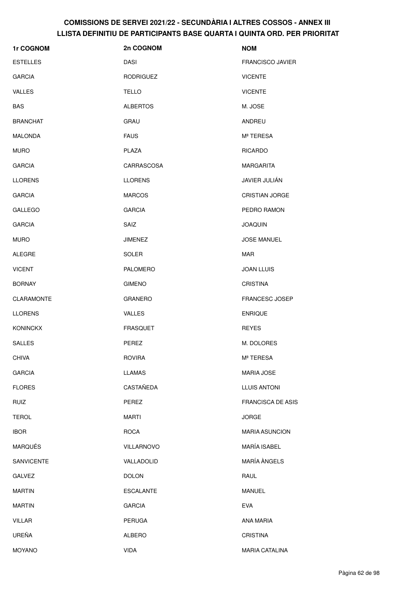| 1r COGNOM         | 2n COGNOM        | <b>NOM</b>               |
|-------------------|------------------|--------------------------|
| <b>ESTELLES</b>   | <b>DASI</b>      | <b>FRANCISCO JAVIER</b>  |
| <b>GARCIA</b>     | <b>RODRIGUEZ</b> | <b>VICENTE</b>           |
| VALLES            | <b>TELLO</b>     | <b>VICENTE</b>           |
| <b>BAS</b>        | <b>ALBERTOS</b>  | M. JOSE                  |
| <b>BRANCHAT</b>   | GRAU             | ANDREU                   |
| <b>MALONDA</b>    | <b>FAUS</b>      | Mª TERESA                |
| <b>MURO</b>       | PLAZA            | <b>RICARDO</b>           |
| <b>GARCIA</b>     | CARRASCOSA       | <b>MARGARITA</b>         |
| <b>LLORENS</b>    | <b>LLORENS</b>   | JAVIER JULIÁN            |
| <b>GARCIA</b>     | <b>MARCOS</b>    | <b>CRISTIAN JORGE</b>    |
| <b>GALLEGO</b>    | <b>GARCIA</b>    | PEDRO RAMON              |
| <b>GARCIA</b>     | SAIZ             | <b>JOAQUIN</b>           |
| <b>MURO</b>       | <b>JIMENEZ</b>   | <b>JOSE MANUEL</b>       |
| <b>ALEGRE</b>     | <b>SOLER</b>     | <b>MAR</b>               |
| <b>VICENT</b>     | <b>PALOMERO</b>  | <b>JOAN LLUIS</b>        |
| <b>BORNAY</b>     | <b>GIMENO</b>    | <b>CRISTINA</b>          |
| <b>CLARAMONTE</b> | <b>GRANERO</b>   | <b>FRANCESC JOSEP</b>    |
| <b>LLORENS</b>    | <b>VALLES</b>    | <b>ENRIQUE</b>           |
| <b>KONINCKX</b>   | <b>FRASQUET</b>  | <b>REYES</b>             |
| <b>SALLES</b>     | PEREZ            | M. DOLORES               |
| <b>CHIVA</b>      | <b>ROVIRA</b>    | Mª TERESA                |
| <b>GARCIA</b>     | <b>LLAMAS</b>    | <b>MARIA JOSE</b>        |
| <b>FLORES</b>     | CASTAÑEDA        | <b>LLUIS ANTONI</b>      |
| <b>RUIZ</b>       | PEREZ            | <b>FRANCISCA DE ASIS</b> |
| <b>TEROL</b>      | <b>MARTI</b>     | <b>JORGE</b>             |
| <b>IBOR</b>       | <b>ROCA</b>      | <b>MARIA ASUNCION</b>    |
| <b>MARQUÉS</b>    | VILLARNOVO       | MARÍA ISABEL             |
| <b>SANVICENTE</b> | VALLADOLID       | <b>MARÍA ÀNGELS</b>      |
| <b>GALVEZ</b>     | <b>DOLON</b>     | RAUL                     |
| <b>MARTIN</b>     | <b>ESCALANTE</b> | <b>MANUEL</b>            |
| <b>MARTIN</b>     | <b>GARCIA</b>    | <b>EVA</b>               |
| <b>VILLAR</b>     | <b>PERUGA</b>    | ANA MARIA                |
| UREÑA             | ALBERO           | <b>CRISTINA</b>          |
| <b>MOYANO</b>     | <b>VIDA</b>      | <b>MARIA CATALINA</b>    |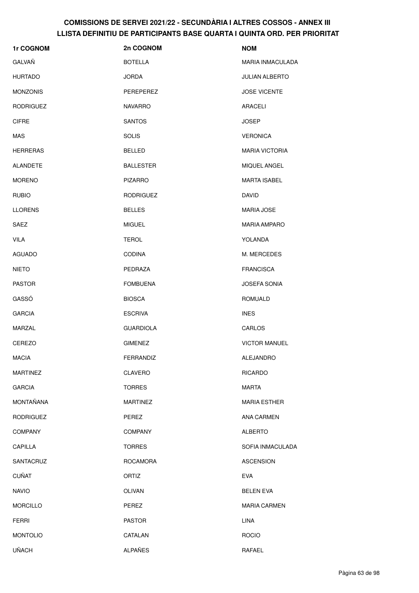| 1r COGNOM        | 2n COGNOM        | <b>NOM</b>              |
|------------------|------------------|-------------------------|
| GALVAÑ           | <b>BOTELLA</b>   | <b>MARIA INMACULADA</b> |
| <b>HURTADO</b>   | <b>JORDA</b>     | <b>JULIAN ALBERTO</b>   |
| <b>MONZONIS</b>  | PEREPEREZ        | <b>JOSE VICENTE</b>     |
| <b>RODRIGUEZ</b> | <b>NAVARRO</b>   | ARACELI                 |
| <b>CIFRE</b>     | <b>SANTOS</b>    | <b>JOSEP</b>            |
| MAS              | <b>SOLIS</b>     | <b>VERONICA</b>         |
| <b>HERRERAS</b>  | <b>BELLED</b>    | <b>MARIA VICTORIA</b>   |
| ALANDETE         | <b>BALLESTER</b> | MIQUEL ANGEL            |
| <b>MORENO</b>    | <b>PIZARRO</b>   | <b>MARTA ISABEL</b>     |
| <b>RUBIO</b>     | <b>RODRIGUEZ</b> | <b>DAVID</b>            |
| <b>LLORENS</b>   | <b>BELLES</b>    | <b>MARIA JOSE</b>       |
| SAEZ             | <b>MIGUEL</b>    | <b>MARIA AMPARO</b>     |
| <b>VILA</b>      | <b>TEROL</b>     | YOLANDA                 |
| <b>AGUADO</b>    | <b>CODINA</b>    | M. MERCEDES             |
| <b>NIETO</b>     | PEDRAZA          | <b>FRANCISCA</b>        |
| <b>PASTOR</b>    | <b>FOMBUENA</b>  | <b>JOSEFA SONIA</b>     |
| GASSÓ            | <b>BIOSCA</b>    | ROMUALD                 |
| <b>GARCIA</b>    | <b>ESCRIVA</b>   | <b>INES</b>             |
| MARZAL           | <b>GUARDIOLA</b> | CARLOS                  |
| <b>CEREZO</b>    | <b>GIMENEZ</b>   | <b>VICTOR MANUEL</b>    |
| <b>MACIA</b>     | FERRANDIZ        | ALEJANDRO               |
| <b>MARTINEZ</b>  | <b>CLAVERO</b>   | <b>RICARDO</b>          |
| <b>GARCIA</b>    | <b>TORRES</b>    | <b>MARTA</b>            |
| MONTAÑANA        | <b>MARTINEZ</b>  | <b>MARIA ESTHER</b>     |
| <b>RODRIGUEZ</b> | PEREZ            | ANA CARMEN              |
| <b>COMPANY</b>   | <b>COMPANY</b>   | <b>ALBERTO</b>          |
| CAPILLA          | <b>TORRES</b>    | SOFIA INMACULADA        |
| SANTACRUZ        | <b>ROCAMORA</b>  | <b>ASCENSION</b>        |
| <b>CUÑAT</b>     | ORTIZ            | <b>EVA</b>              |
| <b>NAVIO</b>     | <b>OLIVAN</b>    | <b>BELEN EVA</b>        |
| <b>MORCILLO</b>  | PEREZ            | <b>MARIA CARMEN</b>     |
| <b>FERRI</b>     | <b>PASTOR</b>    | LINA                    |
| <b>MONTOLIO</b>  | CATALAN          | <b>ROCIO</b>            |
| <b>UÑACH</b>     | <b>ALPAÑES</b>   | <b>RAFAEL</b>           |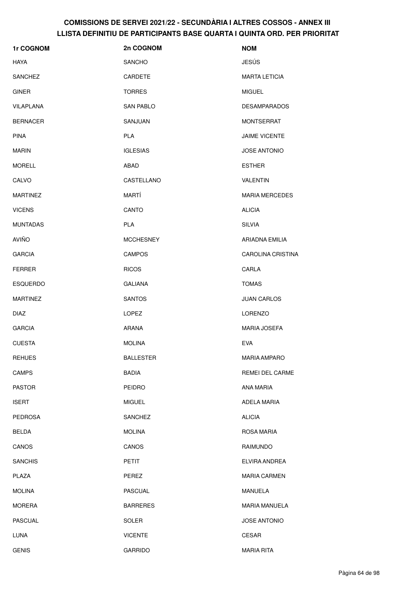| 1r COGNOM       | 2n COGNOM        | <b>NOM</b>               |
|-----------------|------------------|--------------------------|
| HAYA            | <b>SANCHO</b>    | <b>JESÚS</b>             |
| <b>SANCHEZ</b>  | CARDETE          | <b>MARTA LETICIA</b>     |
| <b>GINER</b>    | <b>TORRES</b>    | <b>MIGUEL</b>            |
| VILAPLANA       | SAN PABLO        | <b>DESAMPARADOS</b>      |
| <b>BERNACER</b> | SANJUAN          | <b>MONTSERRAT</b>        |
| <b>PINA</b>     | <b>PLA</b>       | <b>JAIME VICENTE</b>     |
| <b>MARIN</b>    | <b>IGLESIAS</b>  | <b>JOSE ANTONIO</b>      |
| <b>MORELL</b>   | ABAD             | <b>ESTHER</b>            |
| CALVO           | CASTELLANO       | VALENTIN                 |
| <b>MARTINEZ</b> | MARTÍ            | <b>MARIA MERCEDES</b>    |
| <b>VICENS</b>   | CANTO            | <b>ALICIA</b>            |
| <b>MUNTADAS</b> | <b>PLA</b>       | <b>SILVIA</b>            |
| AVIÑO           | <b>MCCHESNEY</b> | ARIADNA EMILIA           |
| <b>GARCIA</b>   | <b>CAMPOS</b>    | <b>CAROLINA CRISTINA</b> |
| <b>FERRER</b>   | <b>RICOS</b>     | CARLA                    |
| <b>ESQUERDO</b> | <b>GALIANA</b>   | <b>TOMAS</b>             |
| <b>MARTINEZ</b> | <b>SANTOS</b>    | <b>JUAN CARLOS</b>       |
| <b>DIAZ</b>     | LOPEZ            | <b>LORENZO</b>           |
| <b>GARCIA</b>   | ARANA            | <b>MARIA JOSEFA</b>      |
| <b>CUESTA</b>   | <b>MOLINA</b>    | <b>EVA</b>               |
| <b>REHUES</b>   | <b>BALLESTER</b> | <b>MARIA AMPARO</b>      |
| <b>CAMPS</b>    | <b>BADIA</b>     | <b>REMEI DEL CARME</b>   |
| <b>PASTOR</b>   | <b>PEIDRO</b>    | ANA MARIA                |
| <b>ISERT</b>    | <b>MIGUEL</b>    | ADELA MARIA              |
| <b>PEDROSA</b>  | <b>SANCHEZ</b>   | <b>ALICIA</b>            |
| <b>BELDA</b>    | <b>MOLINA</b>    | <b>ROSA MARIA</b>        |
| CANOS           | CANOS            | RAIMUNDO                 |
| <b>SANCHIS</b>  | <b>PETIT</b>     | ELVIRA ANDREA            |
| PLAZA           | PEREZ            | <b>MARIA CARMEN</b>      |
| <b>MOLINA</b>   | <b>PASCUAL</b>   | <b>MANUELA</b>           |
| <b>MORERA</b>   | <b>BARRERES</b>  | <b>MARIA MANUELA</b>     |
| <b>PASCUAL</b>  | <b>SOLER</b>     | <b>JOSE ANTONIO</b>      |
| <b>LUNA</b>     | <b>VICENTE</b>   | <b>CESAR</b>             |
| <b>GENIS</b>    | <b>GARRIDO</b>   | <b>MARIA RITA</b>        |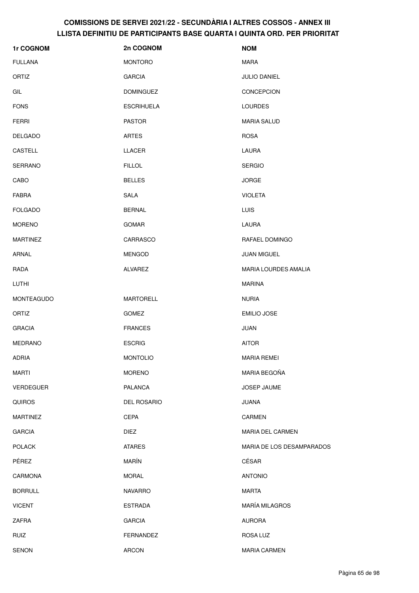| 1r COGNOM         | 2n COGNOM          | <b>NOM</b>                  |
|-------------------|--------------------|-----------------------------|
| <b>FULLANA</b>    | <b>MONTORO</b>     | <b>MARA</b>                 |
| ORTIZ             | <b>GARCIA</b>      | <b>JULIO DANIEL</b>         |
| GIL               | <b>DOMINGUEZ</b>   | CONCEPCION                  |
| <b>FONS</b>       | <b>ESCRIHUELA</b>  | <b>LOURDES</b>              |
| <b>FERRI</b>      | <b>PASTOR</b>      | <b>MARIA SALUD</b>          |
| <b>DELGADO</b>    | <b>ARTES</b>       | <b>ROSA</b>                 |
| <b>CASTELL</b>    | <b>LLACER</b>      | LAURA                       |
| <b>SERRANO</b>    | <b>FILLOL</b>      | <b>SERGIO</b>               |
| CABO              | <b>BELLES</b>      | <b>JORGE</b>                |
| <b>FABRA</b>      | SALA               | <b>VIOLETA</b>              |
| <b>FOLGADO</b>    | <b>BERNAL</b>      | LUIS                        |
| <b>MORENO</b>     | <b>GOMAR</b>       | LAURA                       |
| <b>MARTINEZ</b>   | CARRASCO           | RAFAEL DOMINGO              |
| ARNAL             | <b>MENGOD</b>      | <b>JUAN MIGUEL</b>          |
| RADA              | <b>ALVAREZ</b>     | <b>MARIA LOURDES AMALIA</b> |
| LUTHI             |                    | <b>MARINA</b>               |
| <b>MONTEAGUDO</b> | <b>MARTORELL</b>   | <b>NURIA</b>                |
| ORTIZ             | <b>GOMEZ</b>       | <b>EMILIO JOSE</b>          |
| <b>GRACIA</b>     | <b>FRANCES</b>     | JUAN                        |
| <b>MEDRANO</b>    | <b>ESCRIG</b>      | <b>AITOR</b>                |
| <b>ADRIA</b>      | <b>MONTOLIO</b>    | <b>MARIA REMEI</b>          |
| <b>MARTI</b>      | <b>MORENO</b>      | MARIA BEGOÑA                |
| <b>VERDEGUER</b>  | <b>PALANCA</b>     | JOSEP JAUME                 |
| <b>QUIROS</b>     | <b>DEL ROSARIO</b> | <b>JUANA</b>                |
| <b>MARTINEZ</b>   | <b>CEPA</b>        | CARMEN                      |
| <b>GARCIA</b>     | <b>DIEZ</b>        | MARIA DEL CARMEN            |
| <b>POLACK</b>     | <b>ATARES</b>      | MARIA DE LOS DESAMPARADOS   |
| PÉREZ             | MARÍN              | CÉSAR                       |
| CARMONA           | <b>MORAL</b>       | <b>ANTONIO</b>              |
| <b>BORRULL</b>    | <b>NAVARRO</b>     | <b>MARTA</b>                |
| <b>VICENT</b>     | <b>ESTRADA</b>     | <b>MARÍA MILAGROS</b>       |
| ZAFRA             | <b>GARCIA</b>      | <b>AURORA</b>               |
| <b>RUIZ</b>       | <b>FERNANDEZ</b>   | ROSA LUZ                    |
| <b>SENON</b>      | <b>ARCON</b>       | <b>MARIA CARMEN</b>         |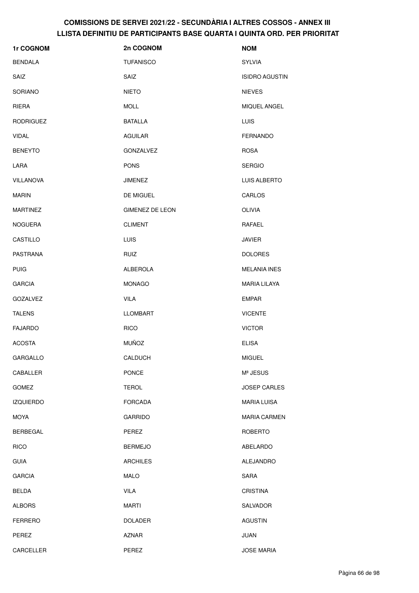| 1r COGNOM        | 2n COGNOM              | <b>NOM</b>            |
|------------------|------------------------|-----------------------|
| <b>BENDALA</b>   | <b>TUFANISCO</b>       | <b>SYLVIA</b>         |
| SAIZ             | SAIZ                   | <b>ISIDRO AGUSTIN</b> |
| <b>SORIANO</b>   | <b>NIETO</b>           | <b>NIEVES</b>         |
| <b>RIERA</b>     | <b>MOLL</b>            | MIQUEL ANGEL          |
| <b>RODRIGUEZ</b> | <b>BATALLA</b>         | LUIS                  |
| <b>VIDAL</b>     | <b>AGUILAR</b>         | <b>FERNANDO</b>       |
| <b>BENEYTO</b>   | <b>GONZALVEZ</b>       | <b>ROSA</b>           |
| LARA             | <b>PONS</b>            | <b>SERGIO</b>         |
| <b>VILLANOVA</b> | <b>JIMENEZ</b>         | LUIS ALBERTO          |
| <b>MARIN</b>     | DE MIGUEL              | CARLOS                |
| <b>MARTINEZ</b>  | <b>GIMENEZ DE LEON</b> | <b>OLIVIA</b>         |
| <b>NOGUERA</b>   | <b>CLIMENT</b>         | RAFAEL                |
| CASTILLO         | <b>LUIS</b>            | <b>JAVIER</b>         |
| PASTRANA         | <b>RUIZ</b>            | <b>DOLORES</b>        |
| <b>PUIG</b>      | ALBEROLA               | <b>MELANIA INES</b>   |
| <b>GARCIA</b>    | <b>MONAGO</b>          | MARIA LILAYA          |
| <b>GOZALVEZ</b>  | <b>VILA</b>            | <b>EMPAR</b>          |
| <b>TALENS</b>    | <b>LLOMBART</b>        | <b>VICENTE</b>        |
| <b>FAJARDO</b>   | <b>RICO</b>            | <b>VICTOR</b>         |
| <b>ACOSTA</b>    | <b>MUÑOZ</b>           | <b>ELISA</b>          |
| GARGALLO         | CALDUCH                | <b>MIGUEL</b>         |
| CABALLER         | <b>PONCE</b>           | Mª JESUS              |
| <b>GOMEZ</b>     | <b>TEROL</b>           | <b>JOSEP CARLES</b>   |
| <b>IZQUIERDO</b> | <b>FORCADA</b>         | <b>MARIA LUISA</b>    |
| <b>MOYA</b>      | <b>GARRIDO</b>         | <b>MARIA CARMEN</b>   |
| <b>BERBEGAL</b>  | PEREZ                  | <b>ROBERTO</b>        |
| <b>RICO</b>      | <b>BERMEJO</b>         | ABELARDO              |
| <b>GUIA</b>      | <b>ARCHILES</b>        | ALEJANDRO             |
| <b>GARCIA</b>    | MALO                   | SARA                  |
| <b>BELDA</b>     | <b>VILA</b>            | <b>CRISTINA</b>       |
| <b>ALBORS</b>    | <b>MARTI</b>           | SALVADOR              |
| <b>FERRERO</b>   | <b>DOLADER</b>         | <b>AGUSTIN</b>        |
| PEREZ            | <b>AZNAR</b>           | JUAN                  |
| CARCELLER        | PEREZ                  | <b>JOSE MARIA</b>     |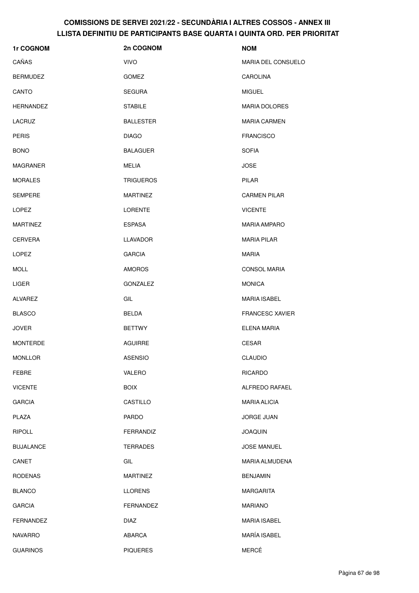| 1r COGNOM        | 2n COGNOM        | <b>NOM</b>             |
|------------------|------------------|------------------------|
| CAÑAS            | <b>VIVO</b>      | MARIA DEL CONSUELO     |
| <b>BERMUDEZ</b>  | <b>GOMEZ</b>     | <b>CAROLINA</b>        |
| CANTO            | <b>SEGURA</b>    | <b>MIGUEL</b>          |
| HERNANDEZ        | <b>STABILE</b>   | <b>MARIA DOLORES</b>   |
| LACRUZ           | <b>BALLESTER</b> | <b>MARIA CARMEN</b>    |
| <b>PERIS</b>     | <b>DIAGO</b>     | <b>FRANCISCO</b>       |
| <b>BONO</b>      | <b>BALAGUER</b>  | <b>SOFIA</b>           |
| MAGRANER         | MELIA            | <b>JOSE</b>            |
| <b>MORALES</b>   | <b>TRIGUEROS</b> | PILAR                  |
| <b>SEMPERE</b>   | <b>MARTINEZ</b>  | <b>CARMEN PILAR</b>    |
| <b>LOPEZ</b>     | <b>LORENTE</b>   | <b>VICENTE</b>         |
| <b>MARTINEZ</b>  | <b>ESPASA</b>    | <b>MARIA AMPARO</b>    |
| <b>CERVERA</b>   | <b>LLAVADOR</b>  | <b>MARIA PILAR</b>     |
| <b>LOPEZ</b>     | <b>GARCIA</b>    | <b>MARIA</b>           |
| <b>MOLL</b>      | <b>AMOROS</b>    | <b>CONSOL MARIA</b>    |
| <b>LIGER</b>     | GONZALEZ         | <b>MONICA</b>          |
| ALVAREZ          | GIL              | <b>MARIA ISABEL</b>    |
| <b>BLASCO</b>    | <b>BELDA</b>     | <b>FRANCESC XAVIER</b> |
| <b>JOVER</b>     | <b>BETTWY</b>    | ELENA MARIA            |
| <b>MONTERDE</b>  | <b>AGUIRRE</b>   | <b>CESAR</b>           |
| <b>MONLLOR</b>   | <b>ASENSIO</b>   | <b>CLAUDIO</b>         |
| FEBRE            | VALERO           | <b>RICARDO</b>         |
| <b>VICENTE</b>   | <b>BOIX</b>      | ALFREDO RAFAEL         |
| <b>GARCIA</b>    | CASTILLO         | <b>MARIA ALICIA</b>    |
| PLAZA            | <b>PARDO</b>     | <b>JORGE JUAN</b>      |
| <b>RIPOLL</b>    | FERRANDIZ        | <b>JOAQUIN</b>         |
| <b>BUJALANCE</b> | <b>TERRADES</b>  | <b>JOSE MANUEL</b>     |
| CANET            | GIL              | MARIA ALMUDENA         |
| <b>RODENAS</b>   | <b>MARTINEZ</b>  | <b>BENJAMIN</b>        |
| <b>BLANCO</b>    | <b>LLORENS</b>   | <b>MARGARITA</b>       |
| <b>GARCIA</b>    | FERNANDEZ        | <b>MARIANO</b>         |
| <b>FERNANDEZ</b> | <b>DIAZ</b>      | <b>MARIA ISABEL</b>    |
| <b>NAVARRO</b>   | ABARCA           | MARÍA ISABEL           |
| <b>GUARINOS</b>  | <b>PIQUERES</b>  | MERCÉ                  |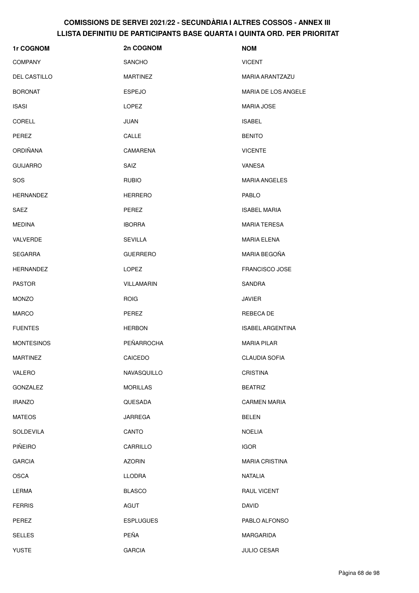| 1r COGNOM         | 2n COGNOM         | <b>NOM</b>              |
|-------------------|-------------------|-------------------------|
| <b>COMPANY</b>    | <b>SANCHO</b>     | <b>VICENT</b>           |
| DEL CASTILLO      | <b>MARTINEZ</b>   | MARIA ARANTZAZU         |
| <b>BORONAT</b>    | <b>ESPEJO</b>     | MARIA DE LOS ANGELE     |
| <b>ISASI</b>      | <b>LOPEZ</b>      | <b>MARIA JOSE</b>       |
| CORELL            | JUAN              | <b>ISABEL</b>           |
| PEREZ             | CALLE             | <b>BENITO</b>           |
| <b>ORDIÑANA</b>   | CAMARENA          | <b>VICENTE</b>          |
| <b>GUIJARRO</b>   | SAIZ              | VANESA                  |
| SOS               | <b>RUBIO</b>      | <b>MARIA ANGELES</b>    |
| <b>HERNANDEZ</b>  | <b>HERRERO</b>    | <b>PABLO</b>            |
| SAEZ              | <b>PEREZ</b>      | <b>ISABEL MARIA</b>     |
| <b>MEDINA</b>     | <b>IBORRA</b>     | <b>MARIA TERESA</b>     |
| VALVERDE          | <b>SEVILLA</b>    | <b>MARIA ELENA</b>      |
| <b>SEGARRA</b>    | <b>GUERRERO</b>   | MARIA BEGOÑA            |
| HERNANDEZ         | <b>LOPEZ</b>      | FRANCISCO JOSE          |
| <b>PASTOR</b>     | <b>VILLAMARIN</b> | SANDRA                  |
| <b>MONZO</b>      | <b>ROIG</b>       | <b>JAVIER</b>           |
| <b>MARCO</b>      | PEREZ             | <b>REBECA DE</b>        |
| <b>FUENTES</b>    | <b>HERBON</b>     | <b>ISABEL ARGENTINA</b> |
| <b>MONTESINOS</b> | PEÑARROCHA        | <b>MARIA PILAR</b>      |
| <b>MARTINEZ</b>   | CAICEDO           | <b>CLAUDIA SOFIA</b>    |
| VALERO            | NAVASQUILLO       | <b>CRISTINA</b>         |
| GONZALEZ          | <b>MORILLAS</b>   | <b>BEATRIZ</b>          |
| <b>IRANZO</b>     | QUESADA           | <b>CARMEN MARIA</b>     |
| <b>MATEOS</b>     | JARREGA           | <b>BELEN</b>            |
| <b>SOLDEVILA</b>  | CANTO             | <b>NOELIA</b>           |
| PIÑEIRO           | CARRILLO          | <b>IGOR</b>             |
| <b>GARCIA</b>     | <b>AZORIN</b>     | <b>MARIA CRISTINA</b>   |
| <b>OSCA</b>       | <b>LLODRA</b>     | <b>NATALIA</b>          |
| LERMA             | <b>BLASCO</b>     | <b>RAUL VICENT</b>      |
| <b>FERRIS</b>     | AGUT              | <b>DAVID</b>            |
| PEREZ             | <b>ESPLUGUES</b>  | PABLO ALFONSO           |
| <b>SELLES</b>     | PEÑA              | MARGARIDA               |
| <b>YUSTE</b>      | <b>GARCIA</b>     | <b>JULIO CESAR</b>      |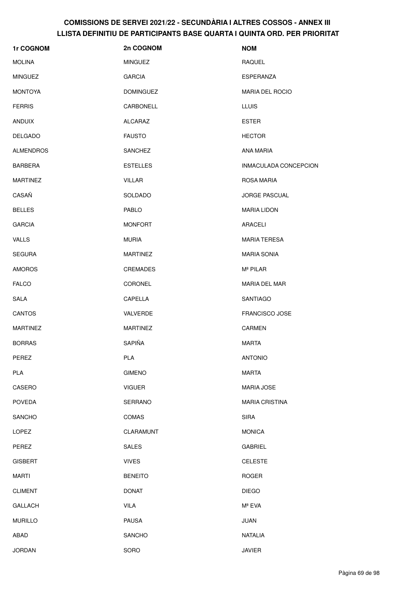| 1r COGNOM        | 2n COGNOM        | <b>NOM</b>             |
|------------------|------------------|------------------------|
| <b>MOLINA</b>    | <b>MINGUEZ</b>   | <b>RAQUEL</b>          |
| <b>MINGUEZ</b>   | <b>GARCIA</b>    | ESPERANZA              |
| <b>MONTOYA</b>   | <b>DOMINGUEZ</b> | <b>MARIA DEL ROCIO</b> |
| <b>FERRIS</b>    | CARBONELL        | <b>LLUIS</b>           |
| <b>ANDUIX</b>    | <b>ALCARAZ</b>   | <b>ESTER</b>           |
| <b>DELGADO</b>   | <b>FAUSTO</b>    | <b>HECTOR</b>          |
| <b>ALMENDROS</b> | <b>SANCHEZ</b>   | ANA MARIA              |
| <b>BARBERA</b>   | <b>ESTELLES</b>  | INMACULADA CONCEPCION  |
| <b>MARTINEZ</b>  | <b>VILLAR</b>    | ROSA MARIA             |
| CASAÑ            | SOLDADO          | <b>JORGE PASCUAL</b>   |
| <b>BELLES</b>    | PABLO            | <b>MARIA LIDON</b>     |
| <b>GARCIA</b>    | <b>MONFORT</b>   | ARACELI                |
| VALLS            | <b>MURIA</b>     | <b>MARIA TERESA</b>    |
| <b>SEGURA</b>    | <b>MARTINEZ</b>  | <b>MARIA SONIA</b>     |
| <b>AMOROS</b>    | CREMADES         | Mª PILAR               |
| <b>FALCO</b>     | CORONEL          | MARIA DEL MAR          |
| <b>SALA</b>      | CAPELLA          | <b>SANTIAGO</b>        |
| <b>CANTOS</b>    | VALVERDE         | <b>FRANCISCO JOSE</b>  |
| <b>MARTINEZ</b>  | <b>MARTINEZ</b>  | <b>CARMEN</b>          |
| <b>BORRAS</b>    | <b>SAPIÑA</b>    | <b>MARTA</b>           |
| PEREZ            | <b>PLA</b>       | <b>ANTONIO</b>         |
| PLA              | <b>GIMENO</b>    | MARTA                  |
| CASERO           | <b>VIGUER</b>    | <b>MARIA JOSE</b>      |
| <b>POVEDA</b>    | <b>SERRANO</b>   | <b>MARIA CRISTINA</b>  |
| <b>SANCHO</b>    | COMAS            | <b>SIRA</b>            |
| LOPEZ            | <b>CLARAMUNT</b> | <b>MONICA</b>          |
| PEREZ            | <b>SALES</b>     | <b>GABRIEL</b>         |
| <b>GISBERT</b>   | <b>VIVES</b>     | <b>CELESTE</b>         |
| <b>MARTI</b>     | <b>BENEITO</b>   | <b>ROGER</b>           |
| <b>CLIMENT</b>   | <b>DONAT</b>     | <b>DIEGO</b>           |
| <b>GALLACH</b>   | <b>VILA</b>      | Mª EVA                 |
| <b>MURILLO</b>   | <b>PAUSA</b>     | <b>JUAN</b>            |
| ABAD             | <b>SANCHO</b>    | <b>NATALIA</b>         |
| <b>JORDAN</b>    | SORO             | <b>JAVIER</b>          |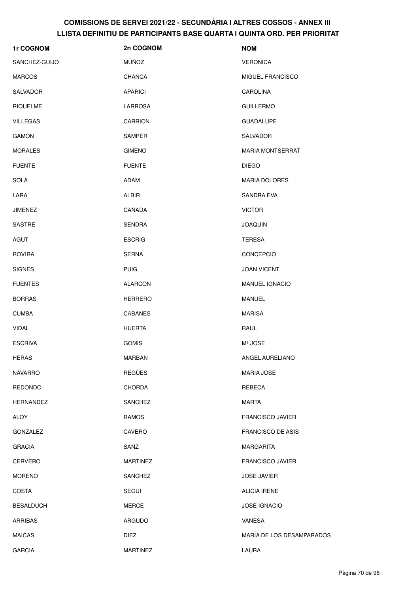| 1r COGNOM        | 2n COGNOM       | <b>NOM</b>                |
|------------------|-----------------|---------------------------|
| SANCHEZ-GUIJO    | <b>MUÑOZ</b>    | <b>VERONICA</b>           |
| <b>MARCOS</b>    | <b>CHANCA</b>   | MIGUEL FRANCISCO          |
| <b>SALVADOR</b>  | <b>APARICI</b>  | <b>CAROLINA</b>           |
| <b>RIQUELME</b>  | LARROSA         | <b>GUILLERMO</b>          |
| <b>VILLEGAS</b>  | <b>CARRION</b>  | <b>GUADALUPE</b>          |
| <b>GAMON</b>     | SAMPER          | SALVADOR                  |
| <b>MORALES</b>   | <b>GIMENO</b>   | <b>MARIA MONTSERRAT</b>   |
| <b>FUENTE</b>    | <b>FUENTE</b>   | <b>DIEGO</b>              |
| <b>SOLA</b>      | <b>ADAM</b>     | <b>MARIA DOLORES</b>      |
| LARA             | ALBIR           | <b>SANDRA EVA</b>         |
| <b>JIMENEZ</b>   | CAÑADA          | <b>VICTOR</b>             |
| <b>SASTRE</b>    | <b>SENDRA</b>   | <b>JOAQUIN</b>            |
| AGUT             | <b>ESCRIG</b>   | <b>TERESA</b>             |
| <b>ROVIRA</b>    | <b>SERNA</b>    | <b>CONCEPCIO</b>          |
| <b>SIGNES</b>    | <b>PUIG</b>     | <b>JOAN VICENT</b>        |
| <b>FUENTES</b>   | <b>ALARCON</b>  | MANUEL IGNACIO            |
| <b>BORRAS</b>    | <b>HERRERO</b>  | <b>MANUEL</b>             |
| <b>CUMBA</b>     | <b>CABANES</b>  | <b>MARISA</b>             |
| <b>VIDAL</b>     | <b>HUERTA</b>   | RAUL                      |
| <b>ESCRIVA</b>   | <b>GOMIS</b>    | Mª JOSE                   |
| <b>HERAS</b>     | MARBAN          | ANGEL AURELIANO           |
| <b>NAVARRO</b>   | <b>REGÜES</b>   | <b>MARIA JOSE</b>         |
| <b>REDONDO</b>   | <b>CHORDA</b>   | <b>REBECA</b>             |
| HERNANDEZ        | <b>SANCHEZ</b>  | <b>MARTA</b>              |
| <b>ALOY</b>      | <b>RAMOS</b>    | <b>FRANCISCO JAVIER</b>   |
| <b>GONZALEZ</b>  | CAVERO          | <b>FRANCISCO DE ASIS</b>  |
| <b>GRACIA</b>    | SANZ            | <b>MARGARITA</b>          |
| <b>CERVERO</b>   | <b>MARTINEZ</b> | <b>FRANCISCO JAVIER</b>   |
| <b>MORENO</b>    | <b>SANCHEZ</b>  | <b>JOSE JAVIER</b>        |
| <b>COSTA</b>     | <b>SEGUI</b>    | <b>ALICIA IRENE</b>       |
| <b>BESALDUCH</b> | <b>MERCE</b>    | <b>JOSE IGNACIO</b>       |
| <b>ARRIBAS</b>   | <b>ARGUDO</b>   | <b>VANESA</b>             |
| <b>MAICAS</b>    | <b>DIEZ</b>     | MARIA DE LOS DESAMPARADOS |
| <b>GARCIA</b>    | <b>MARTINEZ</b> | LAURA                     |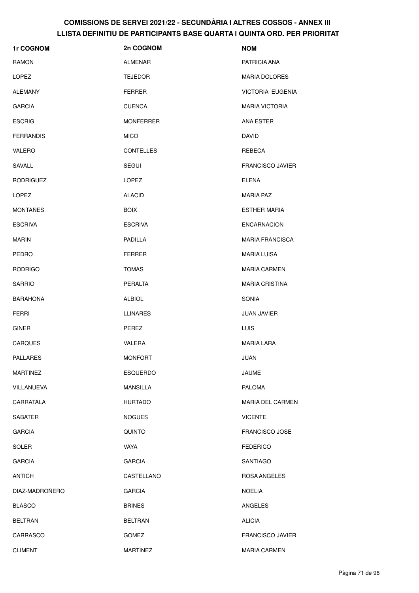| 1r COGNOM        | 2n COGNOM        | <b>NOM</b>              |
|------------------|------------------|-------------------------|
| RAMON            | <b>ALMENAR</b>   | PATRICIA ANA            |
| LOPEZ            | <b>TEJEDOR</b>   | <b>MARIA DOLORES</b>    |
| <b>ALEMANY</b>   | <b>FERRER</b>    | <b>VICTORIA EUGENIA</b> |
| <b>GARCIA</b>    | <b>CUENCA</b>    | <b>MARIA VICTORIA</b>   |
| <b>ESCRIG</b>    | <b>MONFERRER</b> | ANA ESTER               |
| <b>FERRANDIS</b> | <b>MICO</b>      | DAVID                   |
| <b>VALERO</b>    | <b>CONTELLES</b> | <b>REBECA</b>           |
| SAVALL           | <b>SEGUI</b>     | <b>FRANCISCO JAVIER</b> |
| <b>RODRIGUEZ</b> | <b>LOPEZ</b>     | <b>ELENA</b>            |
| <b>LOPEZ</b>     | <b>ALACID</b>    | <b>MARIA PAZ</b>        |
| <b>MONTAÑES</b>  | <b>BOIX</b>      | <b>ESTHER MARIA</b>     |
| <b>ESCRIVA</b>   | <b>ESCRIVA</b>   | <b>ENCARNACION</b>      |
| <b>MARIN</b>     | PADILLA          | <b>MARIA FRANCISCA</b>  |
| <b>PEDRO</b>     | <b>FERRER</b>    | <b>MARIA LUISA</b>      |
| <b>RODRIGO</b>   | <b>TOMAS</b>     | <b>MARIA CARMEN</b>     |
| <b>SARRIO</b>    | PERALTA          | <b>MARIA CRISTINA</b>   |
| <b>BARAHONA</b>  | <b>ALBIOL</b>    | <b>SONIA</b>            |
| <b>FERRI</b>     | <b>LLINARES</b>  | <b>JUAN JAVIER</b>      |
| <b>GINER</b>     | PEREZ            | <b>LUIS</b>             |
| CARQUES          | VALERA           | <b>MARIA LARA</b>       |
| <b>PALLARES</b>  | <b>MONFORT</b>   | JUAN                    |
| <b>MARTINEZ</b>  | <b>ESQUERDO</b>  | <b>JAUME</b>            |
| VILLANUEVA       | <b>MANSILLA</b>  | <b>PALOMA</b>           |
| CARRATALA        | <b>HURTADO</b>   | <b>MARIA DEL CARMEN</b> |
| <b>SABATER</b>   | <b>NOGUES</b>    | <b>VICENTE</b>          |
| <b>GARCIA</b>    | <b>QUINTO</b>    | <b>FRANCISCO JOSE</b>   |
| <b>SOLER</b>     | <b>VAYA</b>      | <b>FEDERICO</b>         |
| <b>GARCIA</b>    | <b>GARCIA</b>    | <b>SANTIAGO</b>         |
| <b>ANTICH</b>    | CASTELLANO       | ROSA ANGELES            |
| DIAZ-MADROÑERO   | <b>GARCIA</b>    | <b>NOELIA</b>           |
| <b>BLASCO</b>    | <b>BRINES</b>    | ANGELES                 |
| <b>BELTRAN</b>   | <b>BELTRAN</b>   | <b>ALICIA</b>           |
| CARRASCO         | <b>GOMEZ</b>     | <b>FRANCISCO JAVIER</b> |
| <b>CLIMENT</b>   | <b>MARTINEZ</b>  | MARIA CARMEN            |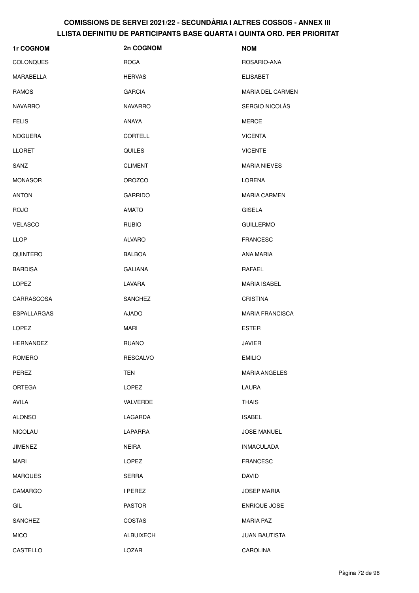| 1r COGNOM          | 2n COGNOM       | <b>NOM</b>             |
|--------------------|-----------------|------------------------|
| COLONQUES          | <b>ROCA</b>     | ROSARIO-ANA            |
| MARABELLA          | <b>HERVAS</b>   | <b>ELISABET</b>        |
| <b>RAMOS</b>       | <b>GARCIA</b>   | MARIA DEL CARMEN       |
| <b>NAVARRO</b>     | <b>NAVARRO</b>  | SERGIO NICOLÁS         |
| <b>FELIS</b>       | <b>ANAYA</b>    | <b>MERCE</b>           |
| <b>NOGUERA</b>     | CORTELL         | <b>VICENTA</b>         |
| <b>LLORET</b>      | <b>QUILES</b>   | <b>VICENTE</b>         |
| SANZ               | <b>CLIMENT</b>  | <b>MARIA NIEVES</b>    |
| <b>MONASOR</b>     | <b>OROZCO</b>   | LORENA                 |
| <b>ANTON</b>       | <b>GARRIDO</b>  | <b>MARIA CARMEN</b>    |
| <b>ROJO</b>        | <b>AMATO</b>    | <b>GISELA</b>          |
| <b>VELASCO</b>     | <b>RUBIO</b>    | <b>GUILLERMO</b>       |
| <b>LLOP</b>        | <b>ALVARO</b>   | <b>FRANCESC</b>        |
| QUINTERO           | <b>BALBOA</b>   | ANA MARIA              |
| <b>BARDISA</b>     | <b>GALIANA</b>  | RAFAEL                 |
| <b>LOPEZ</b>       | LAVARA          | <b>MARIA ISABEL</b>    |
| CARRASCOSA         | <b>SANCHEZ</b>  | <b>CRISTINA</b>        |
| <b>ESPALLARGAS</b> | <b>AJADO</b>    | <b>MARIA FRANCISCA</b> |
| <b>LOPEZ</b>       | <b>MARI</b>     | <b>ESTER</b>           |
| <b>HERNANDEZ</b>   | <b>RUANO</b>    | <b>JAVIER</b>          |
| ROMERO             | <b>RESCALVO</b> | <b>EMILIO</b>          |
| PEREZ              | TEN             | <b>MARIA ANGELES</b>   |
| ORTEGA             | <b>LOPEZ</b>    | LAURA                  |
| AVILA              | VALVERDE        | <b>THAIS</b>           |
| <b>ALONSO</b>      | LAGARDA         | <b>ISABEL</b>          |
| <b>NICOLAU</b>     | LAPARRA         | <b>JOSE MANUEL</b>     |
| <b>JIMENEZ</b>     | <b>NEIRA</b>    | <b>INMACULADA</b>      |
| <b>MARI</b>        | LOPEZ           | <b>FRANCESC</b>        |
| <b>MARQUES</b>     | SERRA           | <b>DAVID</b>           |
| CAMARGO            | I PEREZ         | <b>JOSEP MARIA</b>     |
| GIL                | <b>PASTOR</b>   | ENRIQUE JOSE           |
| SANCHEZ            | COSTAS          | <b>MARIA PAZ</b>       |
| <b>MICO</b>        | ALBUIXECH       | <b>JUAN BAUTISTA</b>   |
| CASTELLO           | LOZAR           | CAROLINA               |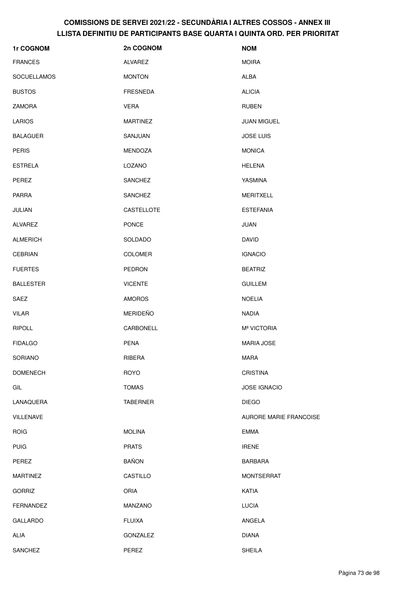| 1r COGNOM          | 2n COGNOM       | <b>NOM</b>              |
|--------------------|-----------------|-------------------------|
| <b>FRANCES</b>     | ALVAREZ         | <b>MOIRA</b>            |
| <b>SOCUELLAMOS</b> | <b>MONTON</b>   | <b>ALBA</b>             |
| <b>BUSTOS</b>      | <b>FRESNEDA</b> | <b>ALICIA</b>           |
| <b>ZAMORA</b>      | <b>VERA</b>     | <b>RUBEN</b>            |
| <b>LARIOS</b>      | <b>MARTINEZ</b> | <b>JUAN MIGUEL</b>      |
| <b>BALAGUER</b>    | SANJUAN         | <b>JOSE LUIS</b>        |
| <b>PERIS</b>       | MENDOZA         | <b>MONICA</b>           |
| <b>ESTRELA</b>     | LOZANO          | <b>HELENA</b>           |
| PEREZ              | SANCHEZ         | YASMINA                 |
| <b>PARRA</b>       | SANCHEZ         | <b>MERITXELL</b>        |
| JULIAN             | CASTELLOTE      | <b>ESTEFANIA</b>        |
| ALVAREZ            | PONCE           | JUAN                    |
| <b>ALMERICH</b>    | SOLDADO         | <b>DAVID</b>            |
| <b>CEBRIAN</b>     | <b>COLOMER</b>  | <b>IGNACIO</b>          |
| <b>FUERTES</b>     | PEDRON          | <b>BEATRIZ</b>          |
| <b>BALLESTER</b>   | <b>VICENTE</b>  | <b>GUILLEM</b>          |
| SAEZ               | <b>AMOROS</b>   | <b>NOELIA</b>           |
| <b>VILAR</b>       | <b>MERIDEÑO</b> | <b>NADIA</b>            |
| <b>RIPOLL</b>      | CARBONELL       | M <sup>ª</sup> VICTORIA |
| <b>FIDALGO</b>     | <b>PENA</b>     | <b>MARIA JOSE</b>       |
| SORIANO            | RIBERA          | <b>MARA</b>             |
| <b>DOMENECH</b>    | <b>ROYO</b>     | <b>CRISTINA</b>         |
| GIL                | <b>TOMAS</b>    | <b>JOSE IGNACIO</b>     |
| LANAQUERA          | <b>TABERNER</b> | <b>DIEGO</b>            |
| <b>VILLENAVE</b>   |                 | AURORE MARIE FRANCOISE  |
| <b>ROIG</b>        | <b>MOLINA</b>   | <b>EMMA</b>             |
| <b>PUIG</b>        | <b>PRATS</b>    | <b>IRENE</b>            |
| PEREZ              | <b>BAÑON</b>    | <b>BARBARA</b>          |
| <b>MARTINEZ</b>    | CASTILLO        | <b>MONTSERRAT</b>       |
| <b>GORRIZ</b>      | <b>ORIA</b>     | KATIA                   |
| <b>FERNANDEZ</b>   | MANZANO         | <b>LUCIA</b>            |
| <b>GALLARDO</b>    | <b>FLUIXA</b>   | ANGELA                  |
| ALIA               | GONZALEZ        | <b>DIANA</b>            |
| SANCHEZ            | PEREZ           | <b>SHEILA</b>           |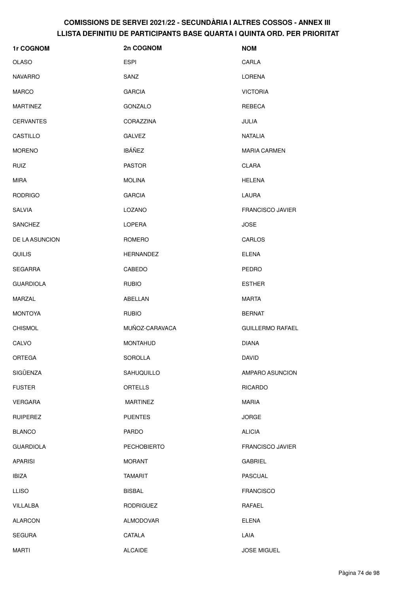| 1r COGNOM        | 2n COGNOM        | <b>NOM</b>              |
|------------------|------------------|-------------------------|
| <b>OLASO</b>     | <b>ESPI</b>      | CARLA                   |
| <b>NAVARRO</b>   | SANZ             | LORENA                  |
| <b>MARCO</b>     | <b>GARCIA</b>    | <b>VICTORIA</b>         |
| <b>MARTINEZ</b>  | GONZALO          | REBECA                  |
| <b>CERVANTES</b> | CORAZZINA        | JULIA                   |
| CASTILLO         | <b>GALVEZ</b>    | <b>NATALIA</b>          |
| <b>MORENO</b>    | <b>IBÁÑEZ</b>    | <b>MARIA CARMEN</b>     |
| <b>RUIZ</b>      | <b>PASTOR</b>    | <b>CLARA</b>            |
| <b>MIRA</b>      | <b>MOLINA</b>    | <b>HELENA</b>           |
| <b>RODRIGO</b>   | <b>GARCIA</b>    | LAURA                   |
| <b>SALVIA</b>    | LOZANO           | <b>FRANCISCO JAVIER</b> |
| <b>SANCHEZ</b>   | <b>LOPERA</b>    | <b>JOSE</b>             |
| DE LA ASUNCION   | ROMERO           | CARLOS                  |
| <b>QUILIS</b>    | <b>HERNANDEZ</b> | <b>ELENA</b>            |
| <b>SEGARRA</b>   | CABEDO           | PEDRO                   |
| <b>GUARDIOLA</b> | <b>RUBIO</b>     | <b>ESTHER</b>           |
| <b>MARZAL</b>    | ABELLAN          | <b>MARTA</b>            |
| <b>MONTOYA</b>   | <b>RUBIO</b>     | <b>BERNAT</b>           |
| <b>CHISMOL</b>   | MUÑOZ-CARAVACA   | <b>GUILLERMO RAFAEL</b> |
| CALVO            | <b>MONTAHUD</b>  | <b>DIANA</b>            |
| <b>ORTEGA</b>    | SOROLLA          | DAVID                   |
| SIGÜENZA         | SAHUQUILLO       | AMPARO ASUNCION         |
| <b>FUSTER</b>    | ORTELLS          | <b>RICARDO</b>          |
| <b>VERGARA</b>   | <b>MARTINEZ</b>  | <b>MARIA</b>            |
| <b>RUIPEREZ</b>  | <b>PUENTES</b>   | <b>JORGE</b>            |
| <b>BLANCO</b>    | PARDO            | <b>ALICIA</b>           |
| <b>GUARDIOLA</b> | PECHOBIERTO      | <b>FRANCISCO JAVIER</b> |
| <b>APARISI</b>   | <b>MORANT</b>    | <b>GABRIEL</b>          |
| <b>IBIZA</b>     | <b>TAMARIT</b>   | <b>PASCUAL</b>          |
| <b>LLISO</b>     | <b>BISBAL</b>    | <b>FRANCISCO</b>        |
| VILLALBA         | <b>RODRIGUEZ</b> | RAFAEL                  |
| <b>ALARCON</b>   | ALMODOVAR        | <b>ELENA</b>            |
| <b>SEGURA</b>    | CATALA           | LAIA                    |
| <b>MARTI</b>     | <b>ALCAIDE</b>   | <b>JOSE MIGUEL</b>      |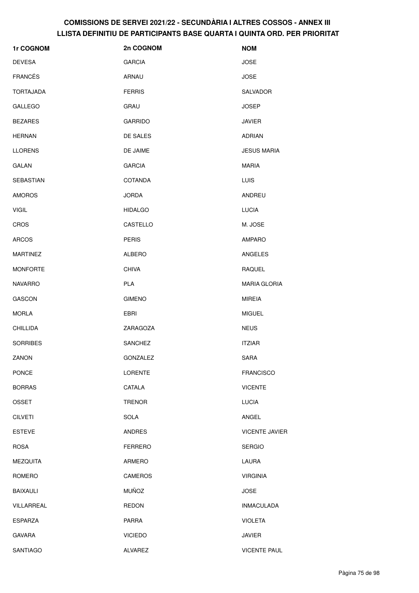| 1r COGNOM        | 2n COGNOM      | <b>NOM</b>            |
|------------------|----------------|-----------------------|
| <b>DEVESA</b>    | <b>GARCIA</b>  | <b>JOSE</b>           |
| <b>FRANCÉS</b>   | ARNAU          | <b>JOSE</b>           |
| <b>TORTAJADA</b> | <b>FERRIS</b>  | SALVADOR              |
| <b>GALLEGO</b>   | <b>GRAU</b>    | <b>JOSEP</b>          |
| <b>BEZARES</b>   | <b>GARRIDO</b> | <b>JAVIER</b>         |
| <b>HERNAN</b>    | DE SALES       | <b>ADRIAN</b>         |
| <b>LLORENS</b>   | DE JAIME       | <b>JESUS MARIA</b>    |
| <b>GALAN</b>     | <b>GARCIA</b>  | <b>MARIA</b>          |
| SEBASTIAN        | COTANDA        | LUIS                  |
| <b>AMOROS</b>    | <b>JORDA</b>   | ANDREU                |
| <b>VIGIL</b>     | <b>HIDALGO</b> | <b>LUCIA</b>          |
| CROS             | CASTELLO       | M. JOSE               |
| <b>ARCOS</b>     | <b>PERIS</b>   | <b>AMPARO</b>         |
| <b>MARTINEZ</b>  | <b>ALBERO</b>  | ANGELES               |
| <b>MONFORTE</b>  | <b>CHIVA</b>   | <b>RAQUEL</b>         |
| <b>NAVARRO</b>   | <b>PLA</b>     | <b>MARIA GLORIA</b>   |
| <b>GASCON</b>    | <b>GIMENO</b>  | <b>MIREIA</b>         |
| <b>MORLA</b>     | <b>EBRI</b>    | <b>MIGUEL</b>         |
| <b>CHILLIDA</b>  | ZARAGOZA       | <b>NEUS</b>           |
| <b>SORRIBES</b>  | <b>SANCHEZ</b> | <b>ITZIAR</b>         |
| ZANON            | GONZALEZ       | SARA                  |
| <b>PONCE</b>     | <b>LORENTE</b> | <b>FRANCISCO</b>      |
| <b>BORRAS</b>    | CATALA         | <b>VICENTE</b>        |
| <b>OSSET</b>     | <b>TRENOR</b>  | <b>LUCIA</b>          |
| <b>CILVETI</b>   | <b>SOLA</b>    | ANGEL                 |
| <b>ESTEVE</b>    | <b>ANDRES</b>  | <b>VICENTE JAVIER</b> |
| <b>ROSA</b>      | <b>FERRERO</b> | <b>SERGIO</b>         |
| <b>MEZQUITA</b>  | ARMERO         | LAURA                 |
| ROMERO           | <b>CAMEROS</b> | <b>VIRGINIA</b>       |
| <b>BAIXAULI</b>  | <b>MUÑOZ</b>   | <b>JOSE</b>           |
| VILLARREAL       | <b>REDON</b>   | <b>INMACULADA</b>     |
| <b>ESPARZA</b>   | <b>PARRA</b>   | <b>VIOLETA</b>        |
| <b>GAVARA</b>    | <b>VICIEDO</b> | <b>JAVIER</b>         |
| SANTIAGO         | <b>ALVAREZ</b> | <b>VICENTE PAUL</b>   |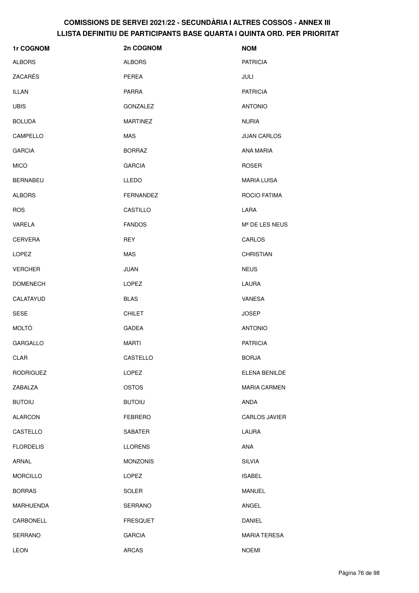| 1r COGNOM        | 2n COGNOM        | <b>NOM</b>                 |
|------------------|------------------|----------------------------|
| <b>ALBORS</b>    | <b>ALBORS</b>    | <b>PATRICIA</b>            |
| ZACARÉS          | PEREA            | JULI                       |
| <b>ILLAN</b>     | <b>PARRA</b>     | <b>PATRICIA</b>            |
| <b>UBIS</b>      | GONZALEZ         | <b>ANTONIO</b>             |
| <b>BOLUDA</b>    | <b>MARTINEZ</b>  | <b>NURIA</b>               |
| CAMPELLO         | <b>MAS</b>       | <b>JUAN CARLOS</b>         |
| <b>GARCIA</b>    | <b>BORRAZ</b>    | ANA MARIA                  |
| <b>MICO</b>      | <b>GARCIA</b>    | <b>ROSER</b>               |
| <b>BERNABEU</b>  | LLEDO            | <b>MARIA LUISA</b>         |
| <b>ALBORS</b>    | <b>FERNANDEZ</b> | ROCIO FATIMA               |
| <b>ROS</b>       | CASTILLO         | LARA                       |
| VARELA           | <b>FANDOS</b>    | M <sup>ª</sup> DE LES NEUS |
| <b>CERVERA</b>   | <b>REY</b>       | CARLOS                     |
| <b>LOPEZ</b>     | MAS              | <b>CHRISTIAN</b>           |
| <b>VERCHER</b>   | <b>JUAN</b>      | <b>NEUS</b>                |
| <b>DOMENECH</b>  | <b>LOPEZ</b>     | LAURA                      |
| CALATAYUD        | <b>BLAS</b>      | VANESA                     |
| <b>SESE</b>      | <b>CHILET</b>    | <b>JOSEP</b>               |
| <b>MOLTÓ</b>     | <b>GADEA</b>     | <b>ANTONIO</b>             |
| <b>GARGALLO</b>  | MARTI            | <b>PATRICIA</b>            |
| CLAR             | CASTELLO         | <b>BORJA</b>               |
| <b>RODRIGUEZ</b> | <b>LOPEZ</b>     | ELENA BENILDE              |
| ZABALZA          | <b>OSTOS</b>     | <b>MARIA CARMEN</b>        |
| <b>BUTOIU</b>    | <b>BUTOIU</b>    | <b>ANDA</b>                |
| <b>ALARCON</b>   | <b>FEBRERO</b>   | CARLOS JAVIER              |
| CASTELLO         | SABATER          | LAURA                      |
| <b>FLORDELIS</b> | <b>LLORENS</b>   | ANA                        |
| ARNAL            | <b>MONZONIS</b>  | <b>SILVIA</b>              |
| <b>MORCILLO</b>  | LOPEZ            | <b>ISABEL</b>              |
| <b>BORRAS</b>    | SOLER            | <b>MANUEL</b>              |
| <b>MARHUENDA</b> | SERRANO          | ANGEL                      |
| CARBONELL        | <b>FRESQUET</b>  | <b>DANIEL</b>              |
| SERRANO          | <b>GARCIA</b>    | <b>MARIA TERESA</b>        |
| LEON             | <b>ARCAS</b>     | <b>NOEMI</b>               |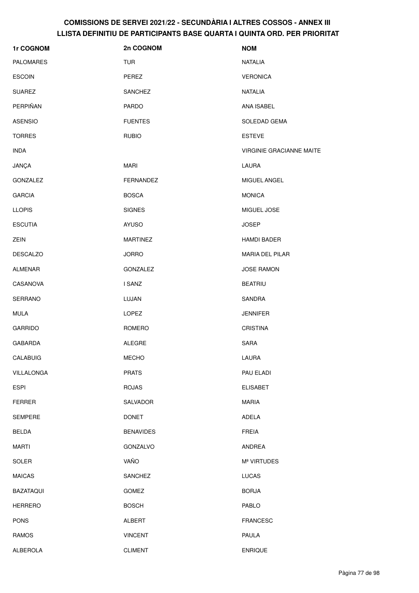| 1r COGNOM        | 2n COGNOM        | <b>NOM</b>                      |
|------------------|------------------|---------------------------------|
| <b>PALOMARES</b> | <b>TUR</b>       | <b>NATALIA</b>                  |
| <b>ESCOIN</b>    | PEREZ            | <b>VERONICA</b>                 |
| <b>SUAREZ</b>    | SANCHEZ          | <b>NATALIA</b>                  |
| PERPIÑAN         | <b>PARDO</b>     | ANA ISABEL                      |
| <b>ASENSIO</b>   | <b>FUENTES</b>   | SOLEDAD GEMA                    |
| <b>TORRES</b>    | <b>RUBIO</b>     | <b>ESTEVE</b>                   |
| <b>INDA</b>      |                  | <b>VIRGINIE GRACIANNE MAITE</b> |
| JANÇA            | <b>MARI</b>      | LAURA                           |
| GONZALEZ         | FERNANDEZ        | MIGUEL ANGEL                    |
| <b>GARCIA</b>    | <b>BOSCA</b>     | <b>MONICA</b>                   |
| <b>LLOPIS</b>    | <b>SIGNES</b>    | MIGUEL JOSE                     |
| <b>ESCUTIA</b>   | <b>AYUSO</b>     | <b>JOSEP</b>                    |
| ZEIN             | <b>MARTINEZ</b>  | <b>HAMDI BADER</b>              |
| <b>DESCALZO</b>  | <b>JORRO</b>     | <b>MARIA DEL PILAR</b>          |
| ALMENAR          | GONZALEZ         | <b>JOSE RAMON</b>               |
| CASANOVA         | I SANZ           | <b>BEATRIU</b>                  |
| SERRANO          | LUJAN            | SANDRA                          |
| <b>MULA</b>      | LOPEZ            | <b>JENNIFER</b>                 |
| <b>GARRIDO</b>   | ROMERO           | <b>CRISTINA</b>                 |
| <b>GABARDA</b>   | <b>ALEGRE</b>    | <b>SARA</b>                     |
| CALABUIG         | <b>MECHO</b>     | LAURA                           |
| VILLALONGA       | <b>PRATS</b>     | PAU ELADI                       |
| <b>ESPI</b>      | <b>ROJAS</b>     | <b>ELISABET</b>                 |
| <b>FERRER</b>    | SALVADOR         | <b>MARIA</b>                    |
| <b>SEMPERE</b>   | <b>DONET</b>     | ADELA                           |
| <b>BELDA</b>     | <b>BENAVIDES</b> | <b>FREIA</b>                    |
| <b>MARTI</b>     | GONZALVO         | ANDREA                          |
| SOLER            | VAÑO             | M <sup>ª</sup> VIRTUDES         |
| <b>MAICAS</b>    | SANCHEZ          | <b>LUCAS</b>                    |
| <b>BAZATAQUI</b> | <b>GOMEZ</b>     | <b>BORJA</b>                    |
| <b>HERRERO</b>   | <b>BOSCH</b>     | PABLO                           |
| <b>PONS</b>      | ALBERT           | <b>FRANCESC</b>                 |
| <b>RAMOS</b>     | <b>VINCENT</b>   | <b>PAULA</b>                    |
| ALBEROLA         | <b>CLIMENT</b>   | <b>ENRIQUE</b>                  |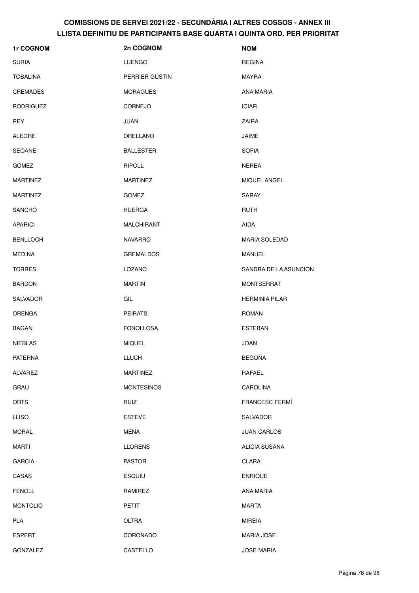| 1r COGNOM        | 2n COGNOM         | <b>NOM</b>            |
|------------------|-------------------|-----------------------|
| <b>SURIA</b>     | <b>LUENGO</b>     | <b>REGINA</b>         |
| <b>TOBALINA</b>  | PERRIER GUSTIN    | MAYRA                 |
| <b>CREMADES</b>  | <b>MORAGUES</b>   | ANA MARIA             |
| <b>RODRIGUEZ</b> | <b>CORNEJO</b>    | <b>ICIAR</b>          |
| <b>REY</b>       | JUAN              | <b>ZAIRA</b>          |
| <b>ALEGRE</b>    | ORELLANO          | JAIME                 |
| <b>SEOANE</b>    | <b>BALLESTER</b>  | <b>SOFIA</b>          |
| <b>GOMEZ</b>     | <b>RIPOLL</b>     | <b>NEREA</b>          |
| <b>MARTINEZ</b>  | <b>MARTINEZ</b>   | MIQUEL ANGEL          |
| <b>MARTINEZ</b>  | <b>GOMEZ</b>      | <b>SARAY</b>          |
| <b>SANCHO</b>    | <b>HUERGA</b>     | RUTH                  |
| <b>APARICI</b>   | <b>MALCHIRANT</b> | AIDA                  |
| <b>BENLLOCH</b>  | <b>NAVARRO</b>    | MARIA SOLEDAD         |
| <b>MEDINA</b>    | <b>GREMALDOS</b>  | <b>MANUEL</b>         |
| <b>TORRES</b>    | LOZANO            | SANDRA DE LA ASUNCION |
| <b>BARDON</b>    | <b>MARTIN</b>     | <b>MONTSERRAT</b>     |
| SALVADOR         | GIL               | <b>HERMINIA PILAR</b> |
| <b>ORENGA</b>    | <b>PEIRATS</b>    | <b>ROMAN</b>          |
| <b>BAGAN</b>     | <b>FONOLLOSA</b>  | <b>ESTEBAN</b>        |
| <b>NIEBLAS</b>   | <b>MIQUEL</b>     | <b>JOAN</b>           |
| <b>PATERNA</b>   | LLUCH             | <b>BEGOÑA</b>         |
| ALVAREZ          | <b>MARTINEZ</b>   | RAFAEL                |
| GRAU             | <b>MONTESINOS</b> | CAROLINA              |
| <b>ORTS</b>      | <b>RUIZ</b>       | <b>FRANCESC FERMÍ</b> |
| <b>LLISO</b>     | <b>ESTEVE</b>     | SALVADOR              |
| <b>MORAL</b>     | <b>MENA</b>       | <b>JUAN CARLOS</b>    |
| <b>MARTI</b>     | <b>LLORENS</b>    | ALICIA SUSANA         |
| <b>GARCIA</b>    | <b>PASTOR</b>     | CLARA                 |
| CASAS            | <b>ESQUIU</b>     | <b>ENRIQUE</b>        |
| <b>FENOLL</b>    | RAMIREZ           | ANA MARIA             |
| <b>MONTOLIO</b>  | PETIT             | <b>MARTA</b>          |
| <b>PLA</b>       | OLTRA             | <b>MIREIA</b>         |
| <b>ESPERT</b>    | CORONADO          | <b>MARIA JOSE</b>     |
| GONZALEZ         | CASTELLO          | <b>JOSE MARIA</b>     |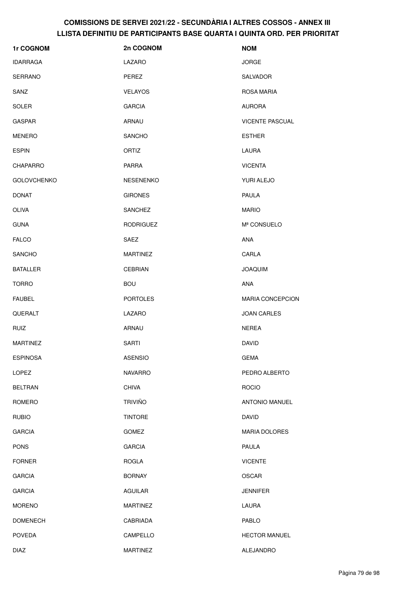| 1r COGNOM          | 2n COGNOM        | <b>NOM</b>              |
|--------------------|------------------|-------------------------|
| <b>IDARRAGA</b>    | LAZARO           | <b>JORGE</b>            |
| <b>SERRANO</b>     | PEREZ            | SALVADOR                |
| SANZ               | <b>VELAYOS</b>   | ROSA MARIA              |
| <b>SOLER</b>       | <b>GARCIA</b>    | <b>AURORA</b>           |
| <b>GASPAR</b>      | ARNAU            | <b>VICENTE PASCUAL</b>  |
| <b>MENERO</b>      | <b>SANCHO</b>    | <b>ESTHER</b>           |
| <b>ESPIN</b>       | ORTIZ            | LAURA                   |
| <b>CHAPARRO</b>    | <b>PARRA</b>     | <b>VICENTA</b>          |
| <b>GOLOVCHENKO</b> | <b>NESENENKO</b> | YURI ALEJO              |
| <b>DONAT</b>       | <b>GIRONES</b>   | PAULA                   |
| <b>OLIVA</b>       | SANCHEZ          | <b>MARIO</b>            |
| <b>GUNA</b>        | <b>RODRIGUEZ</b> | Mª CONSUELO             |
| <b>FALCO</b>       | SAEZ             | ANA                     |
| <b>SANCHO</b>      | <b>MARTINEZ</b>  | CARLA                   |
| <b>BATALLER</b>    | <b>CEBRIAN</b>   | <b>JOAQUIM</b>          |
| <b>TORRO</b>       | <b>BOU</b>       | ANA                     |
| <b>FAUBEL</b>      | <b>PORTOLES</b>  | <b>MARIA CONCEPCION</b> |
| QUERALT            | LAZARO           | <b>JOAN CARLES</b>      |
| <b>RUIZ</b>        | ARNAU            | <b>NEREA</b>            |
| <b>MARTINEZ</b>    | <b>SARTI</b>     | <b>DAVID</b>            |
| <b>ESPINOSA</b>    | <b>ASENSIO</b>   | <b>GEMA</b>             |
| <b>LOPEZ</b>       | <b>NAVARRO</b>   | PEDRO ALBERTO           |
| <b>BELTRAN</b>     | <b>CHIVA</b>     | <b>ROCIO</b>            |
| <b>ROMERO</b>      | <b>TRIVIÑO</b>   | ANTONIO MANUEL          |
| <b>RUBIO</b>       | <b>TINTORE</b>   | <b>DAVID</b>            |
| <b>GARCIA</b>      | <b>GOMEZ</b>     | <b>MARIA DOLORES</b>    |
| <b>PONS</b>        | <b>GARCIA</b>    | PAULA                   |
| <b>FORNER</b>      | <b>ROGLA</b>     | <b>VICENTE</b>          |
| <b>GARCIA</b>      | <b>BORNAY</b>    | <b>OSCAR</b>            |
| <b>GARCIA</b>      | <b>AGUILAR</b>   | <b>JENNIFER</b>         |
| <b>MORENO</b>      | <b>MARTINEZ</b>  | LAURA                   |
| <b>DOMENECH</b>    | CABRIADA         | PABLO                   |
| <b>POVEDA</b>      | CAMPELLO         | <b>HECTOR MANUEL</b>    |
| <b>DIAZ</b>        | <b>MARTINEZ</b>  | ALEJANDRO               |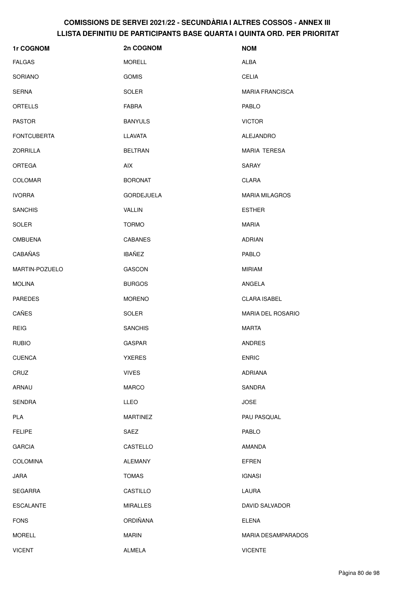| 1r COGNOM          | 2n COGNOM         | <b>NOM</b>                |
|--------------------|-------------------|---------------------------|
| <b>FALGAS</b>      | <b>MORELL</b>     | <b>ALBA</b>               |
| SORIANO            | <b>GOMIS</b>      | <b>CELIA</b>              |
| <b>SERNA</b>       | <b>SOLER</b>      | <b>MARIA FRANCISCA</b>    |
| ORTELLS            | <b>FABRA</b>      | PABLO                     |
| <b>PASTOR</b>      | <b>BANYULS</b>    | <b>VICTOR</b>             |
| <b>FONTCUBERTA</b> | <b>LLAVATA</b>    | ALEJANDRO                 |
| <b>ZORRILLA</b>    | <b>BELTRAN</b>    | <b>MARIA TERESA</b>       |
| <b>ORTEGA</b>      | <b>AIX</b>        | <b>SARAY</b>              |
| <b>COLOMAR</b>     | <b>BORONAT</b>    | CLARA                     |
| <b>IVORRA</b>      | <b>GORDEJUELA</b> | <b>MARIA MILAGROS</b>     |
| <b>SANCHIS</b>     | VALLIN            | <b>ESTHER</b>             |
| <b>SOLER</b>       | <b>TORMO</b>      | <b>MARIA</b>              |
| <b>OMBUENA</b>     | <b>CABANES</b>    | <b>ADRIAN</b>             |
| CABAÑAS            | <b>IBAÑEZ</b>     | PABLO                     |
| MARTIN-POZUELO     | <b>GASCON</b>     | MIRIAM                    |
| <b>MOLINA</b>      | <b>BURGOS</b>     | ANGELA                    |
| <b>PAREDES</b>     | <b>MORENO</b>     | <b>CLARA ISABEL</b>       |
| CAÑES              | <b>SOLER</b>      | <b>MARIA DEL ROSARIO</b>  |
| <b>REIG</b>        | <b>SANCHIS</b>    | <b>MARTA</b>              |
| <b>RUBIO</b>       | <b>GASPAR</b>     | <b>ANDRES</b>             |
| <b>CUENCA</b>      | <b>YXERES</b>     | <b>ENRIC</b>              |
| CRUZ               | <b>VIVES</b>      | <b>ADRIANA</b>            |
| ARNAU              | <b>MARCO</b>      | SANDRA                    |
| <b>SENDRA</b>      | <b>LLEO</b>       | <b>JOSE</b>               |
| PLA                | <b>MARTINEZ</b>   | PAU PASQUAL               |
| <b>FELIPE</b>      | SAEZ              | PABLO                     |
| <b>GARCIA</b>      | CASTELLO          | AMANDA                    |
| <b>COLOMINA</b>    | <b>ALEMANY</b>    | <b>EFREN</b>              |
| JARA               | <b>TOMAS</b>      | <b>IGNASI</b>             |
| <b>SEGARRA</b>     | CASTILLO          | LAURA                     |
| <b>ESCALANTE</b>   | <b>MIRALLES</b>   | DAVID SALVADOR            |
| <b>FONS</b>        | ORDIÑANA          | <b>ELENA</b>              |
| <b>MORELL</b>      | <b>MARIN</b>      | <b>MARIA DESAMPARADOS</b> |
| <b>VICENT</b>      | ALMELA            | <b>VICENTE</b>            |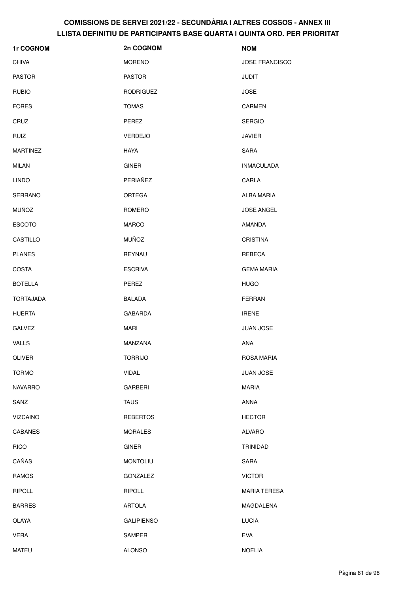| 1r COGNOM        | 2n COGNOM         | <b>NOM</b>            |
|------------------|-------------------|-----------------------|
| <b>CHIVA</b>     | <b>MORENO</b>     | <b>JOSE FRANCISCO</b> |
| <b>PASTOR</b>    | <b>PASTOR</b>     | <b>JUDIT</b>          |
| <b>RUBIO</b>     | <b>RODRIGUEZ</b>  | <b>JOSE</b>           |
| <b>FORES</b>     | <b>TOMAS</b>      | <b>CARMEN</b>         |
| CRUZ             | PEREZ             | <b>SERGIO</b>         |
| <b>RUIZ</b>      | VERDEJO           | <b>JAVIER</b>         |
| <b>MARTINEZ</b>  | <b>HAYA</b>       | SARA                  |
| <b>MILAN</b>     | <b>GINER</b>      | <b>INMACULADA</b>     |
| <b>LINDO</b>     | PERIAÑEZ          | CARLA                 |
| <b>SERRANO</b>   | ORTEGA            | <b>ALBA MARIA</b>     |
| <b>MUÑOZ</b>     | <b>ROMERO</b>     | <b>JOSE ANGEL</b>     |
| <b>ESCOTO</b>    | <b>MARCO</b>      | AMANDA                |
| CASTILLO         | <b>MUÑOZ</b>      | <b>CRISTINA</b>       |
| <b>PLANES</b>    | REYNAU            | REBECA                |
| <b>COSTA</b>     | <b>ESCRIVA</b>    | <b>GEMA MARIA</b>     |
| <b>BOTELLA</b>   | PEREZ             | <b>HUGO</b>           |
| <b>TORTAJADA</b> | <b>BALADA</b>     | <b>FERRAN</b>         |
| <b>HUERTA</b>    | GABARDA           | <b>IRENE</b>          |
| <b>GALVEZ</b>    | <b>MARI</b>       | <b>JUAN JOSE</b>      |
| <b>VALLS</b>     | MANZANA           | <b>ANA</b>            |
| OLIVER           | <b>TORRIJO</b>    | ROSA MARIA            |
| <b>TORMO</b>     | <b>VIDAL</b>      | JUAN JOSE             |
| <b>NAVARRO</b>   | <b>GARBERI</b>    | <b>MARIA</b>          |
| SANZ             | <b>TAUS</b>       | <b>ANNA</b>           |
| <b>VIZCAINO</b>  | <b>REBERTOS</b>   | <b>HECTOR</b>         |
| <b>CABANES</b>   | <b>MORALES</b>    | <b>ALVARO</b>         |
| <b>RICO</b>      | <b>GINER</b>      | TRINIDAD              |
| CAÑAS            | <b>MONTOLIU</b>   | <b>SARA</b>           |
| <b>RAMOS</b>     | GONZALEZ          | <b>VICTOR</b>         |
| <b>RIPOLL</b>    | <b>RIPOLL</b>     | <b>MARIA TERESA</b>   |
| <b>BARRES</b>    | <b>ARTOLA</b>     | MAGDALENA             |
| OLAYA            | <b>GALIPIENSO</b> | <b>LUCIA</b>          |
| <b>VERA</b>      | SAMPER            | <b>EVA</b>            |
| <b>MATEU</b>     | <b>ALONSO</b>     | <b>NOELIA</b>         |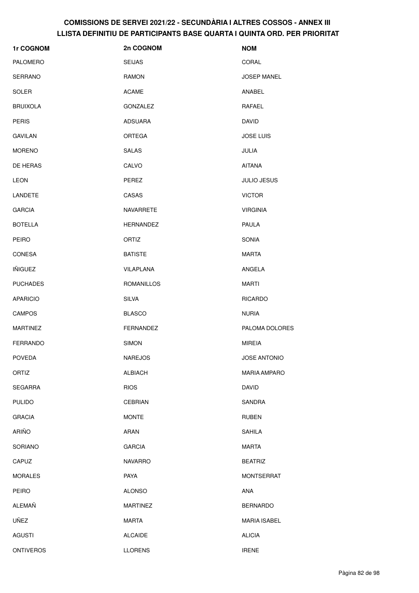| 1r COGNOM        | 2n COGNOM        | <b>NOM</b>          |
|------------------|------------------|---------------------|
| PALOMERO         | <b>SEIJAS</b>    | CORAL               |
| <b>SERRANO</b>   | RAMON            | <b>JOSEP MANEL</b>  |
| SOLER            | <b>ACAME</b>     | ANABEL              |
| <b>BRUIXOLA</b>  | <b>GONZALEZ</b>  | RAFAEL              |
| <b>PERIS</b>     | <b>ADSUARA</b>   | <b>DAVID</b>        |
| <b>GAVILAN</b>   | ORTEGA           | <b>JOSE LUIS</b>    |
| <b>MORENO</b>    | <b>SALAS</b>     | JULIA               |
| DE HERAS         | CALVO            | <b>AITANA</b>       |
| LEON             | PEREZ            | <b>JULIO JESUS</b>  |
| LANDETE          | CASAS            | <b>VICTOR</b>       |
| <b>GARCIA</b>    | NAVARRETE        | <b>VIRGINIA</b>     |
| <b>BOTELLA</b>   | <b>HERNANDEZ</b> | <b>PAULA</b>        |
| <b>PEIRO</b>     | <b>ORTIZ</b>     | <b>SONIA</b>        |
| <b>CONESA</b>    | <b>BATISTE</b>   | <b>MARTA</b>        |
| <b>IÑIGUEZ</b>   | VILAPLANA        | ANGELA              |
| <b>PUCHADES</b>  | ROMANILLOS       | <b>MARTI</b>        |
| <b>APARICIO</b>  | <b>SILVA</b>     | <b>RICARDO</b>      |
| <b>CAMPOS</b>    | <b>BLASCO</b>    | <b>NURIA</b>        |
| <b>MARTINEZ</b>  | FERNANDEZ        | PALOMA DOLORES      |
| <b>FERRANDO</b>  | <b>SIMON</b>     | <b>MIREIA</b>       |
| <b>POVEDA</b>    | <b>NAREJOS</b>   | JOSE ANTONIO        |
| ORTIZ            | <b>ALBIACH</b>   | <b>MARIA AMPARO</b> |
| <b>SEGARRA</b>   | <b>RIOS</b>      | <b>DAVID</b>        |
| <b>PULIDO</b>    | <b>CEBRIAN</b>   | SANDRA              |
| <b>GRACIA</b>    | <b>MONTE</b>     | <b>RUBEN</b>        |
| <b>ARIÑO</b>     | ARAN             | <b>SAHILA</b>       |
| SORIANO          | <b>GARCIA</b>    | <b>MARTA</b>        |
| CAPUZ            | <b>NAVARRO</b>   | <b>BEATRIZ</b>      |
| <b>MORALES</b>   | PAYA             | <b>MONTSERRAT</b>   |
| <b>PEIRO</b>     | <b>ALONSO</b>    | ANA                 |
| ALEMAÑ           | <b>MARTINEZ</b>  | <b>BERNARDO</b>     |
| UÑEZ             | <b>MARTA</b>     | <b>MARIA ISABEL</b> |
| <b>AGUSTI</b>    | <b>ALCAIDE</b>   | <b>ALICIA</b>       |
| <b>ONTIVEROS</b> | <b>LLORENS</b>   | <b>IRENE</b>        |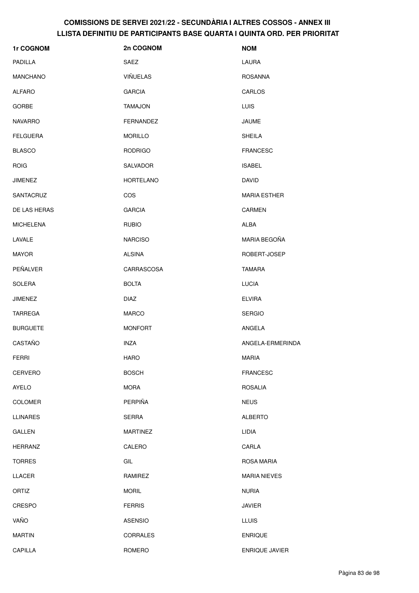| 1r COGNOM        | 2n COGNOM        | <b>NOM</b>          |
|------------------|------------------|---------------------|
| <b>PADILLA</b>   | SAEZ             | LAURA               |
| <b>MANCHANO</b>  | VIÑUELAS         | <b>ROSANNA</b>      |
| <b>ALFARO</b>    | <b>GARCIA</b>    | CARLOS              |
| <b>GORBE</b>     | <b>TAMAJON</b>   | LUIS                |
| <b>NAVARRO</b>   | <b>FERNANDEZ</b> | <b>JAUME</b>        |
| <b>FELGUERA</b>  | <b>MORILLO</b>   | <b>SHEILA</b>       |
| <b>BLASCO</b>    | <b>RODRIGO</b>   | <b>FRANCESC</b>     |
| <b>ROIG</b>      | SALVADOR         | <b>ISABEL</b>       |
| <b>JIMENEZ</b>   | <b>HORTELANO</b> | <b>DAVID</b>        |
| SANTACRUZ        | COS              | <b>MARIA ESTHER</b> |
| DE LAS HERAS     | <b>GARCIA</b>    | <b>CARMEN</b>       |
| <b>MICHELENA</b> | <b>RUBIO</b>     | <b>ALBA</b>         |
| LAVALE           | <b>NARCISO</b>   | MARIA BEGOÑA        |
| <b>MAYOR</b>     | <b>ALSINA</b>    | ROBERT-JOSEP        |
| PEÑALVER         | CARRASCOSA       | <b>TAMARA</b>       |
| <b>SOLERA</b>    | <b>BOLTA</b>     | <b>LUCIA</b>        |
| <b>JIMENEZ</b>   | <b>DIAZ</b>      | <b>ELVIRA</b>       |
| <b>TARREGA</b>   | <b>MARCO</b>     | <b>SERGIO</b>       |
| <b>BURGUETE</b>  | <b>MONFORT</b>   | ANGELA              |
| CASTAÑO          | <b>INZA</b>      | ANGELA-ERMERINDA    |
| <b>FERRI</b>     | <b>HARO</b>      | MARIA               |
| CERVERO          | <b>BOSCH</b>     | <b>FRANCESC</b>     |
| AYELO            | <b>MORA</b>      | <b>ROSALIA</b>      |
| <b>COLOMER</b>   | PERPIÑA          | <b>NEUS</b>         |
| <b>LLINARES</b>  | <b>SERRA</b>     | <b>ALBERTO</b>      |
| GALLEN           | <b>MARTINEZ</b>  | LIDIA               |
| <b>HERRANZ</b>   | CALERO           | CARLA               |
| <b>TORRES</b>    | GIL              | ROSA MARIA          |
| LLACER           | RAMIREZ          | <b>MARIA NIEVES</b> |
| ORTIZ            | <b>MORIL</b>     | <b>NURIA</b>        |
| CRESPO           | <b>FERRIS</b>    | <b>JAVIER</b>       |
| VAÑO             | <b>ASENSIO</b>   | <b>LLUIS</b>        |
| <b>MARTIN</b>    | CORRALES         | <b>ENRIQUE</b>      |
| CAPILLA          | ROMERO           | ENRIQUE JAVIER      |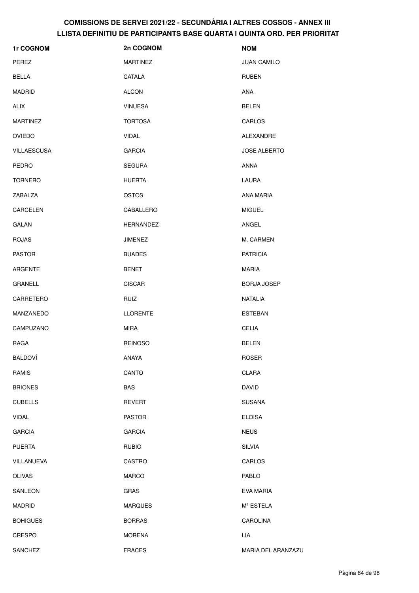| 1r COGNOM       | 2n COGNOM        | <b>NOM</b>          |
|-----------------|------------------|---------------------|
| PEREZ           | <b>MARTINEZ</b>  | <b>JUAN CAMILO</b>  |
| BELLA           | CATALA           | <b>RUBEN</b>        |
| MADRID          | <b>ALCON</b>     | ANA                 |
| ALIX            | <b>VINUESA</b>   | <b>BELEN</b>        |
| <b>MARTINEZ</b> | <b>TORTOSA</b>   | CARLOS              |
| <b>OVIEDO</b>   | <b>VIDAL</b>     | <b>ALEXANDRE</b>    |
| VILLAESCUSA     | <b>GARCIA</b>    | <b>JOSE ALBERTO</b> |
| PEDRO           | <b>SEGURA</b>    | ANNA                |
| <b>TORNERO</b>  | <b>HUERTA</b>    | LAURA               |
| ZABALZA         | <b>OSTOS</b>     | ANA MARIA           |
| CARCELEN        | CABALLERO        | <b>MIGUEL</b>       |
| GALAN           | <b>HERNANDEZ</b> | ANGEL               |
| <b>ROJAS</b>    | <b>JIMENEZ</b>   | M. CARMEN           |
| <b>PASTOR</b>   | <b>BUADES</b>    | <b>PATRICIA</b>     |
| ARGENTE         | <b>BENET</b>     | <b>MARIA</b>        |
| <b>GRANELL</b>  | <b>CISCAR</b>    | <b>BORJA JOSEP</b>  |
| CARRETERO       | <b>RUIZ</b>      | <b>NATALIA</b>      |
| MANZANEDO       | <b>LLORENTE</b>  | <b>ESTEBAN</b>      |
| CAMPUZANO       | <b>MIRA</b>      | <b>CELIA</b>        |
| RAGA            | <b>REINOSO</b>   | <b>BELEN</b>        |
| BALDOVÍ         | ANAYA            | <b>ROSER</b>        |
| RAMIS           | CANTO            | <b>CLARA</b>        |
| <b>BRIONES</b>  | <b>BAS</b>       | <b>DAVID</b>        |
| <b>CUBELLS</b>  | <b>REVERT</b>    | <b>SUSANA</b>       |
| <b>VIDAL</b>    | <b>PASTOR</b>    | <b>ELOISA</b>       |
| <b>GARCIA</b>   | <b>GARCIA</b>    | <b>NEUS</b>         |
| <b>PUERTA</b>   | <b>RUBIO</b>     | <b>SILVIA</b>       |
| VILLANUEVA      | CASTRO           | CARLOS              |
| OLIVAS          | <b>MARCO</b>     | PABLO               |
| SANLEON         | <b>GRAS</b>      | EVA MARIA           |
| MADRID          | <b>MARQUES</b>   | Mª ESTELA           |
| <b>BOHIGUES</b> | <b>BORRAS</b>    | CAROLINA            |
| CRESPO          | <b>MORENA</b>    | LIA                 |
| SANCHEZ         | <b>FRACES</b>    | MARIA DEL ARANZAZU  |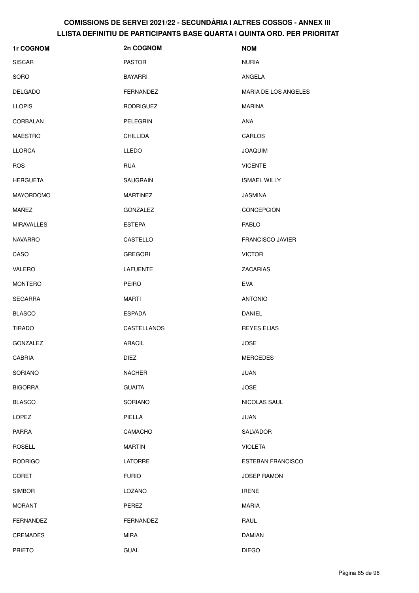| 1r COGNOM         | 2n COGNOM        | <b>NOM</b>                  |
|-------------------|------------------|-----------------------------|
| <b>SISCAR</b>     | <b>PASTOR</b>    | <b>NURIA</b>                |
| SORO              | <b>BAYARRI</b>   | ANGELA                      |
| <b>DELGADO</b>    | FERNANDEZ        | <b>MARIA DE LOS ANGELES</b> |
| <b>LLOPIS</b>     | <b>RODRIGUEZ</b> | <b>MARINA</b>               |
| CORBALAN          | PELEGRIN         | <b>ANA</b>                  |
| <b>MAESTRO</b>    | <b>CHILLIDA</b>  | CARLOS                      |
| <b>LLORCA</b>     | LLEDO            | <b>JOAQUIM</b>              |
| <b>ROS</b>        | <b>RUA</b>       | <b>VICENTE</b>              |
| <b>HERGUETA</b>   | <b>SAUGRAIN</b>  | <b>ISMAEL WILLY</b>         |
| <b>MAYORDOMO</b>  | <b>MARTINEZ</b>  | <b>JASMINA</b>              |
| MAÑEZ             | <b>GONZALEZ</b>  | CONCEPCION                  |
| <b>MIRAVALLES</b> | <b>ESTEPA</b>    | PABLO                       |
| <b>NAVARRO</b>    | CASTELLO         | <b>FRANCISCO JAVIER</b>     |
| CASO              | <b>GREGORI</b>   | <b>VICTOR</b>               |
| VALERO            | LAFUENTE         | ZACARIAS                    |
| <b>MONTERO</b>    | <b>PEIRO</b>     | <b>EVA</b>                  |
| <b>SEGARRA</b>    | <b>MARTI</b>     | <b>ANTONIO</b>              |
| <b>BLASCO</b>     | <b>ESPADA</b>    | <b>DANIEL</b>               |
| <b>TIRADO</b>     | CASTELLANOS      | REYES ELIAS                 |
| <b>GONZALEZ</b>   | ARACIL           | <b>JOSE</b>                 |
| CABRIA            | <b>DIEZ</b>      | <b>MERCEDES</b>             |
| SORIANO           | <b>NACHER</b>    | <b>JUAN</b>                 |
| <b>BIGORRA</b>    | <b>GUAITA</b>    | <b>JOSE</b>                 |
| <b>BLASCO</b>     | SORIANO          | NICOLAS SAUL                |
| LOPEZ             | PIELLA           | <b>JUAN</b>                 |
| PARRA             | CAMACHO          | SALVADOR                    |
| <b>ROSELL</b>     | <b>MARTIN</b>    | <b>VIOLETA</b>              |
| <b>RODRIGO</b>    | <b>LATORRE</b>   | <b>ESTEBAN FRANCISCO</b>    |
| <b>CORET</b>      | <b>FURIO</b>     | <b>JOSEP RAMON</b>          |
| <b>SIMBOR</b>     | LOZANO           | <b>IRENE</b>                |
| <b>MORANT</b>     | PEREZ            | <b>MARIA</b>                |
| <b>FERNANDEZ</b>  | FERNANDEZ        | RAUL                        |
| <b>CREMADES</b>   | <b>MIRA</b>      | <b>DAMIAN</b>               |
| <b>PRIETO</b>     | <b>GUAL</b>      | <b>DIEGO</b>                |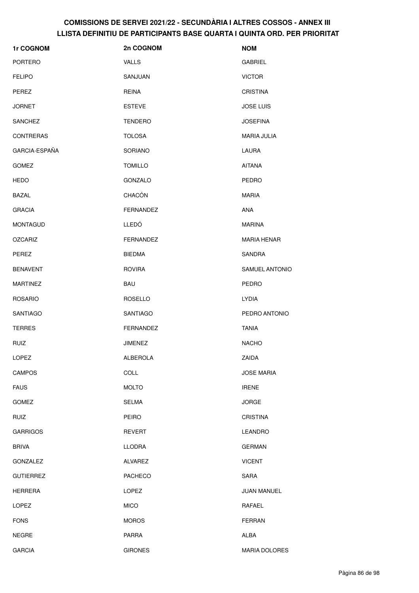| 1r COGNOM        | 2n COGNOM      | <b>NOM</b>         |
|------------------|----------------|--------------------|
| <b>PORTERO</b>   | <b>VALLS</b>   | <b>GABRIEL</b>     |
| <b>FELIPO</b>    | SANJUAN        | <b>VICTOR</b>      |
| PEREZ            | <b>REINA</b>   | <b>CRISTINA</b>    |
| <b>JORNET</b>    | <b>ESTEVE</b>  | <b>JOSE LUIS</b>   |
| <b>SANCHEZ</b>   | TENDERO        | <b>JOSEFINA</b>    |
| <b>CONTRERAS</b> | <b>TOLOSA</b>  | <b>MARIA JULIA</b> |
| GARCIA-ESPAÑA    | SORIANO        | LAURA              |
| <b>GOMEZ</b>     | <b>TOMILLO</b> | <b>AITANA</b>      |
| <b>HEDO</b>      | GONZALO        | PEDRO              |
| <b>BAZAL</b>     | CHACÓN         | <b>MARIA</b>       |
| <b>GRACIA</b>    | FERNANDEZ      | <b>ANA</b>         |
| <b>MONTAGUD</b>  | LLEDÓ          | <b>MARINA</b>      |
| <b>OZCARIZ</b>   | FERNANDEZ      | <b>MARIA HENAR</b> |
| PEREZ            | <b>BIEDMA</b>  | SANDRA             |
| <b>BENAVENT</b>  | <b>ROVIRA</b>  | SAMUEL ANTONIO     |
| <b>MARTINEZ</b>  | BAU            | <b>PEDRO</b>       |
| <b>ROSARIO</b>   | <b>ROSELLO</b> | LYDIA              |
| <b>SANTIAGO</b>  | SANTIAGO       | PEDRO ANTONIO      |
| <b>TERRES</b>    | FERNANDEZ      | <b>TANIA</b>       |
| <b>RUIZ</b>      | <b>JIMENEZ</b> | <b>NACHO</b>       |
| LOPEZ            | ALBEROLA       | ZAIDA              |
| <b>CAMPOS</b>    | <b>COLL</b>    | <b>JOSE MARIA</b>  |
| <b>FAUS</b>      | <b>MOLTO</b>   | <b>IRENE</b>       |
| <b>GOMEZ</b>     | <b>SELMA</b>   | <b>JORGE</b>       |
| <b>RUIZ</b>      | PEIRO          | <b>CRISTINA</b>    |
| <b>GARRIGOS</b>  | <b>REVERT</b>  | <b>LEANDRO</b>     |
| <b>BRIVA</b>     | <b>LLODRA</b>  | <b>GERMAN</b>      |
| GONZALEZ         | <b>ALVAREZ</b> | <b>VICENT</b>      |
| <b>GUTIERREZ</b> | <b>PACHECO</b> | SARA               |
| <b>HERRERA</b>   | LOPEZ          | <b>JUAN MANUEL</b> |
| LOPEZ            | <b>MICO</b>    | RAFAEL             |
| <b>FONS</b>      | <b>MOROS</b>   | <b>FERRAN</b>      |
| <b>NEGRE</b>     | <b>PARRA</b>   | ALBA               |
| <b>GARCIA</b>    | <b>GIRONES</b> | MARIA DOLORES      |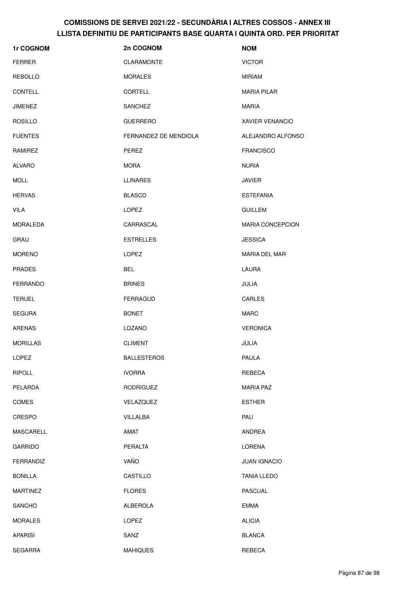| 1r COGNOM        | 2n COGNOM             | <b>NOM</b>              |
|------------------|-----------------------|-------------------------|
| <b>FERRER</b>    | <b>CLARAMONTE</b>     | <b>VICTOR</b>           |
| <b>REBOLLO</b>   | <b>MORALES</b>        | <b>MIRIAM</b>           |
| CONTELL          | <b>CORTELL</b>        | <b>MARIA PILAR</b>      |
| <b>JIMENEZ</b>   | SANCHEZ               | <b>MARIA</b>            |
| <b>ROSILLO</b>   | <b>GUERRERO</b>       | XAVIER VENANCIO         |
| <b>FUENTES</b>   | FERNANDEZ DE MENDIOLA | ALEJANDRO ALFONSO       |
| RAMIREZ          | PEREZ                 | <b>FRANCISCO</b>        |
| ALVARO           | <b>MORA</b>           | <b>NURIA</b>            |
| <b>MOLL</b>      | <b>LLINARES</b>       | <b>JAVIER</b>           |
| <b>HERVAS</b>    | <b>BLASCO</b>         | <b>ESTEFANIA</b>        |
| VILA             | LOPEZ                 | <b>GUILLEM</b>          |
| <b>MORALEDA</b>  | CARRASCAL             | <b>MARIA CONCEPCION</b> |
| GRAU             | <b>ESTRELLES</b>      | <b>JESSICA</b>          |
| <b>MORENO</b>    | LOPEZ                 | <b>MARIA DEL MAR</b>    |
| <b>PRADES</b>    | <b>BEL</b>            | LAURA                   |
| <b>FERRANDO</b>  | <b>BRINES</b>         | JULIA                   |
| <b>TERUEL</b>    | <b>FERRAGUD</b>       | CARLES                  |
| <b>SEGURA</b>    | <b>BONET</b>          | <b>MARC</b>             |
| ARENAS           | LOZANO                | <b>VERONICA</b>         |
| <b>MORILLAS</b>  | <b>CLIMENT</b>        | <b>JULIA</b>            |
| LOPEZ            | <b>BALLESTEROS</b>    | PAULA                   |
| <b>RIPOLL</b>    | <b>IVORRA</b>         | REBECA                  |
| PELARDA          | <b>RODRIGUEZ</b>      | <b>MARIA PAZ</b>        |
| COMES            | VELAZQUEZ             | <b>ESTHER</b>           |
| <b>CRESPO</b>    | VILLALBA              | PAU                     |
| MASCARELL        | AMAT                  | ANDREA                  |
| <b>GARRIDO</b>   | PERALTA               | LORENA                  |
| <b>FERRANDIZ</b> | VAÑO                  | <b>JUAN IGNACIO</b>     |
| <b>BONILLA</b>   | CASTILLO              | <b>TANIA LLEDO</b>      |
| <b>MARTINEZ</b>  | <b>FLORES</b>         | <b>PASCUAL</b>          |
| <b>SANCHO</b>    | ALBEROLA              | <b>EMMA</b>             |
| <b>MORALES</b>   | LOPEZ                 | <b>ALICIA</b>           |
| <b>APARISI</b>   | SANZ                  | <b>BLANCA</b>           |
| <b>SEGARRA</b>   | <b>MAHIQUES</b>       | REBECA                  |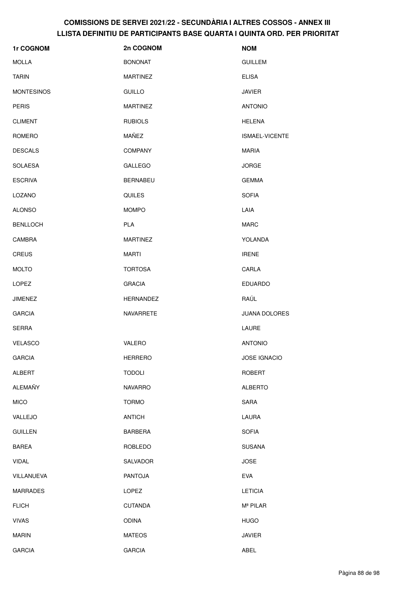| 1r COGNOM         | 2n COGNOM        | <b>NOM</b>           |
|-------------------|------------------|----------------------|
| <b>MOLLA</b>      | <b>BONONAT</b>   | <b>GUILLEM</b>       |
| <b>TARIN</b>      | <b>MARTINEZ</b>  | <b>ELISA</b>         |
| <b>MONTESINOS</b> | <b>GUILLO</b>    | <b>JAVIER</b>        |
| <b>PERIS</b>      | <b>MARTINEZ</b>  | <b>ANTONIO</b>       |
| <b>CLIMENT</b>    | <b>RUBIOLS</b>   | <b>HELENA</b>        |
| ROMERO            | MAÑEZ            | ISMAEL-VICENTE       |
| <b>DESCALS</b>    | <b>COMPANY</b>   | MARIA                |
| <b>SOLAESA</b>    | <b>GALLEGO</b>   | <b>JORGE</b>         |
| <b>ESCRIVA</b>    | <b>BERNABEU</b>  | <b>GEMMA</b>         |
| LOZANO            | QUILES           | <b>SOFIA</b>         |
| <b>ALONSO</b>     | <b>MOMPO</b>     | LAIA                 |
| <b>BENLLOCH</b>   | <b>PLA</b>       | <b>MARC</b>          |
| CAMBRA            | <b>MARTINEZ</b>  | YOLANDA              |
| <b>CREUS</b>      | MARTI            | <b>IRENE</b>         |
| <b>MOLTO</b>      | <b>TORTOSA</b>   | CARLA                |
| <b>LOPEZ</b>      | <b>GRACIA</b>    | <b>EDUARDO</b>       |
| <b>JIMENEZ</b>    | <b>HERNANDEZ</b> | RAÚL                 |
| <b>GARCIA</b>     | NAVARRETE        | JUANA DOLORES        |
| <b>SERRA</b>      |                  | LAURE                |
| <b>VELASCO</b>    | VALERO           | <b>ANTONIO</b>       |
| <b>GARCIA</b>     | <b>HERRERO</b>   | <b>JOSE IGNACIO</b>  |
| ALBERT            | <b>TODOLI</b>    | <b>ROBERT</b>        |
| ALEMAÑY           | <b>NAVARRO</b>   | <b>ALBERTO</b>       |
| <b>MICO</b>       | <b>TORMO</b>     | SARA                 |
| VALLEJO           | <b>ANTICH</b>    | LAURA                |
| <b>GUILLEN</b>    | <b>BARBERA</b>   | <b>SOFIA</b>         |
| <b>BAREA</b>      | ROBLEDO          | <b>SUSANA</b>        |
| <b>VIDAL</b>      | SALVADOR         | <b>JOSE</b>          |
| VILLANUEVA        | <b>PANTOJA</b>   | EVA                  |
| <b>MARRADES</b>   | LOPEZ            | <b>LETICIA</b>       |
| <b>FLICH</b>      | <b>CUTANDA</b>   | M <sup>ª</sup> PILAR |
| <b>VIVAS</b>      | <b>ODINA</b>     | <b>HUGO</b>          |
| <b>MARIN</b>      | <b>MATEOS</b>    | <b>JAVIER</b>        |
| <b>GARCIA</b>     | <b>GARCIA</b>    | ABEL                 |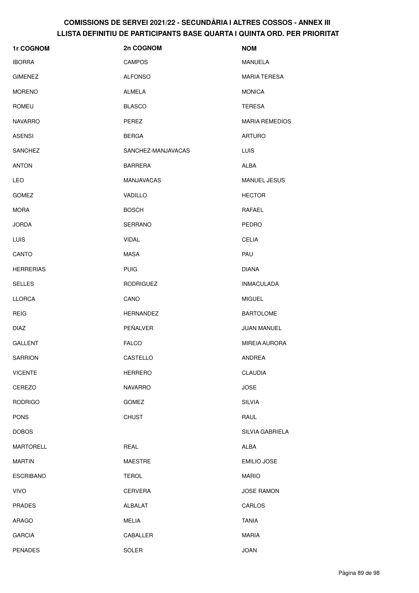| 1r COGNOM        | 2n COGNOM          | <b>NOM</b>            |
|------------------|--------------------|-----------------------|
| <b>IBORRA</b>    | <b>CAMPOS</b>      | <b>MANUELA</b>        |
| <b>GIMENEZ</b>   | <b>ALFONSO</b>     | <b>MARIA TERESA</b>   |
| <b>MORENO</b>    | ALMELA             | <b>MONICA</b>         |
| <b>ROMEU</b>     | <b>BLASCO</b>      | <b>TERESA</b>         |
| <b>NAVARRO</b>   | PEREZ              | <b>MARIA REMEDIOS</b> |
| <b>ASENSI</b>    | <b>BERGA</b>       | <b>ARTURO</b>         |
| <b>SANCHEZ</b>   | SANCHEZ-MANJAVACAS | <b>LUIS</b>           |
| <b>ANTON</b>     | <b>BARRERA</b>     | <b>ALBA</b>           |
| <b>LEO</b>       | <b>MANJAVACAS</b>  | <b>MANUEL JESUS</b>   |
| <b>GOMEZ</b>     | VADILLO            | <b>HECTOR</b>         |
| <b>MORA</b>      | <b>BOSCH</b>       | RAFAEL                |
| <b>JORDA</b>     | <b>SERRANO</b>     | <b>PEDRO</b>          |
| LUIS             | <b>VIDAL</b>       | <b>CELIA</b>          |
| CANTO            | <b>MASA</b>        | PAU                   |
| <b>HERRERIAS</b> | <b>PUIG</b>        | <b>DIANA</b>          |
| <b>SELLES</b>    | <b>RODRIGUEZ</b>   | <b>INMACULADA</b>     |
| <b>LLORCA</b>    | CANO               | <b>MIGUEL</b>         |
| <b>REIG</b>      | <b>HERNANDEZ</b>   | <b>BARTOLOME</b>      |
| <b>DIAZ</b>      | PEÑALVER           | <b>JUAN MANUEL</b>    |
| <b>GALLENT</b>   | <b>FALCO</b>       | <b>MIREIA AURORA</b>  |
| SARRION          | CASTELLO           | ANDREA                |
| <b>VICENTE</b>   | <b>HERRERO</b>     | <b>CLAUDIA</b>        |
| CEREZO           | <b>NAVARRO</b>     | <b>JOSE</b>           |
| <b>RODRIGO</b>   | <b>GOMEZ</b>       | <b>SILVIA</b>         |
| <b>PONS</b>      | <b>CHUST</b>       | RAUL                  |
| <b>DOBOS</b>     |                    | SILVIA GABRIELA       |
| MARTORELL        | REAL               | ALBA                  |
| <b>MARTIN</b>    | <b>MAESTRE</b>     | <b>EMILIO JOSE</b>    |
| <b>ESCRIBANO</b> | <b>TEROL</b>       | <b>MARIO</b>          |
| <b>VIVO</b>      | <b>CERVERA</b>     | <b>JOSE RAMON</b>     |
| <b>PRADES</b>    | ALBALAT            | CARLOS                |
| ARAGO            | <b>MELIA</b>       | <b>TANIA</b>          |
| <b>GARCIA</b>    | CABALLER           | <b>MARIA</b>          |
| <b>PENADES</b>   | SOLER              | <b>JOAN</b>           |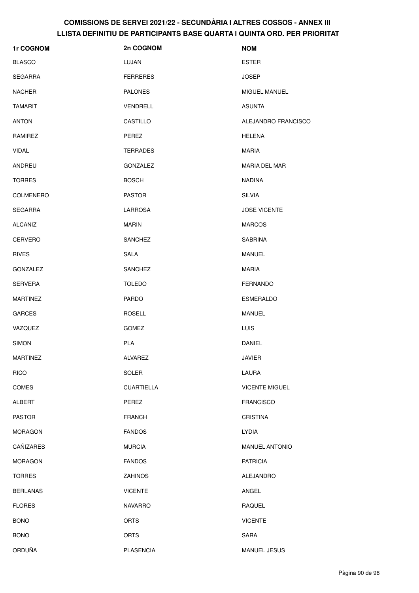| 1r COGNOM        | 2n COGNOM         | <b>NOM</b>            |
|------------------|-------------------|-----------------------|
| <b>BLASCO</b>    | LUJAN             | <b>ESTER</b>          |
| <b>SEGARRA</b>   | <b>FERRERES</b>   | <b>JOSEP</b>          |
| <b>NACHER</b>    | <b>PALONES</b>    | MIGUEL MANUEL         |
| <b>TAMARIT</b>   | VENDRELL          | <b>ASUNTA</b>         |
| <b>ANTON</b>     | CASTILLO          | ALEJANDRO FRANCISCO   |
| RAMIREZ          | PEREZ             | <b>HELENA</b>         |
| <b>VIDAL</b>     | <b>TERRADES</b>   | <b>MARIA</b>          |
| ANDREU           | GONZALEZ          | MARIA DEL MAR         |
| <b>TORRES</b>    | <b>BOSCH</b>      | <b>NADINA</b>         |
| <b>COLMENERO</b> | <b>PASTOR</b>     | <b>SILVIA</b>         |
| <b>SEGARRA</b>   | <b>LARROSA</b>    | <b>JOSE VICENTE</b>   |
| ALCAÑIZ          | <b>MARIN</b>      | <b>MARCOS</b>         |
| <b>CERVERO</b>   | <b>SANCHEZ</b>    | <b>SABRINA</b>        |
| <b>RIVES</b>     | <b>SALA</b>       | <b>MANUEL</b>         |
| GONZALEZ         | <b>SANCHEZ</b>    | <b>MARIA</b>          |
| <b>SERVERA</b>   | <b>TOLEDO</b>     | <b>FERNANDO</b>       |
| <b>MARTINEZ</b>  | <b>PARDO</b>      | <b>ESMERALDO</b>      |
| <b>GARCES</b>    | <b>ROSELL</b>     | <b>MANUEL</b>         |
| VAZQUEZ          | <b>GOMEZ</b>      | LUIS                  |
| <b>SIMON</b>     | <b>PLA</b>        | <b>DANIEL</b>         |
| <b>MARTINEZ</b>  | ALVAREZ           | <b>JAVIER</b>         |
| <b>RICO</b>      | SOLER             | LAURA                 |
| <b>COMES</b>     | <b>CUARTIELLA</b> | <b>VICENTE MIGUEL</b> |
| <b>ALBERT</b>    | PEREZ             | <b>FRANCISCO</b>      |
| <b>PASTOR</b>    | <b>FRANCH</b>     | <b>CRISTINA</b>       |
| <b>MORAGON</b>   | <b>FANDOS</b>     | <b>LYDIA</b>          |
| CAÑIZARES        | <b>MURCIA</b>     | MANUEL ANTONIO        |
| <b>MORAGON</b>   | <b>FANDOS</b>     | <b>PATRICIA</b>       |
| <b>TORRES</b>    | <b>ZAHINOS</b>    | ALEJANDRO             |
| <b>BERLANAS</b>  | <b>VICENTE</b>    | ANGEL                 |
| <b>FLORES</b>    | <b>NAVARRO</b>    | <b>RAQUEL</b>         |
| <b>BONO</b>      | <b>ORTS</b>       | <b>VICENTE</b>        |
| <b>BONO</b>      | <b>ORTS</b>       | <b>SARA</b>           |
| ORDUÑA           | <b>PLASENCIA</b>  | MANUEL JESUS          |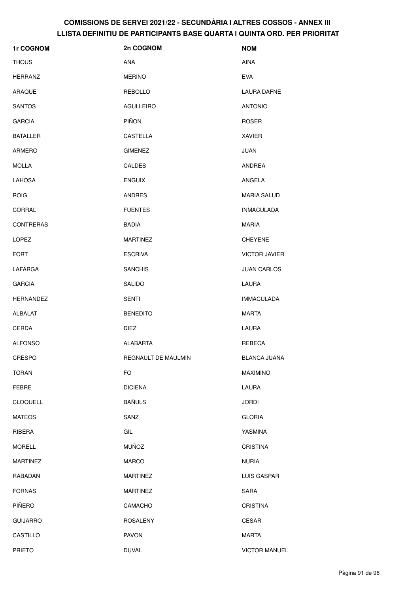| 1r COGNOM        | 2n COGNOM           | <b>NOM</b>           |
|------------------|---------------------|----------------------|
| <b>THOUS</b>     | <b>ANA</b>          | <b>AINA</b>          |
| <b>HERRANZ</b>   | <b>MERINO</b>       | <b>EVA</b>           |
| ARAQUE           | <b>REBOLLO</b>      | LAURA DAFNE          |
| <b>SANTOS</b>    | <b>AGULLEIRO</b>    | <b>ANTONIO</b>       |
| <b>GARCIA</b>    | PIÑON               | <b>ROSER</b>         |
| <b>BATALLER</b>  | <b>CASTELLA</b>     | <b>XAVIER</b>        |
| ARMERO           | <b>GIMENEZ</b>      | <b>JUAN</b>          |
| <b>MOLLA</b>     | <b>CALDES</b>       | ANDREA               |
| <b>LAHOSA</b>    | <b>ENGUIX</b>       | ANGELA               |
| <b>ROIG</b>      | <b>ANDRES</b>       | <b>MARIA SALUD</b>   |
| CORRAL           | <b>FUENTES</b>      | <b>INMACULADA</b>    |
| <b>CONTRERAS</b> | <b>BADIA</b>        | <b>MARIA</b>         |
| LOPEZ            | <b>MARTINEZ</b>     | <b>CHEYENE</b>       |
| <b>FORT</b>      | <b>ESCRIVA</b>      | <b>VICTOR JAVIER</b> |
| LAFARGA          | <b>SANCHIS</b>      | <b>JUAN CARLOS</b>   |
| <b>GARCIA</b>    | <b>SALIDO</b>       | LAURA                |
| <b>HERNANDEZ</b> | <b>SENTI</b>        | <b>IMMACULADA</b>    |
| ALBALAT          | <b>BENEDITO</b>     | <b>MARTA</b>         |
| CERDA            | <b>DIEZ</b>         | LAURA                |
| <b>ALFONSO</b>   | <b>ALABARTA</b>     | REBECA               |
| <b>CRESPO</b>    | REGNAULT DE MAULMIN | BLANCA JUANA         |
| <b>TORAN</b>     | <b>FO</b>           | <b>MAXIMINO</b>      |
| <b>FEBRE</b>     | <b>DICIENA</b>      | LAURA                |
| <b>CLOQUELL</b>  | <b>BAÑULS</b>       | <b>JORDI</b>         |
| <b>MATEOS</b>    | SANZ                | <b>GLORIA</b>        |
| RIBERA           | GIL                 | YASMINA              |
| <b>MORELL</b>    | <b>MUÑOZ</b>        | <b>CRISTINA</b>      |
| <b>MARTINEZ</b>  | <b>MARCO</b>        | <b>NURIA</b>         |
| RABADAN          | <b>MARTINEZ</b>     | LUIS GASPAR          |
| <b>FORNAS</b>    | <b>MARTINEZ</b>     | SARA                 |
| PIÑERO           | CAMACHO             | <b>CRISTINA</b>      |
| <b>GUIJARRO</b>  | <b>ROSALENY</b>     | <b>CESAR</b>         |
| CASTILLO         | <b>PAVON</b>        | <b>MARTA</b>         |
| <b>PRIETO</b>    | <b>DUVAL</b>        | <b>VICTOR MANUEL</b> |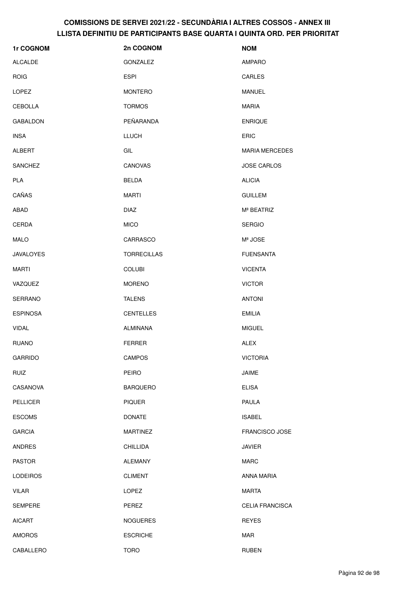| 1r COGNOM        | 2n COGNOM          | <b>NOM</b>             |
|------------------|--------------------|------------------------|
| <b>ALCALDE</b>   | GONZALEZ           | AMPARO                 |
| <b>ROIG</b>      | <b>ESPI</b>        | CARLES                 |
| <b>LOPEZ</b>     | <b>MONTERO</b>     | <b>MANUEL</b>          |
| <b>CEBOLLA</b>   | <b>TORMOS</b>      | <b>MARIA</b>           |
| GABALDON         | PEÑARANDA          | <b>ENRIQUE</b>         |
| <b>INSA</b>      | <b>LLUCH</b>       | <b>ERIC</b>            |
| <b>ALBERT</b>    | GIL                | <b>MARIA MERCEDES</b>  |
| <b>SANCHEZ</b>   | CANOVAS            | <b>JOSE CARLOS</b>     |
| PLA              | <b>BELDA</b>       | <b>ALICIA</b>          |
| CAÑAS            | <b>MARTI</b>       | <b>GUILLEM</b>         |
| ABAD             | <b>DIAZ</b>        | M <sup>ª</sup> BEATRIZ |
| <b>CERDA</b>     | <b>MICO</b>        | <b>SERGIO</b>          |
| <b>MALO</b>      | CARRASCO           | Mª JOSE                |
| <b>JAVALOYES</b> | <b>TORRECILLAS</b> | <b>FUENSANTA</b>       |
| MARTI            | <b>COLUBI</b>      | <b>VICENTA</b>         |
| VAZQUEZ          | <b>MORENO</b>      | <b>VICTOR</b>          |
| SERRANO          | <b>TALENS</b>      | <b>ANTONI</b>          |
| <b>ESPINOSA</b>  | <b>CENTELLES</b>   | <b>EMILIA</b>          |
| <b>VIDAL</b>     | ALMIÑANA           | <b>MIGUEL</b>          |
| <b>RUANO</b>     | <b>FERRER</b>      | <b>ALEX</b>            |
| <b>GARRIDO</b>   | CAMPOS             | <b>VICTORIA</b>        |
| <b>RUIZ</b>      | PEIRO              | JAIME                  |
| CASANOVA         | <b>BARQUERO</b>    | <b>ELISA</b>           |
| PELLICER         | <b>PIQUER</b>      | PAULA                  |
| <b>ESCOMS</b>    | <b>DONATE</b>      | <b>ISABEL</b>          |
| <b>GARCIA</b>    | <b>MARTINEZ</b>    | <b>FRANCISCO JOSE</b>  |
| <b>ANDRES</b>    | <b>CHILLIDA</b>    | <b>JAVIER</b>          |
| <b>PASTOR</b>    | <b>ALEMANY</b>     | <b>MARC</b>            |
| <b>LODEIROS</b>  | <b>CLIMENT</b>     | ANNA MARIA             |
| VILAR            | <b>LOPEZ</b>       | <b>MARTA</b>           |
| <b>SEMPERE</b>   | PEREZ              | <b>CELIA FRANCISCA</b> |
| <b>AICART</b>    | <b>NOGUERES</b>    | <b>REYES</b>           |
| <b>AMOROS</b>    | <b>ESCRICHE</b>    | MAR                    |
| CABALLERO        | <b>TORO</b>        | <b>RUBEN</b>           |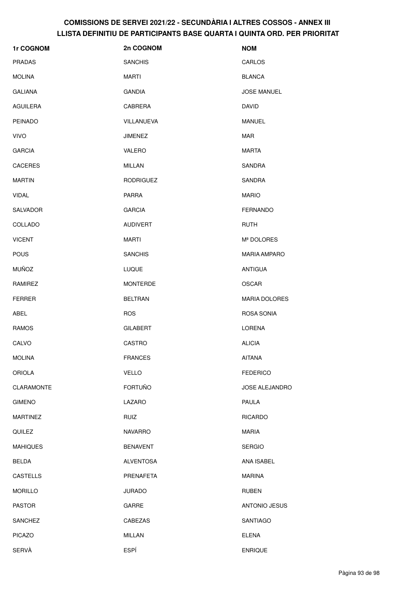| 1r COGNOM         | 2n COGNOM        | <b>NOM</b>           |
|-------------------|------------------|----------------------|
| <b>PRADAS</b>     | <b>SANCHIS</b>   | CARLOS               |
| <b>MOLINA</b>     | <b>MARTI</b>     | <b>BLANCA</b>        |
| <b>GALIANA</b>    | <b>GANDIA</b>    | <b>JOSE MANUEL</b>   |
| <b>AGUILERA</b>   | CABRERA          | <b>DAVID</b>         |
| <b>PEINADO</b>    | VILLANUEVA       | MANUEL               |
| <b>VIVO</b>       | <b>JIMENEZ</b>   | <b>MAR</b>           |
| <b>GARCIA</b>     | VALERO           | <b>MARTA</b>         |
| <b>CACERES</b>    | MILLAN           | SANDRA               |
| <b>MARTIN</b>     | <b>RODRIGUEZ</b> | SANDRA               |
| <b>VIDAL</b>      | <b>PARRA</b>     | <b>MARIO</b>         |
| <b>SALVADOR</b>   | <b>GARCIA</b>    | <b>FERNANDO</b>      |
| COLLADO           | <b>AUDIVERT</b>  | <b>RUTH</b>          |
| <b>VICENT</b>     | <b>MARTI</b>     | Mª DOLORES           |
| <b>POUS</b>       | <b>SANCHIS</b>   | <b>MARIA AMPARO</b>  |
| <b>MUÑOZ</b>      | <b>LUQUE</b>     | <b>ANTIGUA</b>       |
| RAMIREZ           | <b>MONTERDE</b>  | <b>OSCAR</b>         |
| <b>FERRER</b>     | <b>BELTRAN</b>   | <b>MARIA DOLORES</b> |
| ABEL              | <b>ROS</b>       | ROSA SONIA           |
| <b>RAMOS</b>      | <b>GILABERT</b>  | LORENA               |
| CALVO             | CASTRO           | <b>ALICIA</b>        |
| <b>MOLINA</b>     | <b>FRANCES</b>   | <b>AITANA</b>        |
| <b>ORIOLA</b>     | <b>VELLO</b>     | <b>FEDERICO</b>      |
| <b>CLARAMONTE</b> | <b>FORTUÑO</b>   | JOSE ALEJANDRO       |
| <b>GIMENO</b>     | LAZARO           | PAULA                |
| <b>MARTINEZ</b>   | <b>RUIZ</b>      | <b>RICARDO</b>       |
| QUILEZ            | <b>NAVARRO</b>   | <b>MARIA</b>         |
| <b>MAHIQUES</b>   | <b>BENAVENT</b>  | <b>SERGIO</b>        |
| <b>BELDA</b>      | <b>ALVENTOSA</b> | ANA ISABEL           |
| <b>CASTELLS</b>   | PRENAFETA        | <b>MARINA</b>        |
| <b>MORILLO</b>    | <b>JURADO</b>    | <b>RUBEN</b>         |
| <b>PASTOR</b>     | GARRE            | <b>ANTONIO JESUS</b> |
| <b>SANCHEZ</b>    | CABEZAS          | SANTIAGO             |
| <b>PICAZO</b>     | <b>MILLAN</b>    | <b>ELENA</b>         |
| SERVÀ             | ESPÍ             | <b>ENRIQUE</b>       |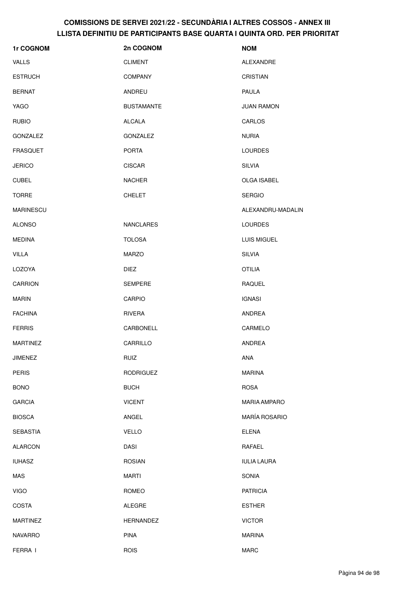| 1r COGNOM        | 2n COGNOM         | <b>NOM</b>           |
|------------------|-------------------|----------------------|
| <b>VALLS</b>     | <b>CLIMENT</b>    | ALEXANDRE            |
| <b>ESTRUCH</b>   | <b>COMPANY</b>    | <b>CRISTIAN</b>      |
| <b>BERNAT</b>    | ANDREU            | <b>PAULA</b>         |
| YAGO             | <b>BUSTAMANTE</b> | <b>JUAN RAMON</b>    |
| <b>RUBIO</b>     | <b>ALCALA</b>     | CARLOS               |
| <b>GONZALEZ</b>  | <b>GONZALEZ</b>   | <b>NURIA</b>         |
| <b>FRASQUET</b>  | <b>PORTA</b>      | <b>LOURDES</b>       |
| <b>JERICO</b>    | <b>CISCAR</b>     | <b>SILVIA</b>        |
| <b>CUBEL</b>     | <b>NACHER</b>     | <b>OLGA ISABEL</b>   |
| <b>TORRE</b>     | <b>CHELET</b>     | <b>SERGIO</b>        |
| <b>MARINESCU</b> |                   | ALEXANDRU-MADALIN    |
| <b>ALONSO</b>    | <b>NANCLARES</b>  | <b>LOURDES</b>       |
| <b>MEDINA</b>    | <b>TOLOSA</b>     | LUIS MIGUEL          |
| <b>VILLA</b>     | <b>MARZO</b>      | <b>SILVIA</b>        |
| LOZOYA           | <b>DIEZ</b>       | <b>OTILIA</b>        |
| <b>CARRION</b>   | <b>SEMPERE</b>    | <b>RAQUEL</b>        |
| <b>MARIN</b>     | CARPIO            | <b>IGNASI</b>        |
| <b>FACHINA</b>   | RIVERA            | ANDREA               |
| <b>FERRIS</b>    | CARBONELL         | CARMELO              |
| <b>MARTINEZ</b>  | CARRILLO          | ANDREA               |
| JIMENEZ          | RUIZ              | ANA                  |
| <b>PERIS</b>     | <b>RODRIGUEZ</b>  | <b>MARINA</b>        |
| <b>BONO</b>      | <b>BUCH</b>       | <b>ROSA</b>          |
| <b>GARCIA</b>    | <b>VICENT</b>     | <b>MARIA AMPARO</b>  |
| <b>BIOSCA</b>    | ANGEL             | <b>MARÍA ROSARIO</b> |
| <b>SEBASTIA</b>  | <b>VELLO</b>      | <b>ELENA</b>         |
| <b>ALARCON</b>   | <b>DASI</b>       | RAFAEL               |
| <b>IUHASZ</b>    | <b>ROSIAN</b>     | <b>IULIA LAURA</b>   |
| MAS              | <b>MARTI</b>      | SONIA                |
| <b>VIGO</b>      | ROMEO             | <b>PATRICIA</b>      |
| COSTA            | ALEGRE            | <b>ESTHER</b>        |
| <b>MARTINEZ</b>  | <b>HERNANDEZ</b>  | <b>VICTOR</b>        |
| <b>NAVARRO</b>   | <b>PINA</b>       | <b>MARINA</b>        |
| FERRA I          | <b>ROIS</b>       | MARC                 |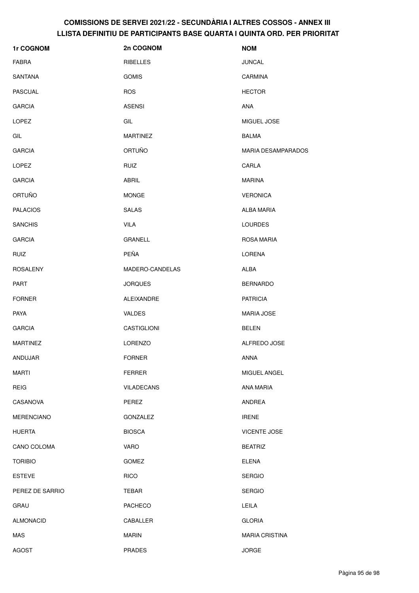| 1r COGNOM         | 2n COGNOM         | <b>NOM</b>                |
|-------------------|-------------------|---------------------------|
| <b>FABRA</b>      | RIBELLES          | <b>JUNCAL</b>             |
| SANTANA           | <b>GOMIS</b>      | <b>CARMINA</b>            |
| <b>PASCUAL</b>    | <b>ROS</b>        | <b>HECTOR</b>             |
| <b>GARCIA</b>     | <b>ASENSI</b>     | <b>ANA</b>                |
| LOPEZ             | GIL               | MIGUEL JOSE               |
| GIL               | <b>MARTINEZ</b>   | <b>BALMA</b>              |
| <b>GARCIA</b>     | ORTUÑO            | <b>MARIA DESAMPARADOS</b> |
| <b>LOPEZ</b>      | <b>RUIZ</b>       | CARLA                     |
| <b>GARCIA</b>     | ABRIL             | <b>MARINA</b>             |
| ORTUÑO            | <b>MONGE</b>      | <b>VERONICA</b>           |
| <b>PALACIOS</b>   | <b>SALAS</b>      | <b>ALBA MARIA</b>         |
| <b>SANCHIS</b>    | <b>VILA</b>       | <b>LOURDES</b>            |
| <b>GARCIA</b>     | <b>GRANELL</b>    | <b>ROSA MARIA</b>         |
| <b>RUIZ</b>       | PEÑA              | <b>LORENA</b>             |
| <b>ROSALENY</b>   | MADERO-CANDELAS   | <b>ALBA</b>               |
| <b>PART</b>       | <b>JORQUES</b>    | <b>BERNARDO</b>           |
| <b>FORNER</b>     | ALEIXANDRE        | <b>PATRICIA</b>           |
| <b>PAYA</b>       | <b>VALDES</b>     | <b>MARIA JOSE</b>         |
| <b>GARCIA</b>     | CASTIGLIONI       | <b>BELEN</b>              |
| <b>MARTINEZ</b>   | <b>LORENZO</b>    | ALFREDO JOSE              |
| ANDUJAR           | <b>FORNER</b>     | ANNA                      |
| <b>MARTI</b>      | <b>FERRER</b>     | MIGUEL ANGEL              |
| <b>REIG</b>       | <b>VILADECANS</b> | <b>ANA MARIA</b>          |
| CASANOVA          | PEREZ             | ANDREA                    |
| <b>MERENCIANO</b> | GONZALEZ          | <b>IRENE</b>              |
| <b>HUERTA</b>     | <b>BIOSCA</b>     | <b>VICENTE JOSE</b>       |
| CANO COLOMA       | <b>VARO</b>       | <b>BEATRIZ</b>            |
| <b>TORIBIO</b>    | <b>GOMEZ</b>      | <b>ELENA</b>              |
| <b>ESTEVE</b>     | <b>RICO</b>       | <b>SERGIO</b>             |
| PEREZ DE SARRIO   | TEBAR             | <b>SERGIO</b>             |
| GRAU              | <b>PACHECO</b>    | LEILA                     |
| <b>ALMONACID</b>  | CABALLER          | <b>GLORIA</b>             |
| MAS               | <b>MARIN</b>      | <b>MARIA CRISTINA</b>     |
| <b>AGOST</b>      | PRADES            | <b>JORGE</b>              |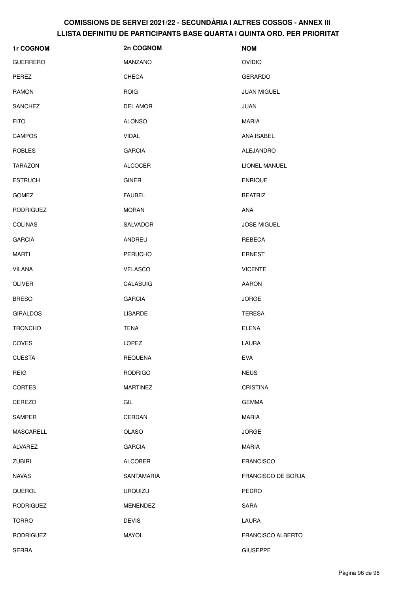| 1r COGNOM        | 2n COGNOM       | <b>NOM</b>         |
|------------------|-----------------|--------------------|
| <b>GUERRERO</b>  | MANZANO         | <b>OVIDIO</b>      |
| PEREZ            | CHECA           | <b>GERARDO</b>     |
| <b>RAMON</b>     | <b>ROIG</b>     | <b>JUAN MIGUEL</b> |
| <b>SANCHEZ</b>   | DEL AMOR        | <b>JUAN</b>        |
| <b>FITO</b>      | <b>ALONSO</b>   | <b>MARIA</b>       |
| <b>CAMPOS</b>    | <b>VIDAL</b>    | <b>ANA ISABEL</b>  |
| <b>ROBLES</b>    | <b>GARCIA</b>   | ALEJANDRO          |
| <b>TARAZON</b>   | <b>ALCOCER</b>  | LIONEL MANUEL      |
| <b>ESTRUCH</b>   | <b>GINER</b>    | <b>ENRIQUE</b>     |
| <b>GOMEZ</b>     | <b>FAUBEL</b>   | <b>BEATRIZ</b>     |
| <b>RODRIGUEZ</b> | <b>MORAN</b>    | ANA                |
| <b>COLINAS</b>   | SALVADOR        | <b>JOSE MIGUEL</b> |
| <b>GARCIA</b>    | ANDREU          | REBECA             |
| <b>MARTI</b>     | <b>PERUCHO</b>  | <b>ERNEST</b>      |
| <b>VILANA</b>    | <b>VELASCO</b>  | <b>VICENTE</b>     |
| <b>OLIVER</b>    | <b>CALABUIG</b> | <b>AARON</b>       |
| <b>BRESO</b>     | <b>GARCIA</b>   | <b>JORGE</b>       |
| <b>GIRALDOS</b>  | <b>LISARDE</b>  | <b>TERESA</b>      |
| <b>TRONCHO</b>   | <b>TENA</b>     | <b>ELENA</b>       |
| <b>COVES</b>     | <b>LOPEZ</b>    | LAURA              |
| <b>CUESTA</b>    | <b>REQUENA</b>  | <b>EVA</b>         |
| <b>REIG</b>      | <b>RODRIGO</b>  | <b>NEUS</b>        |
| CORTES           | <b>MARTINEZ</b> | <b>CRISTINA</b>    |
| CEREZO           | GIL             | <b>GEMMA</b>       |
| SAMPER           | CERDAN          | <b>MARIA</b>       |
| MASCARELL        | <b>OLASO</b>    | <b>JORGE</b>       |
| ALVAREZ          | <b>GARCIA</b>   | <b>MARIA</b>       |
| <b>ZUBIRI</b>    | ALCOBER         | <b>FRANCISCO</b>   |
| <b>NAVAS</b>     | SANTAMARIA      | FRANCISCO DE BORJA |
| QUEROL           | <b>URQUIZU</b>  | PEDRO              |
| <b>RODRIGUEZ</b> | MENENDEZ        | SARA               |
| <b>TORRO</b>     | <b>DEVIS</b>    | LAURA              |
| <b>RODRIGUEZ</b> | <b>MAYOL</b>    | FRANCISCO ALBERTO  |
| <b>SERRA</b>     |                 | <b>GIUSEPPE</b>    |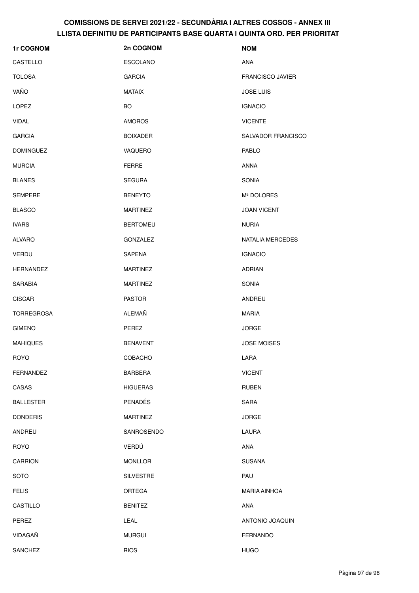| 1r COGNOM         | 2n COGNOM        | <b>NOM</b>              |
|-------------------|------------------|-------------------------|
| CASTELLO          | <b>ESCOLANO</b>  | <b>ANA</b>              |
| <b>TOLOSA</b>     | <b>GARCIA</b>    | <b>FRANCISCO JAVIER</b> |
| VAÑO              | <b>MATAIX</b>    | <b>JOSE LUIS</b>        |
| <b>LOPEZ</b>      | BO               | <b>IGNACIO</b>          |
| <b>VIDAL</b>      | <b>AMOROS</b>    | <b>VICENTE</b>          |
| <b>GARCIA</b>     | <b>BOIXADER</b>  | SALVADOR FRANCISCO      |
| <b>DOMINGUEZ</b>  | VAQUERO          | <b>PABLO</b>            |
| <b>MURCIA</b>     | <b>FERRE</b>     | ANNA                    |
| <b>BLANES</b>     | <b>SEGURA</b>    | <b>SONIA</b>            |
| <b>SEMPERE</b>    | <b>BENEYTO</b>   | Mª DOLORES              |
| <b>BLASCO</b>     | <b>MARTINEZ</b>  | <b>JOAN VICENT</b>      |
| <b>IVARS</b>      | <b>BERTOMEU</b>  | <b>NURIA</b>            |
| <b>ALVARO</b>     | GONZALEZ         | <b>NATALIA MERCEDES</b> |
| <b>VERDU</b>      | <b>SAPENA</b>    | <b>IGNACIO</b>          |
| <b>HERNANDEZ</b>  | <b>MARTINEZ</b>  | <b>ADRIAN</b>           |
| <b>SARABIA</b>    | <b>MARTINEZ</b>  | <b>SONIA</b>            |
| <b>CISCAR</b>     | <b>PASTOR</b>    | ANDREU                  |
| <b>TORREGROSA</b> | ALEMAÑ           | <b>MARIA</b>            |
| <b>GIMENO</b>     | PEREZ            | <b>JORGE</b>            |
| <b>MAHIQUES</b>   | <b>BENAVENT</b>  | <b>JOSE MOISES</b>      |
| <b>ROYO</b>       | COBACHO          | LARA                    |
| <b>FERNANDEZ</b>  | <b>BARBERA</b>   | <b>VICENT</b>           |
| CASAS             | <b>HIGUERAS</b>  | <b>RUBEN</b>            |
| <b>BALLESTER</b>  | <b>PENADÉS</b>   | SARA                    |
| <b>DONDERIS</b>   | <b>MARTINEZ</b>  | <b>JORGE</b>            |
| ANDREU            | SANROSENDO       | LAURA                   |
| <b>ROYO</b>       | VERDÚ            | ANA                     |
| <b>CARRION</b>    | <b>MONLLOR</b>   | <b>SUSANA</b>           |
| <b>SOTO</b>       | <b>SILVESTRE</b> | PAU                     |
| <b>FELIS</b>      | ORTEGA           | MARIA AINHOA            |
| CASTILLO          | <b>BENITEZ</b>   | ANA                     |
| PEREZ             | LEAL             | ANTONIO JOAQUIN         |
| VIDAGAÑ           | <b>MURGUI</b>    | <b>FERNANDO</b>         |
| SANCHEZ           | <b>RIOS</b>      | <b>HUGO</b>             |